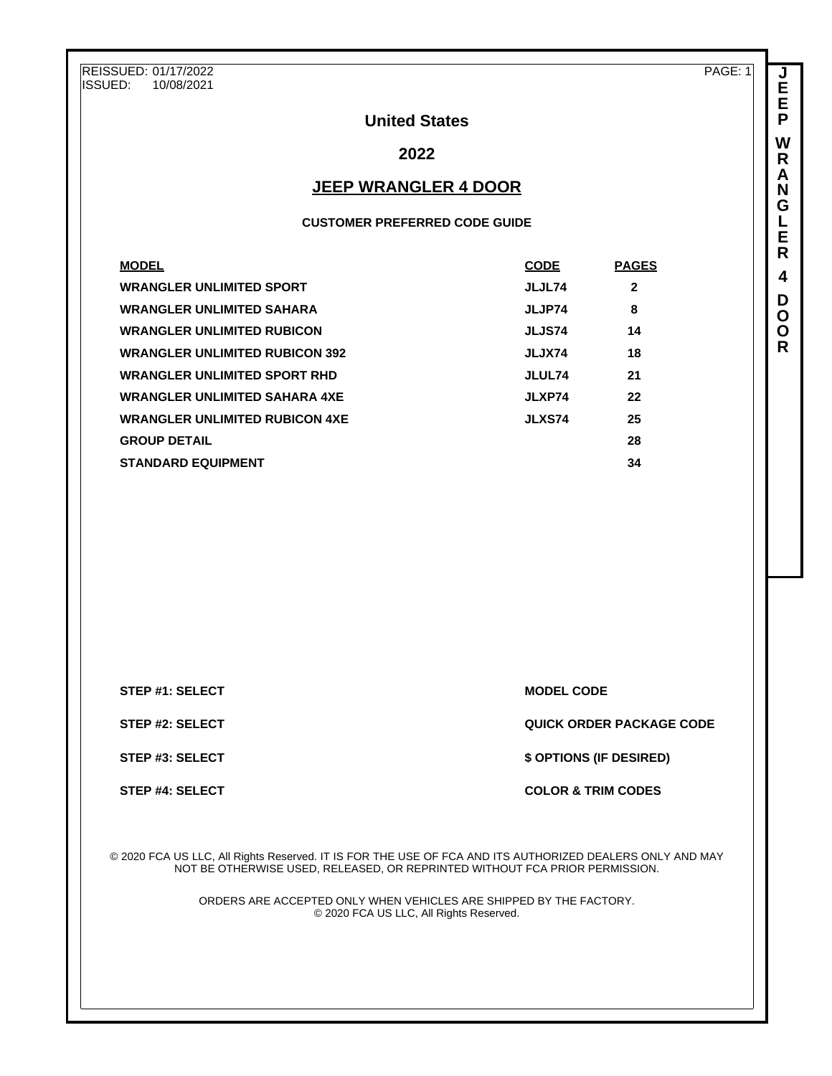REISSUED: 01/17/2022<br>ISSUED: 10/08/2021 ISSUED: 10/08/2021

PAGE: 1

**J E E P W R A N G L E R 4 D O O R**

## **United States**

## **2022**

## **JEEP WRANGLER 4 DOOR**

### **CUSTOMER PREFERRED CODE GUIDE**

| <b>MODEL</b>                          | <b>CODE</b>   | <b>PAGES</b> |
|---------------------------------------|---------------|--------------|
| <b>WRANGLER UNLIMITED SPORT</b>       | JLJL74        | $\mathbf{2}$ |
| <b>WRANGLER UNLIMITED SAHARA</b>      | JLJP74        | 8            |
| <b>WRANGLER UNLIMITED RUBICON</b>     | JLJS74        | 14           |
| <b>WRANGLER UNLIMITED RUBICON 392</b> | JLJX74        | 18           |
| <b>WRANGLER UNLIMITED SPORT RHD</b>   | JLUL74        | 21           |
| <b>WRANGLER UNLIMITED SAHARA 4XE</b>  | JLXP74        | 22           |
| <b>WRANGLER UNLIMITED RUBICON 4XE</b> | <b>JLXS74</b> | 25           |
| <b>GROUP DETAIL</b>                   |               | 28           |
| <b>STANDARD EQUIPMENT</b>             |               | 34           |

**STEP #1: SELECT MODEL CODE** 

**STEP #2: SELECT QUICK ORDER PACKAGE CODE**

**STEP #3: SELECT \$ OPTIONS (IF DESIRED)**

#### **STEP #4: SELECT COLOR & TRIM CODES**

© 2020 FCA US LLC, All Rights Reserved. IT IS FOR THE USE OF FCA AND ITS AUTHORIZED DEALERS ONLY AND MAY NOT BE OTHERWISE USED, RELEASED, OR REPRINTED WITHOUT FCA PRIOR PERMISSION.

> ORDERS ARE ACCEPTED ONLY WHEN VEHICLES ARE SHIPPED BY THE FACTORY. © 2020 FCA US LLC, All Rights Reserved.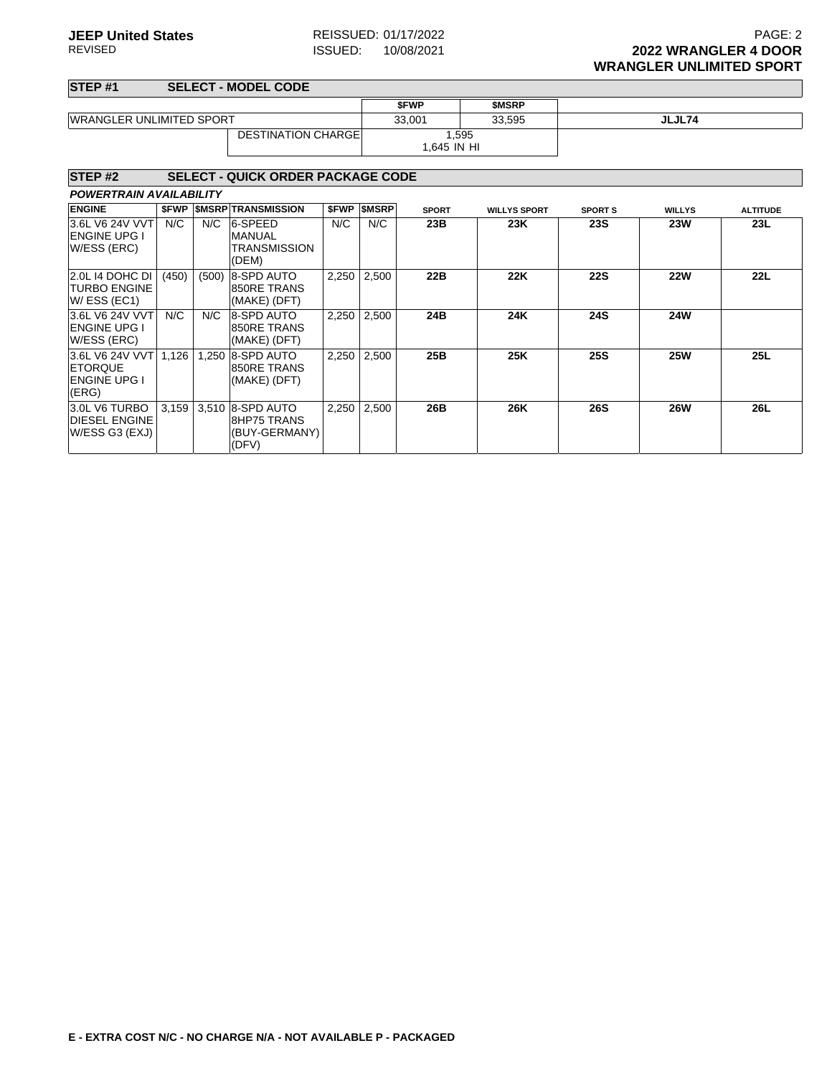### **STEP #1 SELECT - MODEL CODE**

| .                                                                 |       |       |                                                                  |       |                     |                      |                     |                |               |                 |  |
|-------------------------------------------------------------------|-------|-------|------------------------------------------------------------------|-------|---------------------|----------------------|---------------------|----------------|---------------|-----------------|--|
|                                                                   |       |       |                                                                  |       |                     | <b>SFWP</b>          | <b>SMSRP</b>        |                |               |                 |  |
| <b>WRANGLER UNLIMITED SPORT</b>                                   |       |       |                                                                  |       |                     | 33,001               | 33,595              |                | JLJL74        |                 |  |
|                                                                   |       |       | <b>DESTINATION CHARGE</b>                                        |       |                     | 1.595<br>1,645 IN HI |                     |                |               |                 |  |
| STEP <sub>#2</sub>                                                |       |       | <b>SELECT - QUICK ORDER PACKAGE CODE</b>                         |       |                     |                      |                     |                |               |                 |  |
| <b>POWERTRAIN AVAILABILITY</b>                                    |       |       |                                                                  |       |                     |                      |                     |                |               |                 |  |
| <b>ENGINE</b>                                                     |       |       | <b><i>SFWP SMSRP TRANSMISSION</i></b>                            |       | <b>\$FWP \$MSRP</b> | <b>SPORT</b>         | <b>WILLYS SPORT</b> | <b>SPORT S</b> | <b>WILLYS</b> | <b>ALTITUDE</b> |  |
| 3.6L V6 24V VVT<br><b>ENGINE UPG I</b><br>W/ESS (ERC)             | N/C   | N/C   | 6-SPEED<br><b>MANUAL</b><br><b>TRANSMISSION</b><br>(DEM)         | N/C   | N/C                 | 23B                  | 23K                 | <b>23S</b>     | <b>23W</b>    | 23L             |  |
| 2.0L 14 DOHC DI<br><b>TURBO ENGINE</b><br>W/ESS (EC1)             | (450) | (500) | 8-SPD AUTO<br>850RE TRANS<br>(MAKE) (DFT)                        | 2,250 | 2,500               | 22B                  | 22K                 | <b>22S</b>     | <b>22W</b>    | 22L             |  |
| 3.6L V6 24V VVT<br><b>ENGINE UPG I</b><br>W/ESS (ERC)             | N/C   | N/C   | 8-SPD AUTO<br>850RE TRANS<br>(MAKE) (DFT)                        | 2,250 | 2,500               | 24B                  | 24K                 | <b>24S</b>     | <b>24W</b>    |                 |  |
| 3.6L V6 24V VVT<br><b>ETORQUE</b><br><b>ENGINE UPG I</b><br>(ERG) | 1,126 | 1.250 | 8-SPD AUTO<br>850RE TRANS<br>(MAKE) (DFT)                        | 2,250 | 2,500               | 25B                  | 25K                 | <b>25S</b>     | <b>25W</b>    | 25L             |  |
| 3.0L V6 TURBO<br><b>DIESEL ENGINE</b><br>W/ESS G3 (EXJ)           | 3,159 |       | 3,510 8-SPD AUTO<br><b>8HP75 TRANS</b><br>(BUY-GERMANY)<br>(DFV) | 2,250 | 2,500               | 26B                  | 26K                 | <b>26S</b>     | <b>26W</b>    | <b>26L</b>      |  |
|                                                                   |       |       |                                                                  |       |                     |                      |                     |                |               |                 |  |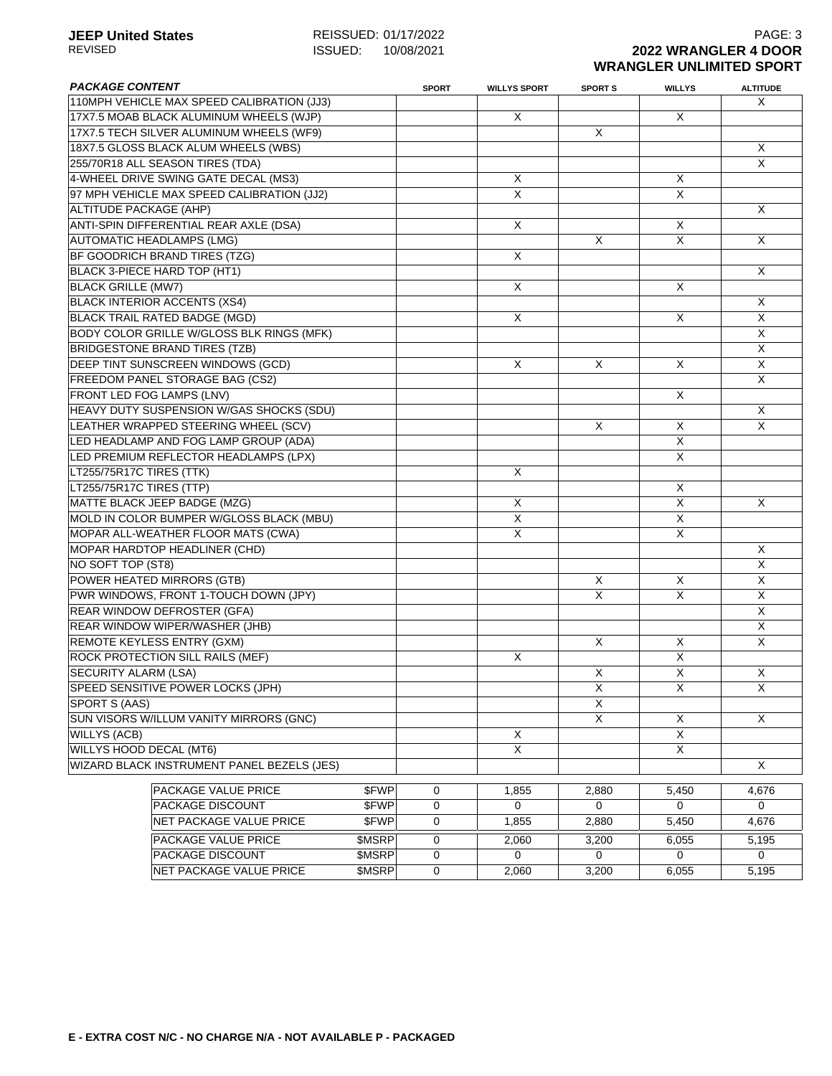## **JEEP United States**<br>REVISED REVISED REVISED REVISED REVISED REVISED REVISED REVISED REVISED REVISED **ISSUED:** 10/08/2021 **2022 WRANGLER 4 DOOR WRANGLER UNLIMITED SPORT**

| <b>PACKAGE CONTENT</b>                           | <b>SPORT</b> | <b>WILLYS SPORT</b>     | <b>SPORT S</b> | <b>WILLYS</b>  | <b>ALTITUDE</b>         |
|--------------------------------------------------|--------------|-------------------------|----------------|----------------|-------------------------|
| 110MPH VEHICLE MAX SPEED CALIBRATION (JJ3)       |              |                         |                |                | X                       |
| 17X7.5 MOAB BLACK ALUMINUM WHEELS (WJP)          |              | Χ                       |                | X              |                         |
| 17X7.5 TECH SILVER ALUMINUM WHEELS (WF9)         |              |                         | X              |                |                         |
| 18X7.5 GLOSS BLACK ALUM WHEELS (WBS)             |              |                         |                |                | X                       |
| 255/70R18 ALL SEASON TIRES (TDA)                 |              |                         |                |                | X                       |
| 4-WHEEL DRIVE SWING GATE DECAL (MS3)             |              | X                       |                | X              |                         |
| 97 MPH VEHICLE MAX SPEED CALIBRATION (JJ2)       |              | $\overline{\mathsf{X}}$ |                | X              |                         |
| ALTITUDE PACKAGE (AHP)                           |              |                         |                |                | X                       |
| ANTI-SPIN DIFFERENTIAL REAR AXLE (DSA)           |              | X                       |                | X              |                         |
| <b>AUTOMATIC HEADLAMPS (LMG)</b>                 |              |                         | X              | X              | X                       |
| BF GOODRICH BRAND TIRES (TZG)                    |              | X                       |                |                |                         |
| BLACK 3-PIECE HARD TOP (HT1)                     |              |                         |                |                | X                       |
| <b>BLACK GRILLE (MW7)</b>                        |              | X                       |                | X              |                         |
| <b>BLACK INTERIOR ACCENTS (XS4)</b>              |              |                         |                |                | X                       |
| <b>BLACK TRAIL RATED BADGE (MGD)</b>             |              | X                       |                | X              | $\overline{\mathsf{x}}$ |
| <b>BODY COLOR GRILLE W/GLOSS BLK RINGS (MFK)</b> |              |                         |                |                | X                       |
| <b>BRIDGESTONE BRAND TIRES (TZB)</b>             |              |                         |                |                | X                       |
| DEEP TINT SUNSCREEN WINDOWS (GCD)                |              | X                       | X              | X              | X                       |
| FREEDOM PANEL STORAGE BAG (CS2)                  |              |                         |                |                | X                       |
| FRONT LED FOG LAMPS (LNV)                        |              |                         |                | X              |                         |
| HEAVY DUTY SUSPENSION W/GAS SHOCKS (SDU)         |              |                         |                |                | X                       |
| LEATHER WRAPPED STEERING WHEEL (SCV)             |              |                         | X              | X              | X                       |
| LED HEADLAMP AND FOG LAMP GROUP (ADA)            |              |                         |                | $\overline{X}$ |                         |
| LED PREMIUM REFLECTOR HEADLAMPS (LPX)            |              |                         |                | X              |                         |
| LT255/75R17C TIRES (TTK)                         |              | X                       |                |                |                         |
| LT255/75R17C TIRES (TTP)                         |              |                         |                | X              |                         |
| <b>MATTE BLACK JEEP BADGE (MZG)</b>              |              | X                       |                | X              | X                       |
| MOLD IN COLOR BUMPER W/GLOSS BLACK (MBU)         |              | X                       |                | X              |                         |
| MOPAR ALL-WEATHER FLOOR MATS (CWA)               |              | X                       |                | X              |                         |
| MOPAR HARDTOP HEADLINER (CHD)                    |              |                         |                |                | X                       |
| NO SOFT TOP (ST8)                                |              |                         |                |                | X                       |
| POWER HEATED MIRRORS (GTB)                       |              |                         | X              | X              | $\overline{\mathsf{x}}$ |
| PWR WINDOWS, FRONT 1-TOUCH DOWN (JPY)            |              |                         | Χ              | X              | $\overline{\mathsf{X}}$ |
| <b>REAR WINDOW DEFROSTER (GFA)</b>               |              |                         |                |                | $\overline{X}$          |
| REAR WINDOW WIPER/WASHER (JHB)                   |              |                         |                |                | X                       |
| <b>REMOTE KEYLESS ENTRY (GXM)</b>                |              |                         | X              | X              | X                       |
| ROCK PROTECTION SILL RAILS (MEF)                 |              | X                       |                | X              |                         |
| <b>SECURITY ALARM (LSA)</b>                      |              |                         | X              | X              | X                       |
| SPEED SENSITIVE POWER LOCKS (JPH)                |              |                         | Χ              | X              | $\mathsf X$             |
| SPORT S (AAS)                                    |              |                         | X              |                |                         |
| SUN VISORS W/ILLUM VANITY MIRRORS (GNC)          |              |                         | X              | X              | $\mathsf{X}$            |
| <b>WILLYS (ACB)</b>                              |              | X                       |                | $\overline{X}$ |                         |
| WILLYS HOOD DECAL (MT6)                          |              | $\overline{X}$          |                | X              |                         |
| WIZARD BLACK INSTRUMENT PANEL BEZELS (JES)       |              |                         |                |                | X                       |
|                                                  |              |                         |                |                |                         |
| \$FWP<br>PACKAGE VALUE PRICE                     | 0            | 1,855                   | 2,880          | 5,450          | 4,676                   |
| \$FWP<br><b>PACKAGE DISCOUNT</b>                 | $\mathbf 0$  | $\Omega$                | 0              | $\Omega$       | 0                       |
| NET PACKAGE VALUE PRICE<br>\$FWP                 | $\mathbf 0$  | 1,855                   | 2,880          | 5,450          | 4,676                   |
| PACKAGE VALUE PRICE<br>\$MSRP                    | 0            | 2,060                   | 3,200          | 6,055          | 5,195                   |
| PACKAGE DISCOUNT<br>\$MSRP                       | $\mathbf 0$  | $\Omega$                | 0              | 0              | 0                       |
| NET PACKAGE VALUE PRICE<br>\$MSRP                | $\mathbf 0$  | 2,060                   | 3,200          | 6,055          | 5,195                   |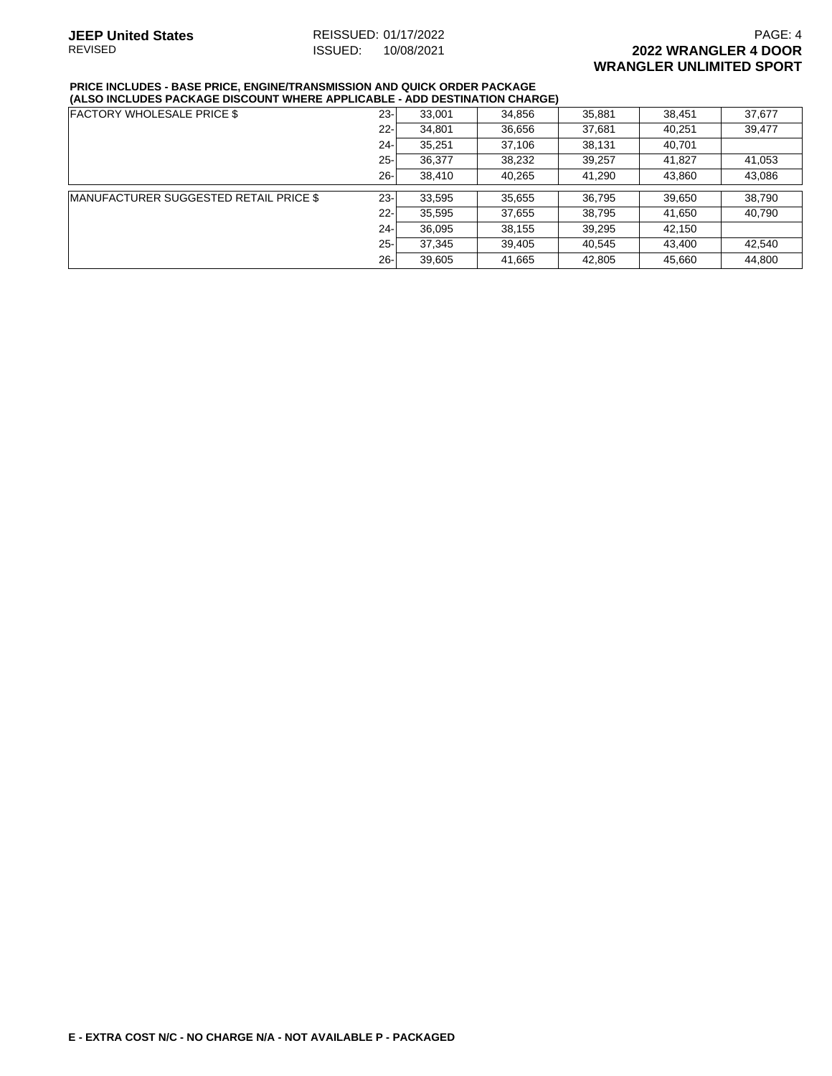#### **PRICE INCLUDES - BASE PRICE, ENGINE/TRANSMISSION AND QUICK ORDER PACKAGE (ALSO INCLUDES PACKAGE DISCOUNT WHERE APPLICABLE - ADD DESTINATION CHARGE)**

| ALUU INULUDLU I AUNAUL DIUUUUNI IIIILINL AI I LIUADLL |        |        | ADD DEGINANION GIRINGER |        |        |        |
|-------------------------------------------------------|--------|--------|-------------------------|--------|--------|--------|
| <b>FACTORY WHOLESALE PRICE \$</b>                     | $23 -$ | 33,001 | 34,856                  | 35,881 | 38,451 | 37.677 |
|                                                       | $22 -$ | 34,801 | 36,656                  | 37,681 | 40,251 | 39,477 |
|                                                       | $24 -$ | 35,251 | 37,106                  | 38,131 | 40,701 |        |
|                                                       | $25 -$ | 36,377 | 38,232                  | 39,257 | 41,827 | 41.053 |
|                                                       | $26 -$ | 38,410 | 40,265                  | 41,290 | 43,860 | 43,086 |
| <b>MANUFACTURER SUGGESTED RETAIL PRICE \$</b>         | $23 -$ | 33,595 | 35,655                  | 36,795 | 39,650 | 38.790 |
|                                                       | $22 -$ | 35,595 | 37,655                  | 38,795 | 41.650 | 40.790 |
|                                                       | $24 -$ | 36,095 | 38,155                  | 39,295 | 42.150 |        |
|                                                       | $25 -$ | 37,345 | 39,405                  | 40,545 | 43.400 | 42.540 |
|                                                       | $26 -$ | 39,605 | 41,665                  | 42,805 | 45,660 | 44,800 |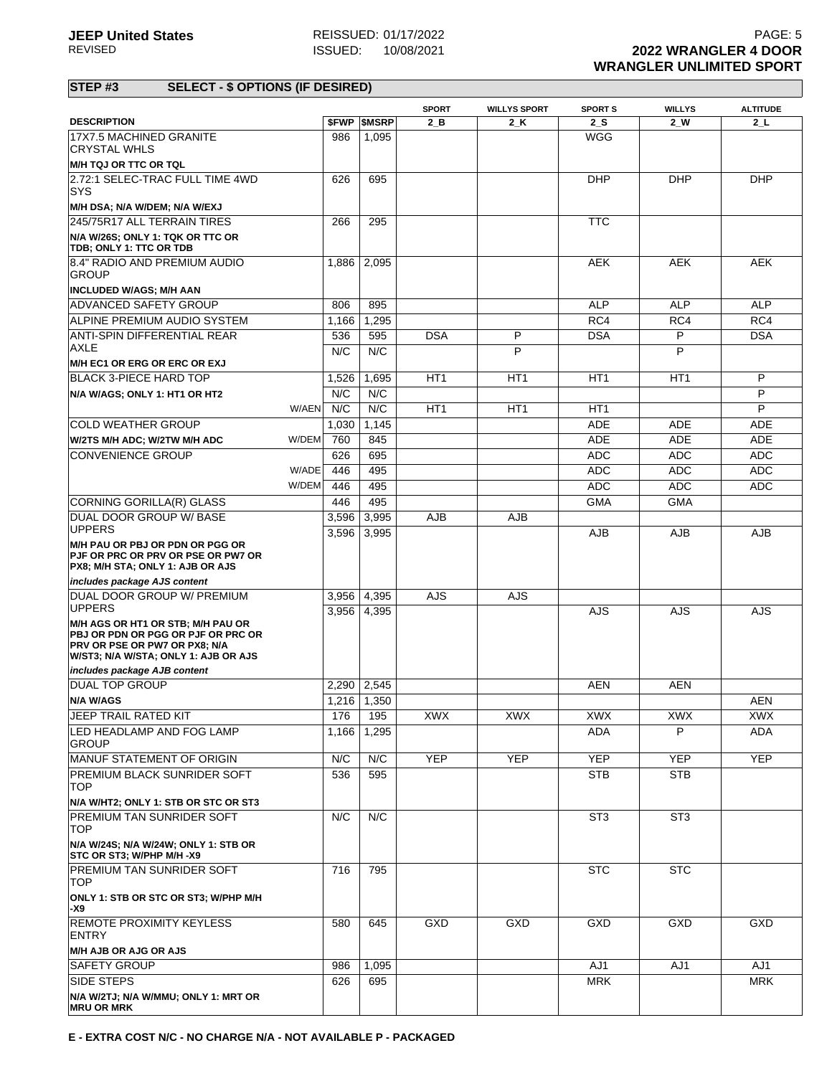|                                                                                                                                                         |                |                          | <b>SPORT</b>    | <b>WILLYS SPORT</b> | <b>SPORT S</b>  | <b>WILLYS</b>   | <b>ALTITUDE</b>   |
|---------------------------------------------------------------------------------------------------------------------------------------------------------|----------------|--------------------------|-----------------|---------------------|-----------------|-----------------|-------------------|
| <b>DESCRIPTION</b>                                                                                                                                      |                | <b><i>SFWP SMSRP</i></b> | $2$ B           | $2_K$               | 2S              | $2$ W           | $2+$              |
| 17X7.5 MACHINED GRANITE<br><b>CRYSTAL WHLS</b>                                                                                                          | 986            | 1,095                    |                 |                     | <b>WGG</b>      |                 |                   |
| M/H TQJ OR TTC OR TQL                                                                                                                                   |                |                          |                 |                     |                 |                 |                   |
| 2.72:1 SELEC-TRAC FULL TIME 4WD<br><b>SYS</b>                                                                                                           | 626            | 695                      |                 |                     | <b>DHP</b>      | <b>DHP</b>      | <b>DHP</b>        |
| M/H DSA; N/A W/DEM; N/A W/EXJ                                                                                                                           |                |                          |                 |                     |                 |                 |                   |
| 245/75R17 ALL TERRAIN TIRES                                                                                                                             | 266            | 295                      |                 |                     | <b>TTC</b>      |                 |                   |
| N/A W/26S; ONLY 1: TQK OR TTC OR<br>TDB; ONLY 1: TTC OR TDB                                                                                             |                |                          |                 |                     |                 |                 |                   |
| 8.4" RADIO AND PREMIUM AUDIO<br><b>GROUP</b>                                                                                                            | 1.886          | 2,095                    |                 |                     | <b>AEK</b>      | <b>AEK</b>      | <b>AEK</b>        |
| <b>INCLUDED W/AGS; M/H AAN</b>                                                                                                                          |                |                          |                 |                     |                 |                 |                   |
| <b>ADVANCED SAFETY GROUP</b>                                                                                                                            | 806            | 895                      |                 |                     | ALP             | <b>ALP</b>      | <b>ALP</b>        |
| ALPINE PREMIUM AUDIO SYSTEM                                                                                                                             | 1,166          | 1,295                    |                 |                     | RC4             | RC4             | RC4               |
| ANTI-SPIN DIFFERENTIAL REAR<br>AXLE                                                                                                                     | 536<br>N/C     | 595<br>N/C               | <b>DSA</b>      | P<br>P              | <b>DSA</b>      | P<br>P          | <b>DSA</b>        |
| M/H EC1 OR ERG OR ERC OR EXJ                                                                                                                            |                |                          |                 |                     |                 |                 |                   |
| <b>BLACK 3-PIECE HARD TOP</b>                                                                                                                           | 1,526          | 1,695                    | HT <sub>1</sub> | HT <sub>1</sub>     | HT <sub>1</sub> | HT <sub>1</sub> | P                 |
| N/A W/AGS; ONLY 1: HT1 OR HT2                                                                                                                           | N/C            | N/C                      |                 |                     |                 |                 | P                 |
| W/AEN                                                                                                                                                   | N/C            | N/C                      | HT <sub>1</sub> | HT <sub>1</sub>     | HT1             |                 | P                 |
| COLD WEATHER GROUP                                                                                                                                      | 1,030          | 1,145                    |                 |                     | <b>ADE</b>      | <b>ADE</b>      | ADE               |
| W/DEM<br>W/2TS M/H ADC; W/2TW M/H ADC                                                                                                                   | 760            | 845                      |                 |                     | <b>ADE</b>      | <b>ADE</b>      | <b>ADE</b>        |
| <b>CONVENIENCE GROUP</b>                                                                                                                                | 626            | 695                      |                 |                     | <b>ADC</b>      | <b>ADC</b>      | <b>ADC</b>        |
| W/ADE                                                                                                                                                   | 446            | 495                      |                 |                     | <b>ADC</b>      | <b>ADC</b>      | <b>ADC</b>        |
| W/DEM                                                                                                                                                   | 446            | 495                      |                 |                     | <b>ADC</b>      | <b>ADC</b>      | <b>ADC</b>        |
| CORNING GORILLA(R) GLASS                                                                                                                                | 446            | 495                      |                 |                     | <b>GMA</b>      | <b>GMA</b>      |                   |
| DUAL DOOR GROUP W/ BASE                                                                                                                                 | 3,596          | 3,995                    | <b>AJB</b>      | <b>AJB</b>          |                 |                 |                   |
| <b>UPPERS</b>                                                                                                                                           | 3,596          | 3,995                    |                 |                     | <b>AJB</b>      | AJB             | AJB               |
| M/H PAU OR PBJ OR PDN OR PGG OR<br>PJF OR PRC OR PRV OR PSE OR PW7 OR<br>PX8; M/H STA; ONLY 1: AJB OR AJS                                               |                |                          |                 |                     |                 |                 |                   |
| includes package AJS content                                                                                                                            |                |                          |                 |                     |                 |                 |                   |
| DUAL DOOR GROUP W/ PREMIUM<br><b>UPPERS</b>                                                                                                             | 3,956<br>3,956 | 4,395<br>4,395           | <b>AJS</b>      | <b>AJS</b>          | AJS             | AJS             | <b>AJS</b>        |
| M/H AGS OR HT1 OR STB; M/H PAU OR<br><b>PBJ OR PDN OR PGG OR PJF OR PRC OR</b><br>PRV OR PSE OR PW7 OR PX8; N/A<br>W/ST3; N/A W/STA; ONLY 1: AJB OR AJS |                |                          |                 |                     |                 |                 |                   |
| includes package AJB content                                                                                                                            |                |                          |                 |                     |                 |                 |                   |
| DUAL TOP GROUP                                                                                                                                          | 2,290          | 2,545                    |                 |                     | AEN             | AEN             |                   |
| <b>N/A W/AGS</b>                                                                                                                                        |                | 1,216 1,350              |                 |                     |                 |                 | <b>AEN</b>        |
| JEEP TRAIL RATED KIT<br>LED HEADLAMP AND FOG LAMP                                                                                                       | 1,166          | 176 195<br>1,295         | XWX             | XWX                 | XWX<br>ADA      | XWX<br>P        | <b>XWX</b><br>ADA |
| <b>GROUP</b>                                                                                                                                            |                |                          |                 |                     |                 |                 |                   |
| MANUF STATEMENT OF ORIGIN                                                                                                                               | N/C            | N/C                      | <b>YEP</b>      | <b>YEP</b>          | <b>YEP</b>      | <b>YEP</b>      | <b>YEP</b>        |
| <b>PREMIUM BLACK SUNRIDER SOFT</b><br><b>TOP</b>                                                                                                        | 536            | 595                      |                 |                     | <b>STB</b>      | <b>STB</b>      |                   |
| N/A W/HT2; ONLY 1: STB OR STC OR ST3                                                                                                                    |                |                          |                 |                     |                 |                 |                   |
| <b>PREMIUM TAN SUNRIDER SOFT</b><br><b>TOP</b>                                                                                                          | N/C            | N/C                      |                 |                     | ST <sub>3</sub> | ST <sub>3</sub> |                   |
| N/A W/24S; N/A W/24W; ONLY 1: STB OR<br>STC OR ST3; W/PHP M/H -X9                                                                                       |                |                          |                 |                     |                 |                 |                   |
| <b>PREMIUM TAN SUNRIDER SOFT</b><br><b>TOP</b>                                                                                                          | 716            | 795                      |                 |                     | <b>STC</b>      | <b>STC</b>      |                   |
| ONLY 1: STB OR STC OR ST3; W/PHP M/H<br>-X9                                                                                                             |                |                          |                 |                     |                 |                 |                   |
| <b>REMOTE PROXIMITY KEYLESS</b><br><b>ENTRY</b>                                                                                                         | 580            | 645                      | GXD             | GXD                 | GXD             | GXD             | GXD               |
| <b>M/H AJB OR AJG OR AJS</b>                                                                                                                            |                |                          |                 |                     |                 |                 |                   |
| <b>SAFETY GROUP</b>                                                                                                                                     | 986            | 1,095                    |                 |                     | AJ1             | AJ1             | AJ1               |
| <b>SIDE STEPS</b>                                                                                                                                       | 626            | 695                      |                 |                     | <b>MRK</b>      |                 | <b>MRK</b>        |
| N/A W/2TJ; N/A W/MMU; ONLY 1: MRT OR<br><b>MRU OR MRK</b>                                                                                               |                |                          |                 |                     |                 |                 |                   |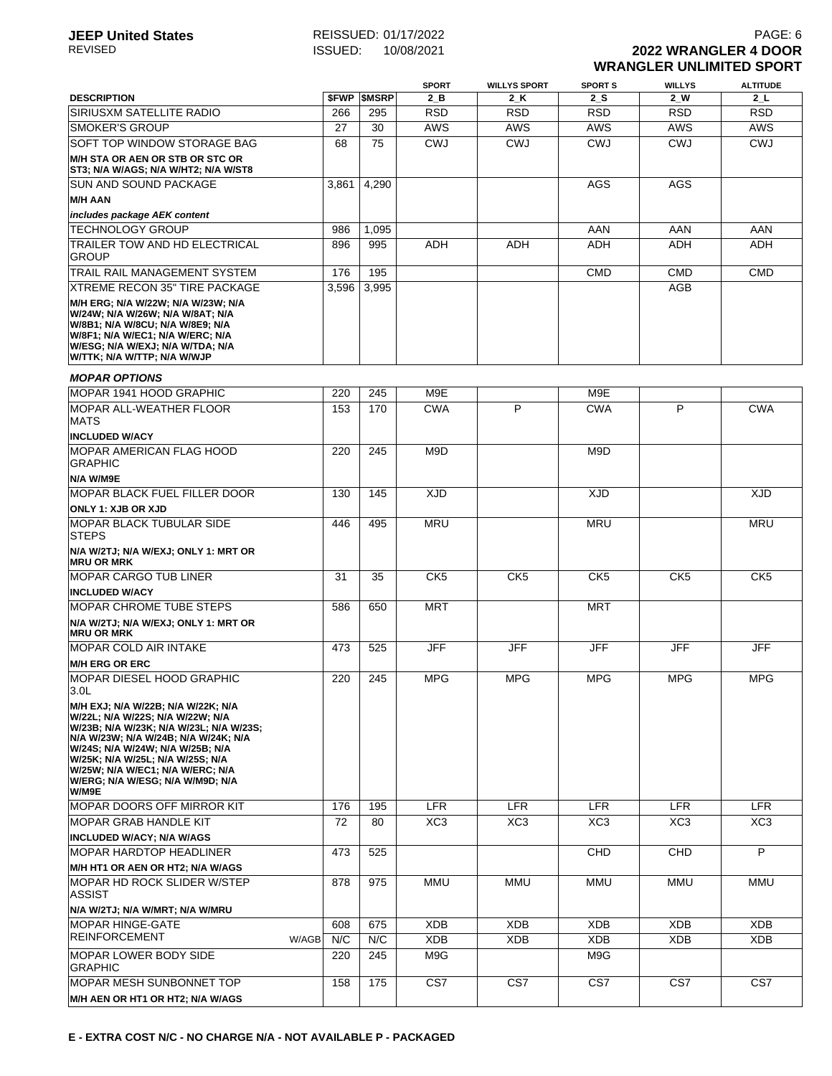## **JEEP United States** REISSUED: 01/17/2022<br>REVISED **REVISED REVISED 2022 WRANGLER 4 DOOR ISSUED:** 10/08/2021 **2022 WRANGLER 4 DOOR WRANGLER UNLIMITED SPORT**

|                                                                                                                                                                                                                                                                                                                    |       |        | <b>SPORT</b>    | <b>WILLYS SPORT</b> | <b>SPORT S</b>  | <b>WILLYS</b>   | <b>ALTITUDE</b> |
|--------------------------------------------------------------------------------------------------------------------------------------------------------------------------------------------------------------------------------------------------------------------------------------------------------------------|-------|--------|-----------------|---------------------|-----------------|-----------------|-----------------|
| <b>DESCRIPTION</b>                                                                                                                                                                                                                                                                                                 | \$FWP | \$MSRP | 2 B             | 2 K                 | 2 S             | 2 W             | 2 L             |
| <b>SIRIUSXM SATELLITE RADIO</b>                                                                                                                                                                                                                                                                                    | 266   | 295    | <b>RSD</b>      | <b>RSD</b>          | <b>RSD</b>      | <b>RSD</b>      | <b>RSD</b>      |
| <b>SMOKER'S GROUP</b>                                                                                                                                                                                                                                                                                              | 27    | 30     | <b>AWS</b>      | <b>AWS</b>          | <b>AWS</b>      | AWS             | <b>AWS</b>      |
| SOFT TOP WINDOW STORAGE BAG                                                                                                                                                                                                                                                                                        | 68    | 75     | <b>CWJ</b>      | <b>CWJ</b>          | <b>CWJ</b>      | <b>CWJ</b>      | CWJ             |
| <b>M/H STA OR AEN OR STB OR STC OR</b><br>ST3; N/A W/AGS; N/A W/HT2; N/A W/ST8                                                                                                                                                                                                                                     |       |        |                 |                     |                 |                 |                 |
| <b>SUN AND SOUND PACKAGE</b>                                                                                                                                                                                                                                                                                       | 3,861 | 4,290  |                 |                     | AGS             | AGS             |                 |
| <b>M/H AAN</b>                                                                                                                                                                                                                                                                                                     |       |        |                 |                     |                 |                 |                 |
| includes package AEK content                                                                                                                                                                                                                                                                                       |       |        |                 |                     |                 |                 |                 |
| <b>TECHNOLOGY GROUP</b>                                                                                                                                                                                                                                                                                            | 986   | 1,095  |                 |                     | AAN             | AAN             | AAN             |
| TRAILER TOW AND HD ELECTRICAL<br><b>GROUP</b>                                                                                                                                                                                                                                                                      | 896   | 995    | ADH             | <b>ADH</b>          | <b>ADH</b>      | ADH             | ADH             |
| TRAIL RAIL MANAGEMENT SYSTEM                                                                                                                                                                                                                                                                                       | 176   | 195    |                 |                     | <b>CMD</b>      | <b>CMD</b>      | <b>CMD</b>      |
| XTREME RECON 35" TIRE PACKAGE                                                                                                                                                                                                                                                                                      | 3,596 | 3,995  |                 |                     |                 | AGB             |                 |
| M/H ERG; N/A W/22W; N/A W/23W; N/A<br>W/24W; N/A W/26W; N/A W/8AT; N/A<br>W/8B1; N/A W/8CU; N/A W/8E9; N/A<br>W/8F1; N/A W/EC1; N/A W/ERC; N/A<br>W/ESG; N/A W/EXJ; N/A W/TDA; N/A<br>W/TTK; N/A W/TTP; N/A W/WJP                                                                                                  |       |        |                 |                     |                 |                 |                 |
| <b>MOPAR OPTIONS</b>                                                                                                                                                                                                                                                                                               |       |        |                 |                     |                 |                 |                 |
| MOPAR 1941 HOOD GRAPHIC                                                                                                                                                                                                                                                                                            | 220   | 245    | M9E             |                     | M9E             |                 |                 |
| <b>MOPAR ALL-WEATHER FLOOR</b><br><b>MATS</b>                                                                                                                                                                                                                                                                      | 153   | 170    | <b>CWA</b>      | P                   | <b>CWA</b>      | P               | <b>CWA</b>      |
| <b>INCLUDED W/ACY</b>                                                                                                                                                                                                                                                                                              |       |        |                 |                     |                 |                 |                 |
| <b>MOPAR AMERICAN FLAG HOOD</b><br><b>GRAPHIC</b>                                                                                                                                                                                                                                                                  | 220   | 245    | M9D             |                     | M9D             |                 |                 |
| N/A W/M9E                                                                                                                                                                                                                                                                                                          |       |        |                 |                     |                 |                 |                 |
| <b>MOPAR BLACK FUEL FILLER DOOR</b>                                                                                                                                                                                                                                                                                | 130   | 145    | <b>XJD</b>      |                     | <b>XJD</b>      |                 | <b>XJD</b>      |
| <b>ONLY 1: XJB OR XJD</b>                                                                                                                                                                                                                                                                                          |       |        |                 |                     |                 |                 |                 |
| <b>MOPAR BLACK TUBULAR SIDE</b><br><b>STEPS</b>                                                                                                                                                                                                                                                                    | 446   | 495    | <b>MRU</b>      |                     | <b>MRU</b>      |                 | <b>MRU</b>      |
| N/A W/2TJ; N/A W/EXJ; ONLY 1: MRT OR<br><b>MRU OR MRK</b>                                                                                                                                                                                                                                                          |       |        |                 |                     |                 |                 |                 |
| <b>MOPAR CARGO TUB LINER</b>                                                                                                                                                                                                                                                                                       | 31    | 35     | CK <sub>5</sub> | CK <sub>5</sub>     | CK <sub>5</sub> | CK <sub>5</sub> | CK <sub>5</sub> |
| <b>INCLUDED W/ACY</b>                                                                                                                                                                                                                                                                                              |       |        |                 |                     |                 |                 |                 |
| IMOPAR CHROME TUBE STEPS<br>N/A W/2TJ; N/A W/EXJ; ONLY 1: MRT OR<br><b>MRU OR MRK</b>                                                                                                                                                                                                                              | 586   | 650    | <b>MRT</b>      |                     | <b>MRT</b>      |                 |                 |
| MOPAR COLD AIR INTAKE                                                                                                                                                                                                                                                                                              | 473   | 525    | <b>JFF</b>      | <b>JFF</b>          | <b>JFF</b>      | <b>JFF</b>      | <b>JFF</b>      |
| <b>M/H ERG OR ERC</b>                                                                                                                                                                                                                                                                                              |       |        |                 |                     |                 |                 |                 |
| MOPAR DIESEL HOOD GRAPHIC<br>3.0 <sub>L</sub>                                                                                                                                                                                                                                                                      | 220   | 245    | <b>MPG</b>      | <b>MPG</b>          | <b>MPG</b>      | <b>MPG</b>      | <b>MPG</b>      |
| M/H EXJ; N/A W/22B; N/A W/22K; N/A<br>W/22L: N/A W/22S: N/A W/22W: N/A<br>W/23B; N/A W/23K; N/A W/23L; N/A W/23S;<br>N/A W/23W; N/A W/24B; N/A W/24K; N/A<br>W/24S; N/A W/24W; N/A W/25B; N/A<br>W/25K; N/A W/25L; N/A W/25S; N/A<br>W/25W; N/A W/EC1; N/A W/ERC; N/A<br>W/ERG; N/A W/ESG; N/A W/M9D; N/A<br>W/M9E |       |        |                 |                     |                 |                 |                 |
| <b>MOPAR DOORS OFF MIRROR KIT</b>                                                                                                                                                                                                                                                                                  | 176   | 195    | <b>LFR</b>      | <b>LFR</b>          | <b>LFR</b>      | <b>LFR</b>      | <b>LFR</b>      |
| MOPAR GRAB HANDLE KIT                                                                                                                                                                                                                                                                                              | 72    | 80     | XC <sub>3</sub> | XC <sub>3</sub>     | XC <sub>3</sub> | XC <sub>3</sub> | XC3             |
| <b>INCLUDED W/ACY; N/A W/AGS</b>                                                                                                                                                                                                                                                                                   |       |        |                 |                     |                 |                 |                 |
| <b>MOPAR HARDTOP HEADLINER</b>                                                                                                                                                                                                                                                                                     | 473   | 525    |                 |                     | CHD             | CHD             | P               |
| M/H HT1 OR AEN OR HT2; N/A W/AGS                                                                                                                                                                                                                                                                                   |       |        |                 |                     |                 |                 |                 |
| MOPAR HD ROCK SLIDER W/STEP<br><b>ASSIST</b>                                                                                                                                                                                                                                                                       | 878   | 975    | MMU             | MMU                 | MMU             | MMU             | MMU             |
| N/A W/2TJ; N/A W/MRT; N/A W/MRU                                                                                                                                                                                                                                                                                    |       |        |                 |                     |                 |                 |                 |
| <b>MOPAR HINGE-GATE</b>                                                                                                                                                                                                                                                                                            | 608   | 675    | <b>XDB</b>      | <b>XDB</b>          | <b>XDB</b>      | <b>XDB</b>      | XDB             |
| <b>REINFORCEMENT</b><br>W/AGB                                                                                                                                                                                                                                                                                      | N/C   | N/C    | <b>XDB</b>      | <b>XDB</b>          | <b>XDB</b>      | XDB             | XDB             |
| <b>MOPAR LOWER BODY SIDE</b><br><b>GRAPHIC</b>                                                                                                                                                                                                                                                                     | 220   | 245    | M9G             |                     | M9G             |                 |                 |
| MOPAR MESH SUNBONNET TOP                                                                                                                                                                                                                                                                                           | 158   | 175    | CS7             | CS7                 | CS7             | CS7             | CS7             |
| M/H AEN OR HT1 OR HT2; N/A W/AGS                                                                                                                                                                                                                                                                                   |       |        |                 |                     |                 |                 |                 |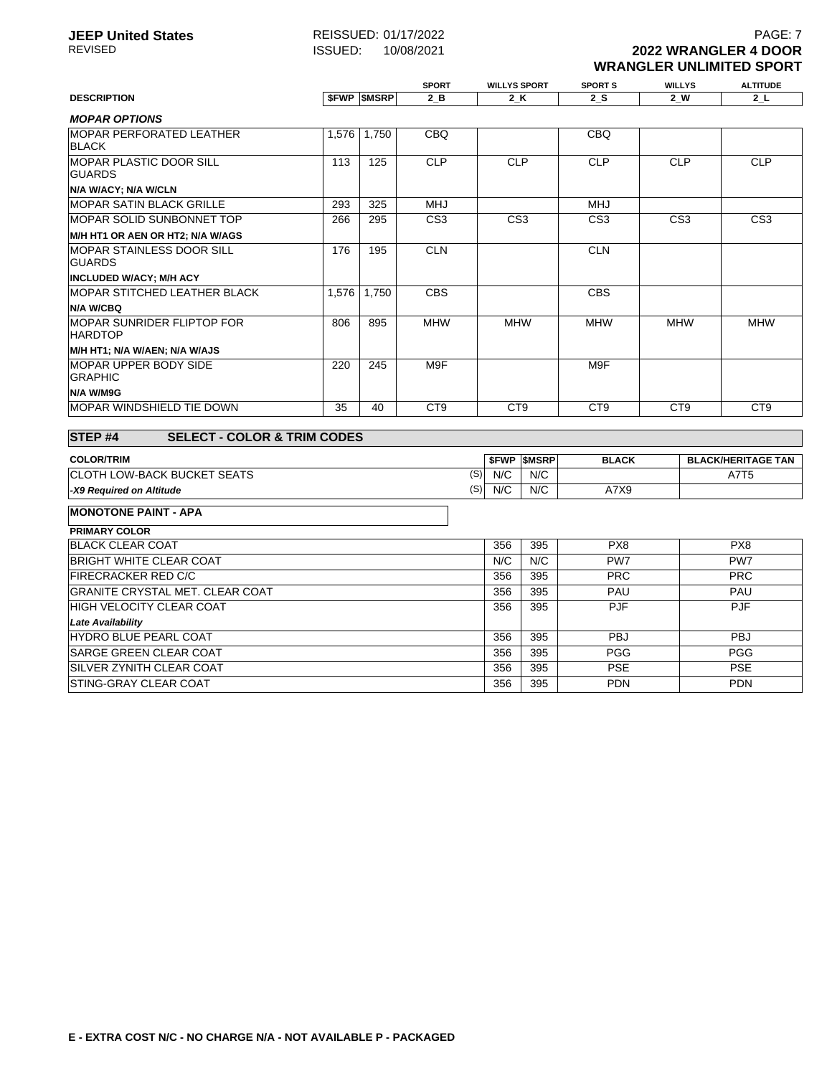**SPORT WILLYS SPORT SPORTS WILLYS ALTITUDE**<br> **2\_B** 2\_K 2\_S 2\_W 2\_L

# **DESCRIPTION \$FWP \$MSRP 2\_B 2\_K 2\_S 2\_W 2\_L**

| <b>MOPAR OPTIONS</b>                                 |       |       |                 |                 |                 |                 |                 |
|------------------------------------------------------|-------|-------|-----------------|-----------------|-----------------|-----------------|-----------------|
| <b>IMOPAR PERFORATED LEATHER</b><br><b>BLACK</b>     | 1,576 | 1.750 | CBQ             |                 | <b>CBQ</b>      |                 |                 |
| <b>IMOPAR PLASTIC DOOR SILL</b><br><b>GUARDS</b>     | 113   | 125   | <b>CLP</b>      | <b>CLP</b>      | <b>CLP</b>      | <b>CLP</b>      | <b>CLP</b>      |
| N/A W/ACY; N/A W/CLN                                 |       |       |                 |                 |                 |                 |                 |
| <b>IMOPAR SATIN BLACK GRILLE</b>                     | 293   | 325   | <b>MHJ</b>      |                 | <b>MHJ</b>      |                 |                 |
| <b>IMOPAR SOLID SUNBONNET TOP</b>                    | 266   | 295   | CS <sub>3</sub> | CS <sub>3</sub> | CS <sub>3</sub> | CS <sub>3</sub> | CS <sub>3</sub> |
| M/H HT1 OR AEN OR HT2; N/A W/AGS                     |       |       |                 |                 |                 |                 |                 |
| IMOPAR STAINLESS DOOR SILL<br><b>GUARDS</b>          | 176   | 195   | <b>CLN</b>      |                 | <b>CLN</b>      |                 |                 |
| <b>INCLUDED W/ACY; M/H ACY</b>                       |       |       |                 |                 |                 |                 |                 |
| IMOPAR STITCHED LEATHER BLACK                        | 1,576 | 1,750 | <b>CBS</b>      |                 | <b>CBS</b>      |                 |                 |
| N/A W/CBQ                                            |       |       |                 |                 |                 |                 |                 |
| <b>IMOPAR SUNRIDER FLIPTOP FOR</b><br><b>HARDTOP</b> | 806   | 895   | <b>MHW</b>      | <b>MHW</b>      | <b>MHW</b>      | <b>MHW</b>      | <b>MHW</b>      |
| M/H HT1; N/A W/AEN; N/A W/AJS                        |       |       |                 |                 |                 |                 |                 |
| IMOPAR UPPER BODY SIDE<br><b>GRAPHIC</b>             | 220   | 245   | M9F             |                 | M9F             |                 |                 |
| N/A W/M9G                                            |       |       |                 |                 |                 |                 |                 |
| IMOPAR WINDSHIELD TIE DOWN                           | 35    | 40    | CT <sub>9</sub> | CT <sub>9</sub> | C <sub>T9</sub> | CT <sub>9</sub> | CT <sub>9</sub> |

#### **STEP #4 SELECT - COLOR & TRIM CODES EXAMPLE ACTIONS ASSESSED ASSESSED ASSESSED ASSESSED BLACK BLACK/HERITAGE TAN** CLOTH LOW-BACK BUCKET SEATS **-X9 Required on Altitude** (S) N/C N/C A7T5 (S) N/C N/C A7X9

#### **MONOTONE PAINT - APA**

| <b>PRIMARY COLOR</b>                   |     |     |                 |                 |
|----------------------------------------|-----|-----|-----------------|-----------------|
| <b>BLACK CLEAR COAT</b>                | 356 | 395 | PX8             | PX8             |
| <b>BRIGHT WHITE CLEAR COAT</b>         | N/C | N/C | PW <sub>7</sub> | PW <sub>7</sub> |
| <b>FIRECRACKER RED C/C</b>             | 356 | 395 | <b>PRC</b>      | <b>PRC</b>      |
| <b>GRANITE CRYSTAL MET. CLEAR COAT</b> | 356 | 395 | PAU             | PAU             |
| <b>HIGH VELOCITY CLEAR COAT</b>        | 356 | 395 | <b>PJF</b>      | <b>PJF</b>      |
| <b>Late Availability</b>               |     |     |                 |                 |
| <b>HYDRO BLUE PEARL COAT</b>           | 356 | 395 | <b>PBJ</b>      | <b>PBJ</b>      |
| <b>SARGE GREEN CLEAR COAT</b>          | 356 | 395 | <b>PGG</b>      | <b>PGG</b>      |
| <b>ISILVER ZYNITH CLEAR COAT</b>       | 356 | 395 | <b>PSE</b>      | <b>PSE</b>      |
| <b>STING-GRAY CLEAR COAT</b>           | 356 | 395 | <b>PDN</b>      | <b>PDN</b>      |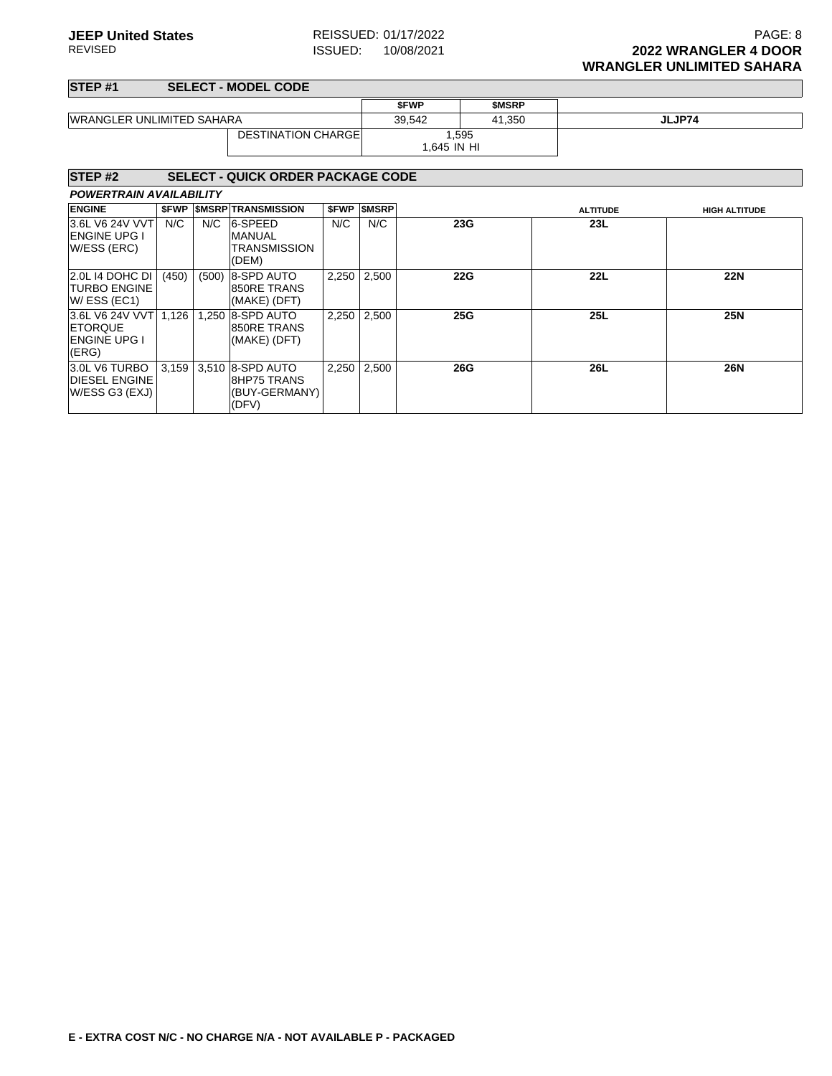٦

### **STEP #1 SELECT - MODEL CODE**

| 51ETHI                                                            |       |       | <b>JELEUI - MUDEL UUDE</b>                                  |       |                  |             |              |                 |                      |
|-------------------------------------------------------------------|-------|-------|-------------------------------------------------------------|-------|------------------|-------------|--------------|-----------------|----------------------|
|                                                                   |       |       |                                                             |       |                  | <b>SFWP</b> | <b>SMSRP</b> |                 |                      |
| <b>WRANGLER UNLIMITED SAHARA</b>                                  |       |       |                                                             |       | 39,542<br>41,350 |             |              | JLJP74          |                      |
|                                                                   |       |       | <b>DESTINATION CHARGE</b>                                   |       |                  | 1.645 IN HI | 1,595        |                 |                      |
| STEP <sub>#2</sub>                                                |       |       | <b>SELECT - QUICK ORDER PACKAGE CODE</b>                    |       |                  |             |              |                 |                      |
| <b>POWERTRAIN AVAILABILITY</b>                                    |       |       |                                                             |       |                  |             |              |                 |                      |
| <b>ENGINE</b>                                                     | \$FWP |       | <b><i>SMSRP TRANSMISSION</i></b>                            | \$FWP | <b>\$MSRP</b>    |             |              | <b>ALTITUDE</b> | <b>HIGH ALTITUDE</b> |
| 3.6L V6 24V VVT<br><b>ENGINE UPG I</b><br>W/ESS (ERC)             | N/C   | N/C   | 6-SPEED<br><b>MANUAL</b><br><b>TRANSMISSION</b><br>(DEM)    | N/C   | N/C              |             | 23G          | 23L             |                      |
| 2.0L 14 DOHC DI<br><b>TURBO ENGINE</b><br>$W/$ ESS (EC1)          | (450) | (500) | 8-SPD AUTO<br>850RE TRANS<br>(MAKE) (DFT)                   | 2,250 | 2,500            |             | <b>22G</b>   | 22L             | <b>22N</b>           |
| 3.6L V6 24V VVT<br><b>ETORQUE</b><br><b>ENGINE UPG I</b><br>(ERG) | 1,126 | 1,250 | 8-SPD AUTO<br>850RE TRANS<br>(MAKE) (DFT)                   | 2,250 | 2,500            |             | 25G          | <b>25L</b>      | <b>25N</b>           |
| 3.0L V6 TURBO<br><b>DIESEL ENGINE</b><br>W/ESS G3 (EXJ)           | 3,159 |       | 3,510 8-SPD AUTO<br>8HP75 TRANS<br>(BUY-GERMANY)  <br>(DFV) | 2,250 | 2,500            |             | 26G          | 26L             | <b>26N</b>           |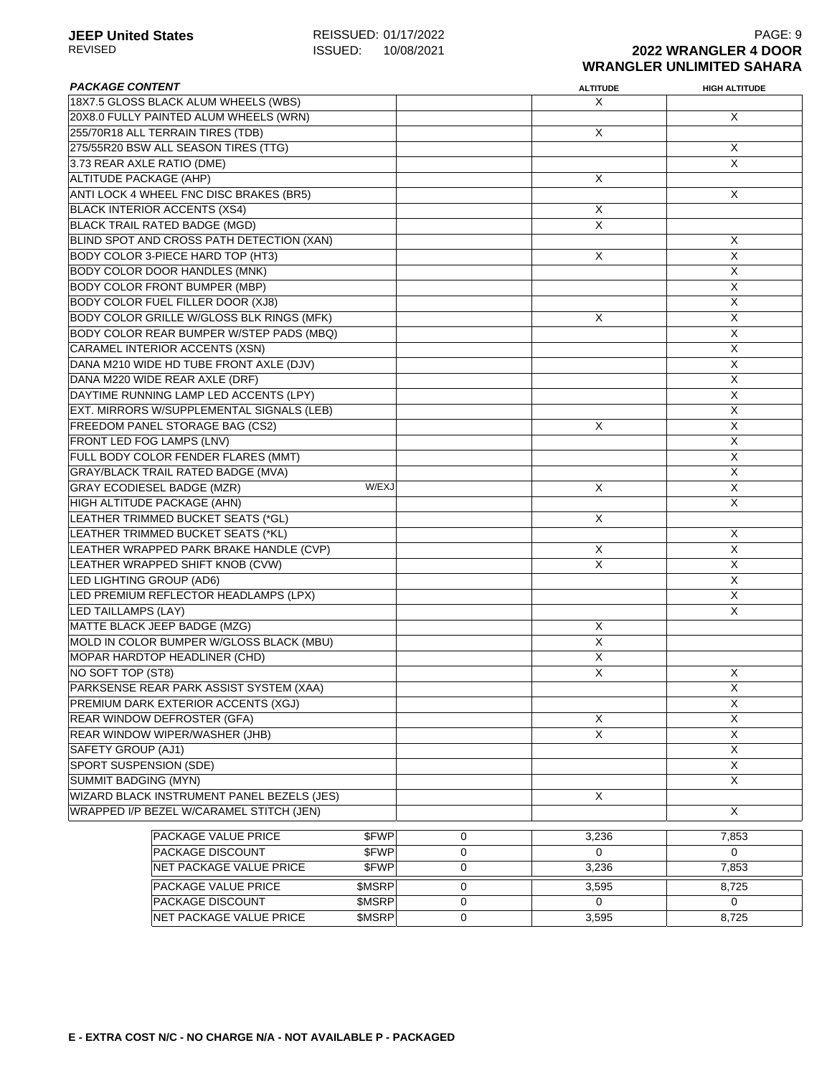| <b>PACKAGE CONTENT</b>                     |        |   | <b>ALTITUDE</b> | <b>HIGH ALTITUDE</b>    |
|--------------------------------------------|--------|---|-----------------|-------------------------|
| 18X7.5 GLOSS BLACK ALUM WHEELS (WBS)       |        |   | X               |                         |
| 20X8.0 FULLY PAINTED ALUM WHEELS (WRN)     |        |   |                 | X                       |
| 255/70R18 ALL TERRAIN TIRES (TDB)          |        |   | X               |                         |
| 275/55R20 BSW ALL SEASON TIRES (TTG)       |        |   |                 | Χ                       |
| 3.73 REAR AXLE RATIO (DME)                 |        |   |                 | X                       |
| <b>ALTITUDE PACKAGE (AHP)</b>              |        |   | X               |                         |
| ANTI LOCK 4 WHEEL FNC DISC BRAKES (BR5)    |        |   |                 | X                       |
| <b>BLACK INTERIOR ACCENTS (XS4)</b>        |        |   | X               |                         |
| <b>BLACK TRAIL RATED BADGE (MGD)</b>       |        |   | X               |                         |
| BLIND SPOT AND CROSS PATH DETECTION (XAN)  |        |   |                 | X                       |
| BODY COLOR 3-PIECE HARD TOP (HT3)          |        |   | X               | X                       |
| <b>BODY COLOR DOOR HANDLES (MNK)</b>       |        |   |                 | X                       |
| <b>BODY COLOR FRONT BUMPER (MBP)</b>       |        |   |                 | X                       |
| <b>BODY COLOR FUEL FILLER DOOR (XJ8)</b>   |        |   |                 | X                       |
| BODY COLOR GRILLE W/GLOSS BLK RINGS (MFK)  |        |   | X               | $\overline{\mathsf{x}}$ |
| BODY COLOR REAR BUMPER W/STEP PADS (MBQ)   |        |   |                 | $\overline{\mathsf{x}}$ |
| CARAMEL INTERIOR ACCENTS (XSN)             |        |   |                 | $\overline{\mathsf{X}}$ |
| DANA M210 WIDE HD TUBE FRONT AXLE (DJV)    |        |   |                 | X                       |
| DANA M220 WIDE REAR AXLE (DRF)             |        |   |                 | X                       |
| DAYTIME RUNNING LAMP LED ACCENTS (LPY)     |        |   |                 | X                       |
| EXT. MIRRORS W/SUPPLEMENTAL SIGNALS (LEB)  |        |   |                 | X                       |
| FREEDOM PANEL STORAGE BAG (CS2)            |        |   | X               | X                       |
| FRONT LED FOG LAMPS (LNV)                  |        |   |                 | X                       |
| FULL BODY COLOR FENDER FLARES (MMT)        |        |   |                 | $\overline{X}$          |
| <b>GRAY/BLACK TRAIL RATED BADGE (MVA)</b>  |        |   |                 | X                       |
| <b>GRAY ECODIESEL BADGE (MZR)</b>          | W/EXJ  |   | X               | X                       |
| HIGH ALTITUDE PACKAGE (AHN)                |        |   |                 | $\overline{\mathsf{x}}$ |
| LEATHER TRIMMED BUCKET SEATS (*GL)         |        |   | X               |                         |
| LEATHER TRIMMED BUCKET SEATS (*KL)         |        |   |                 | X                       |
| LEATHER WRAPPED PARK BRAKE HANDLE (CVP)    |        |   | Χ               | X                       |
| LEATHER WRAPPED SHIFT KNOB (CVW)           |        |   | X               | X                       |
| LED LIGHTING GROUP (AD6)                   |        |   |                 | X                       |
| LED PREMIUM REFLECTOR HEADLAMPS (LPX)      |        |   |                 | X                       |
| LED TAILLAMPS (LAY)                        |        |   |                 | $\overline{\mathsf{x}}$ |
| MATTE BLACK JEEP BADGE (MZG)               |        |   | X               |                         |
| MOLD IN COLOR BUMPER W/GLOSS BLACK (MBU)   |        |   | $\overline{X}$  |                         |
| <b>MOPAR HARDTOP HEADLINER (CHD)</b>       |        |   | X               |                         |
| NO SOFT TOP (ST8)                          |        |   | X               | X                       |
| PARKSENSE REAR PARK ASSIST SYSTEM (XAA)    |        |   |                 | X                       |
| PREMIUM DARK EXTERIOR ACCENTS (XGJ)        |        |   |                 | X                       |
|                                            |        |   |                 | X                       |
| REAR WINDOW DEFROSTER (GFA)                |        |   | Χ<br>X          | $\overline{\mathsf{x}}$ |
| REAR WINDOW WIPER/WASHER (JHB)             |        |   |                 |                         |
| SAFETY GROUP (AJ1)                         |        |   |                 | X                       |
| SPORT SUSPENSION (SDE)                     |        |   |                 | $\overline{X}$          |
| SUMMIT BADGING (MYN)                       |        |   |                 | X                       |
| WIZARD BLACK INSTRUMENT PANEL BEZELS (JES) |        |   | X               |                         |
| WRAPPED I/P BEZEL W/CARAMEL STITCH (JEN)   |        |   |                 | X                       |
| PACKAGE VALUE PRICE                        | \$FWP  | 0 | 3,236           | 7,853                   |
| PACKAGE DISCOUNT                           | \$FWP  | 0 | $\Omega$        | $\Omega$                |
| NET PACKAGE VALUE PRICE                    | \$FWP  | 0 | 3,236           | 7,853                   |
| PACKAGE VALUE PRICE                        | \$MSRP | 0 | 3,595           | 8,725                   |
| PACKAGE DISCOUNT                           | \$MSRP | 0 | 0               | 0                       |
| NET PACKAGE VALUE PRICE                    | \$MSRP | 0 | 3,595           | 8,725                   |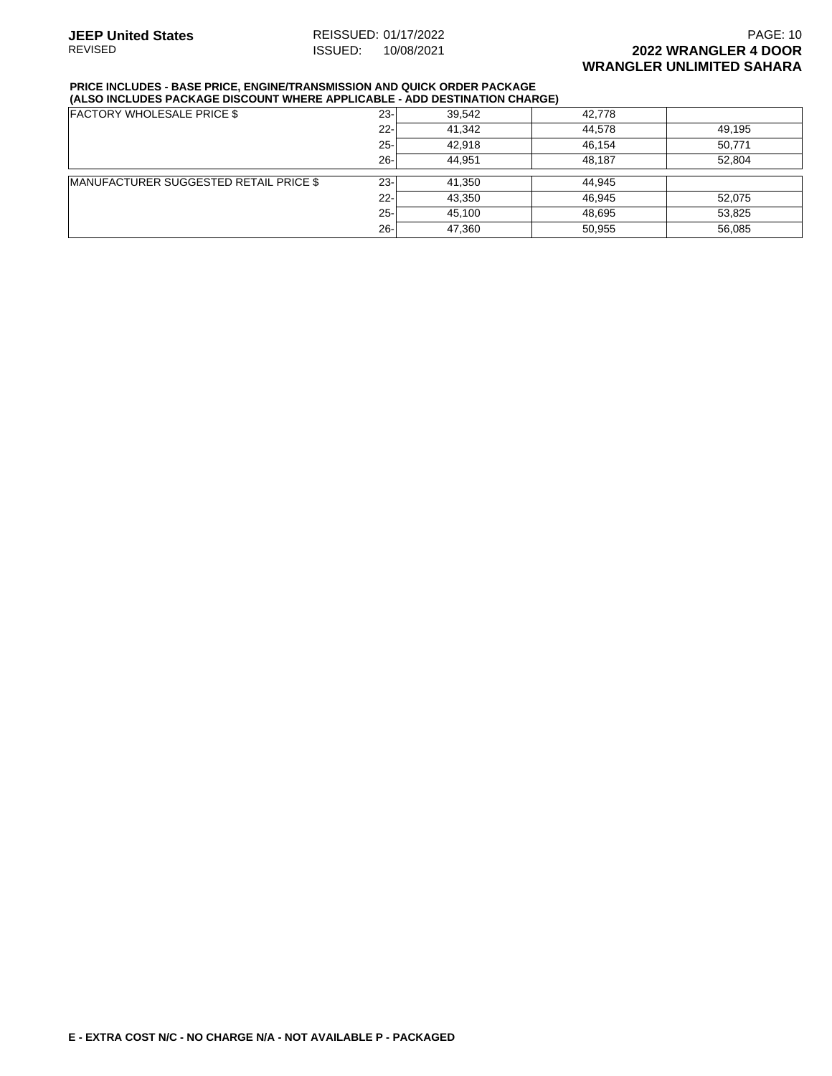### **JEEP United States** REISSUED: 01/17/2022 **PAGE: 10** PAGE: 10 REVISED ISSUED: 10/08/2021 **2022 WRANGLER 4 DOOR WRANGLER UNLIMITED SAHARA**

#### **PRICE INCLUDES - BASE PRICE, ENGINE/TRANSMISSION AND QUICK ORDER PACKAGE (ALSO INCLUDES PACKAGE DISCOUNT WHERE APPLICABLE - ADD DESTINATION CHARGE)**

| <b>FACTORY WHOLESALE PRICE \$</b>      | 23-    | 39,542 | 42,778 |        |
|----------------------------------------|--------|--------|--------|--------|
|                                        | $22 -$ | 41.342 | 44,578 | 49,195 |
|                                        | $25 -$ | 42.918 | 46.154 | 50,771 |
|                                        | $26 -$ | 44.951 | 48.187 | 52,804 |
| MANUFACTURER SUGGESTED RETAIL PRICE \$ | $23 -$ | 41.350 | 44,945 |        |
|                                        | $22 -$ | 43,350 | 46,945 | 52,075 |
|                                        | $25 -$ | 45.100 | 48,695 | 53,825 |
|                                        | $26 -$ | 47,360 | 50,955 | 56,085 |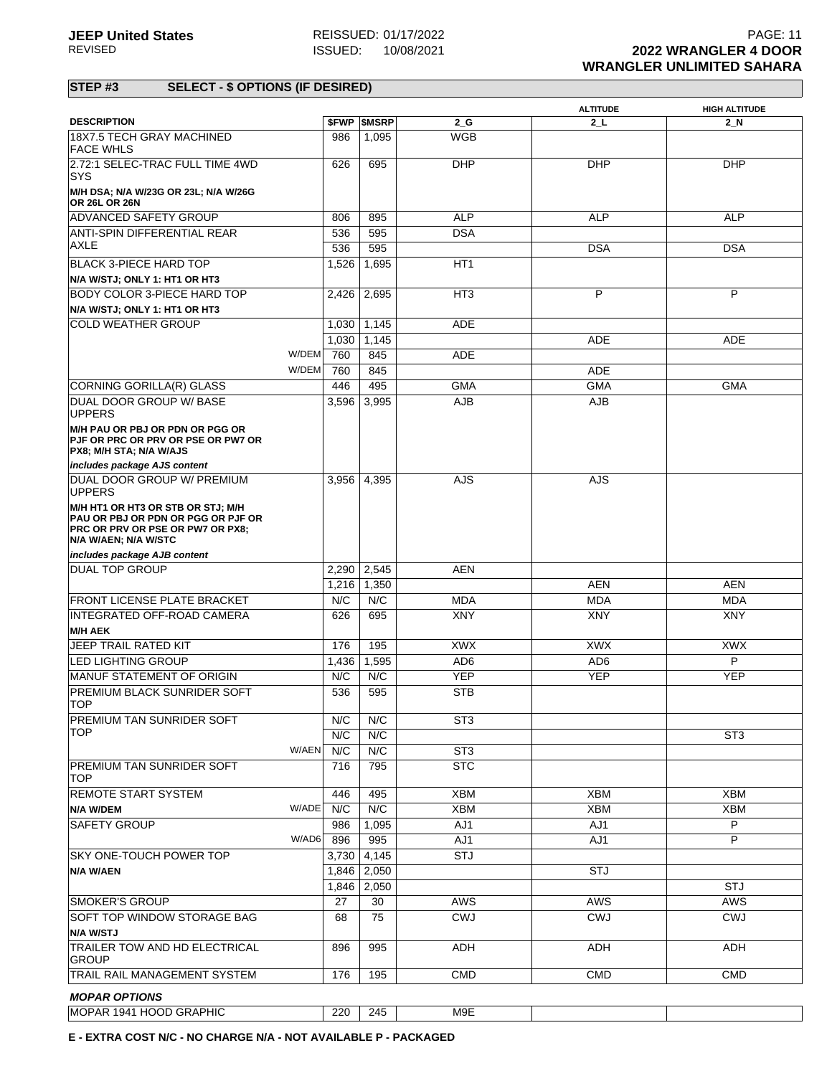|                                                                                                                                            |       |                          |                 | <b>ALTITUDE</b> | <b>HIGH ALTITUDE</b> |
|--------------------------------------------------------------------------------------------------------------------------------------------|-------|--------------------------|-----------------|-----------------|----------------------|
| <b>DESCRIPTION</b>                                                                                                                         |       | <b><i>SFWP SMSRP</i></b> | $2_G$           | $2$ _L          | 2 N                  |
| 18X7.5 TECH GRAY MACHINED<br><b>FACE WHLS</b>                                                                                              | 986   | 1,095                    | <b>WGB</b>      |                 |                      |
| 2.72:1 SELEC-TRAC FULL TIME 4WD<br><b>SYS</b>                                                                                              | 626   | 695                      | <b>DHP</b>      | <b>DHP</b>      | <b>DHP</b>           |
| M/H DSA; N/A W/23G OR 23L; N/A W/26G<br><b>OR 26L OR 26N</b>                                                                               |       |                          |                 |                 |                      |
| <b>ADVANCED SAFETY GROUP</b>                                                                                                               | 806   | 895                      | <b>ALP</b>      | <b>ALP</b>      | <b>ALP</b>           |
| <b>ANTI-SPIN DIFFERENTIAL REAR</b>                                                                                                         | 536   | 595                      | DSA             |                 |                      |
| AXLE                                                                                                                                       | 536   | 595                      |                 | <b>DSA</b>      | <b>DSA</b>           |
| <b>BLACK 3-PIECE HARD TOP</b>                                                                                                              | 1,526 | 1,695                    | HT <sub>1</sub> |                 |                      |
| N/A W/STJ; ONLY 1: HT1 OR HT3                                                                                                              |       |                          |                 |                 |                      |
| <b>BODY COLOR 3-PIECE HARD TOP</b>                                                                                                         | 2,426 | 2,695                    | HT <sub>3</sub> | P               | P                    |
| N/A W/STJ; ONLY 1: HT1 OR HT3                                                                                                              |       |                          |                 |                 |                      |
| <b>COLD WEATHER GROUP</b>                                                                                                                  | 1,030 | 1,145                    | <b>ADE</b>      |                 |                      |
|                                                                                                                                            | 1,030 | 1,145                    |                 | <b>ADE</b>      | <b>ADE</b>           |
| W/DEM                                                                                                                                      | 760   | 845                      | <b>ADE</b>      |                 |                      |
| W/DEM                                                                                                                                      | 760   | 845                      |                 | <b>ADE</b>      |                      |
| CORNING GORILLA(R) GLASS                                                                                                                   | 446   | 495                      | <b>GMA</b>      | <b>GMA</b>      | GMA                  |
| <b>DUAL DOOR GROUP W/ BASE</b><br><b>UPPERS</b>                                                                                            | 3,596 | 3,995                    | AJB             | <b>AJB</b>      |                      |
| <b>M/H PAU OR PBJ OR PDN OR PGG OR</b><br>PJF OR PRC OR PRV OR PSE OR PW7 OR<br>PX8; M/H STA; N/A W/AJS                                    |       |                          |                 |                 |                      |
| includes package AJS content                                                                                                               |       |                          |                 |                 |                      |
| DUAL DOOR GROUP W/ PREMIUM<br><b>UPPERS</b>                                                                                                | 3,956 | 4,395                    | <b>AJS</b>      | <b>AJS</b>      |                      |
| M/H HT1 OR HT3 OR STB OR STJ; M/H<br>PAU OR PBJ OR PDN OR PGG OR PJF OR<br><b>PRC OR PRV OR PSE OR PW7 OR PX8;</b><br>N/A W/AEN; N/A W/STC |       |                          |                 |                 |                      |
| includes package AJB content                                                                                                               |       |                          |                 |                 |                      |
| <b>DUAL TOP GROUP</b>                                                                                                                      | 2,290 | 2,545                    | <b>AEN</b>      |                 |                      |
|                                                                                                                                            | 1,216 | 1,350                    |                 | <b>AEN</b>      | <b>AEN</b>           |
| FRONT LICENSE PLATE BRACKET                                                                                                                | N/C   | N/C                      | <b>MDA</b>      | <b>MDA</b>      | <b>MDA</b>           |
| INTEGRATED OFF-ROAD CAMERA                                                                                                                 | 626   | 695                      | XNY             | <b>XNY</b>      | XNY                  |
| <b>M/H AEK</b>                                                                                                                             |       |                          |                 |                 |                      |
| JEEP TRAIL RATED KIT                                                                                                                       | 176   | 195                      | <b>XWX</b>      | <b>XWX</b>      | <b>XWX</b>           |
| LED LIGHTING GROUP                                                                                                                         | 1,436 | 1,595                    | AD <sub>6</sub> | AD <sub>6</sub> | P                    |
| MANUF STATEMENT OF ORIGIN                                                                                                                  | N/C   | N/C                      | <b>YEP</b>      | <b>YEP</b>      | <b>YEP</b>           |
| PREMIUM BLACK SUNRIDER SOFT<br><b>TOP</b>                                                                                                  | 536   | 595                      | <b>STB</b>      |                 |                      |
| PREMIUM TAN SUNRIDER SOFT                                                                                                                  | N/C   | N/C                      | ST3             |                 |                      |
| <b>TOP</b>                                                                                                                                 | N/C   | N/C                      |                 |                 | ST <sub>3</sub>      |
| W/AEN                                                                                                                                      | N/C   | N/C                      | ST <sub>3</sub> |                 |                      |
| PREMIUM TAN SUNRIDER SOFT<br><b>TOP</b>                                                                                                    | 716   | 795                      | <b>STC</b>      |                 |                      |
|                                                                                                                                            |       |                          |                 |                 |                      |
| <b>REMOTE START SYSTEM</b>                                                                                                                 | 446   | 495                      | XBM             | <b>XBM</b>      | <b>XBM</b>           |
| W/ADE<br>N/A W/DEM                                                                                                                         | N/C   | N/C                      | <b>XBM</b>      | <b>XBM</b>      | <b>XBM</b>           |
| <b>SAFETY GROUP</b>                                                                                                                        | 986   | 1,095                    | AJ1             | AJ1             | P                    |
| W/AD6                                                                                                                                      | 896   | 995                      | AJ1             | AJ1             | P                    |
| SKY ONE-TOUCH POWER TOP                                                                                                                    | 3,730 | 4,145                    | <b>STJ</b>      |                 |                      |
| N/A W/AEN                                                                                                                                  | 1,846 | 2,050                    |                 | <b>STJ</b>      |                      |
|                                                                                                                                            | 1,846 | 2,050                    |                 |                 | <b>STJ</b>           |
| <b>SMOKER'S GROUP</b>                                                                                                                      | 27    | 30                       | <b>AWS</b>      | <b>AWS</b>      | <b>AWS</b>           |
| <b>SOFT TOP WINDOW STORAGE BAG</b>                                                                                                         | 68    | 75                       | <b>CWJ</b>      | <b>CWJ</b>      | <b>CWJ</b>           |
| N/A W/STJ<br>TRAILER TOW AND HD ELECTRICAL<br><b>GROUP</b>                                                                                 | 896   | 995                      | ADH             | ADH             | ADH                  |
| TRAIL RAIL MANAGEMENT SYSTEM                                                                                                               | 176   | 195                      | <b>CMD</b>      | <b>CMD</b>      | <b>CMD</b>           |
|                                                                                                                                            |       |                          |                 |                 |                      |
| <b>MOPAR OPTIONS</b>                                                                                                                       |       |                          |                 |                 |                      |
| MOPAR 1941 HOOD GRAPHIC                                                                                                                    | 220   | 245                      | M9E             |                 |                      |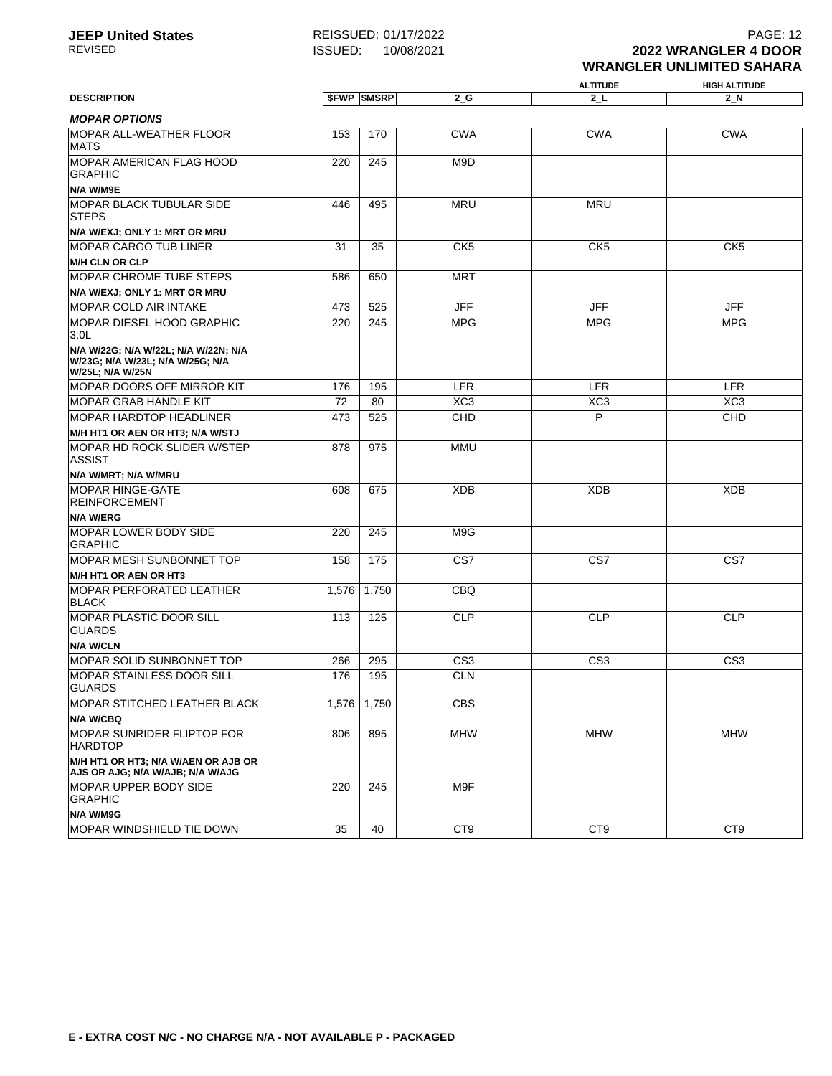#### **ALTITUDE HIGH ALTITUDE DESCRIPTION \$FWP \$MSRP 2\_G 2\_L 2\_N MOPAR OPTIONS** MOPAR ALL-WEATHER FLOOR MATS 153 170 CWA CWA CWA MOPAR AMERICAN FLAG HOOD GRAPHIC **N/A W/M9E** 220 245 M9D MOPAR BLACK TUBULAR SIDE **STEPS N/A W/EXJ; ONLY 1: MRT OR MRU** 446 495 MRU MRU MOPAR CARGO TUB LINER **M/H CLN OR CLP** 31 35 CK5 CK5 CK5 MOPAR CHROME TUBE STEPS **N/A W/EXJ; ONLY 1: MRT OR MRU** 586 650 MRT MOPAR COLD AIR INTAKE **173 525** JFF JFF JFF JFF JFF JFF MOPAR DIESEL HOOD GRAPHIC 3.0L **N/A W/22G; N/A W/22L; N/A W/22N; N/A W/23G; N/A W/23L; N/A W/25G; N/A W/25L; N/A W/25N** 220 245 MPG MPG MPG MOPAR DOORS OFF MIRROR KIT | 176 | 195 | LFR | LER | LFR MOPAR GRAB HANDLE KIT **72 80 XC3** XC3 XC3 XC3 XC3 MOPAR HARDTOP HEADLINER **M/H HT1 OR AEN OR HT3; N/A W/STJ** 473 525 CHD P CHD MOPAR HD ROCK SLIDER W/STEP ASSIST **N/A W/MRT; N/A W/MRU** 878 975 MMU MOPAR HINGE-GATE REINFORCEMENT **N/A W/ERG** 608 675 XDB XDB XDB MOPAR LOWER BODY SIDE GRAPHIC 220 245 M9G MOPAR MESH SUNBONNET TOP **M/H HT1 OR AEN OR HT3** 158 175 CS7 CS7 CS7 MOPAR PERFORATED LEATHER BLACK 1,576 1,750 CBQ MOPAR PLASTIC DOOR SILL GUARDS **N/A W/CLN** 113 125 CLP CLP CLP MOPAR SOLID SUNBONNET TOP 266 295 CS3 CS3 CS3 MOPAR STAINLESS DOOR SILL GUARDS 176 195 CLN MOPAR STITCHED LEATHER BLACK **N/A W/CBQ** 1,576 1,750 CBS MOPAR SUNRIDER FLIPTOP FOR HARDTOP **M/H HT1 OR HT3; N/A W/AEN OR AJB OR AJS OR AJG; N/A W/AJB; N/A W/AJG** 806 895 MHW MHW MHW MOPAR UPPER BODY SIDE GRAPHIC **N/A W/M9G** 220 245 M9F MOPAR WINDSHIELD TIE DOWN 35 40 CT9 CT9 CT9 CT9 CT9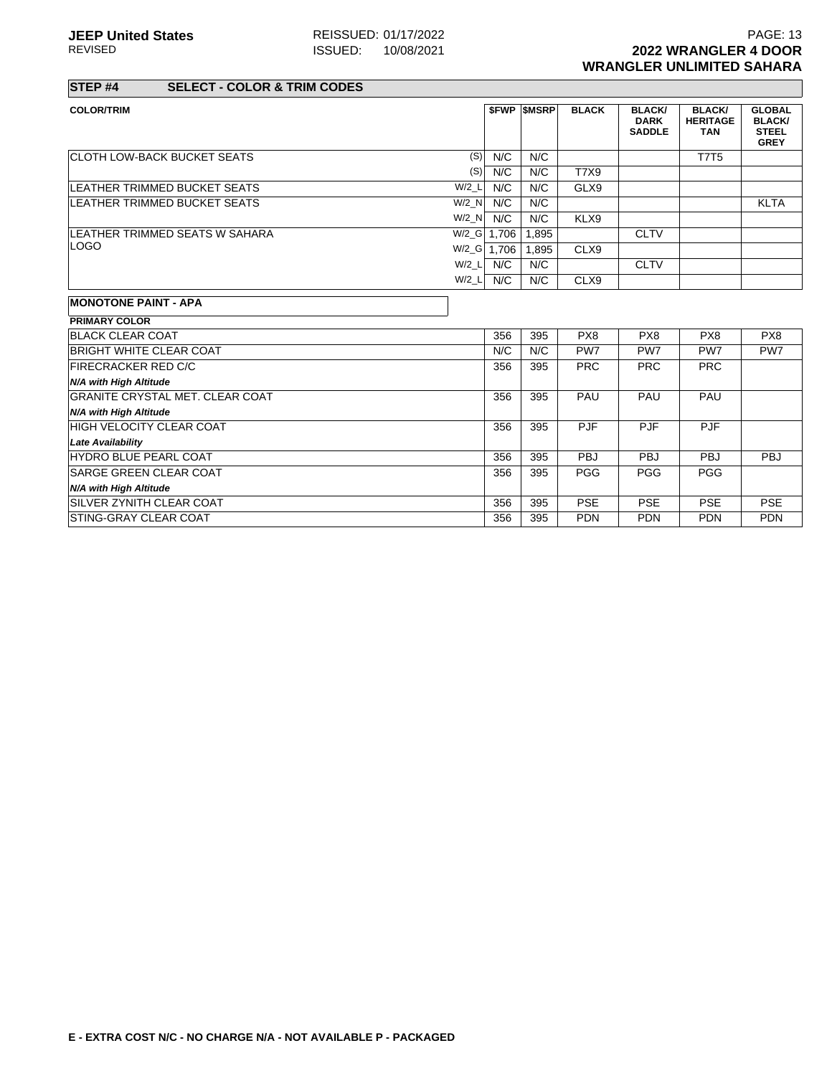### **STEP #4 SELECT - COLOR & TRIM CODES**

|     | <b>SFWP SMSRP</b>                                               | <b>BLACK</b>               | <b>BLACK/</b><br><b>DARK</b><br><b>SADDLE</b> | <b>BLACK/</b><br><b>HERITAGE</b><br><b>TAN</b> | <b>GLOBAL</b><br><b>BLACK/</b><br><b>STEEL</b><br><b>GREY</b> |
|-----|-----------------------------------------------------------------|----------------------------|-----------------------------------------------|------------------------------------------------|---------------------------------------------------------------|
| N/C | N/C                                                             |                            |                                               | <b>T7T5</b>                                    |                                                               |
| N/C | N/C                                                             | T7X9                       |                                               |                                                |                                                               |
| N/C | N/C                                                             | GLX9                       |                                               |                                                |                                                               |
| N/C | N/C                                                             |                            |                                               |                                                | <b>KLTA</b>                                                   |
| N/C | N/C                                                             | KLX9                       |                                               |                                                |                                                               |
|     | 1,895                                                           |                            | <b>CLTV</b>                                   |                                                |                                                               |
|     | 1.895                                                           | CLX9                       |                                               |                                                |                                                               |
| N/C | N/C                                                             |                            | <b>CLTV</b>                                   |                                                |                                                               |
| N/C | N/C                                                             | CLX9                       |                                               |                                                |                                                               |
|     |                                                                 |                            |                                               |                                                |                                                               |
|     |                                                                 |                            |                                               |                                                |                                                               |
| 356 | 395                                                             | PX8                        | PX8                                           | PX8                                            | PX8                                                           |
| N/C | N/C                                                             | PW <sub>7</sub>            | PW <sub>7</sub>                               | PW7                                            | PW7                                                           |
| 356 | 395                                                             | <b>PRC</b>                 | <b>PRC</b>                                    | <b>PRC</b>                                     |                                                               |
|     | (S)<br>(S)<br>$W/2_L$<br>W/2 N<br>$W/2$ N<br>$W/2_L$<br>$W/2_L$ | W/2_G 1,706<br>W/2_G 1,706 |                                               |                                                |                                                               |

| <b>FIRECRACKER RED C/C</b>             | 356 | 395 | <b>PRC</b> | <b>PRC</b> | <b>PRC</b> |            |
|----------------------------------------|-----|-----|------------|------------|------------|------------|
| N/A with High Altitude                 |     |     |            |            |            |            |
| <b>GRANITE CRYSTAL MET. CLEAR COAT</b> | 356 | 395 | <b>PAU</b> | <b>PAU</b> | PAU        |            |
| N/A with High Altitude                 |     |     |            |            |            |            |
| <b>HIGH VELOCITY CLEAR COAT</b>        | 356 | 395 | <b>PJF</b> | <b>PJF</b> | <b>PJF</b> |            |
| <b>Late Availability</b>               |     |     |            |            |            |            |
| <b>HYDRO BLUE PEARL COAT</b>           | 356 | 395 | <b>PBJ</b> | <b>PBJ</b> | <b>PBJ</b> | <b>PBJ</b> |
| <b>SARGE GREEN CLEAR COAT</b>          | 356 | 395 | <b>PGG</b> | <b>PGG</b> | <b>PGG</b> |            |
| N/A with High Altitude                 |     |     |            |            |            |            |
| <b>ISILVER ZYNITH CLEAR COAT</b>       | 356 | 395 | <b>PSE</b> | <b>PSE</b> | <b>PSE</b> | <b>PSE</b> |
| <b>ISTING-GRAY CLEAR COAT</b>          | 356 | 395 | <b>PDN</b> | <b>PDN</b> | <b>PDN</b> | <b>PDN</b> |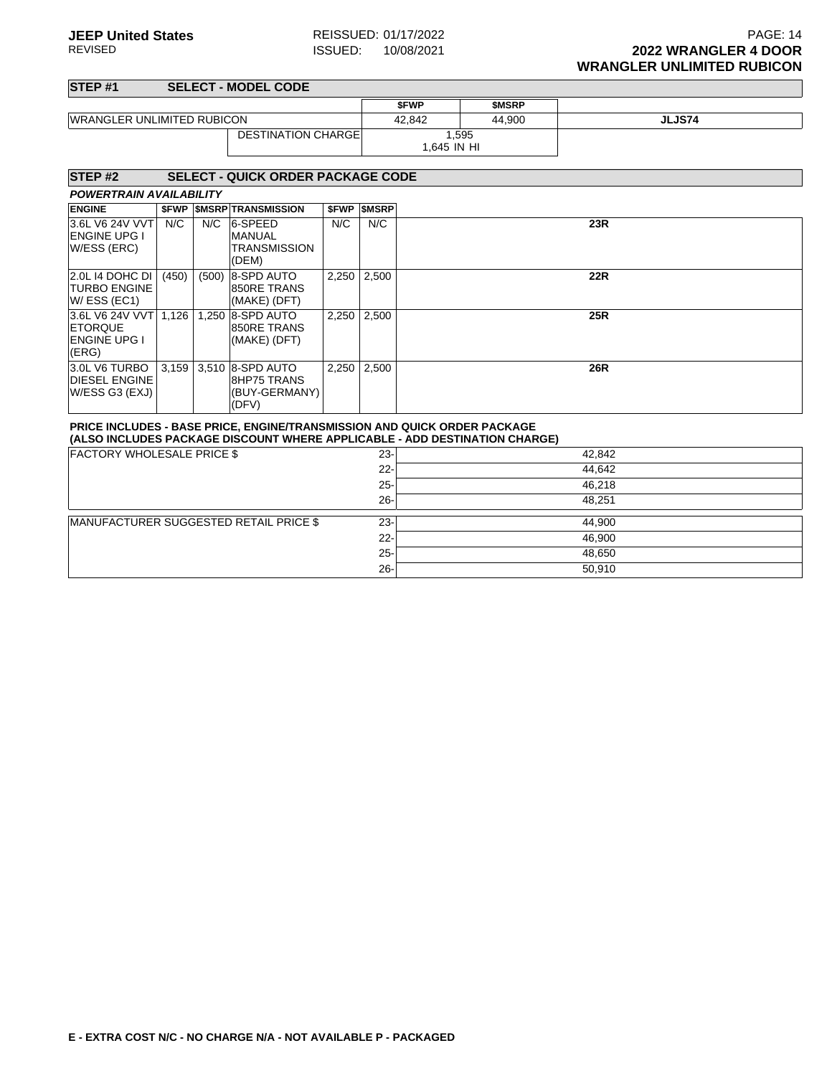| STEP <sub>#1</sub>                                                |                           |       | <b>SELECT - MODEL CODE</b>                                                      |             |                       |             |                                                                            |            |
|-------------------------------------------------------------------|---------------------------|-------|---------------------------------------------------------------------------------|-------------|-----------------------|-------------|----------------------------------------------------------------------------|------------|
|                                                                   |                           |       |                                                                                 |             |                       | <b>SFWP</b> | <b>SMSRP</b>                                                               |            |
| <b>WRANGLER UNLIMITED RUBICON</b>                                 |                           |       |                                                                                 |             | 42,842                | 44,900      | <b>JLJS74</b>                                                              |            |
|                                                                   | <b>DESTINATION CHARGE</b> |       |                                                                                 | 1.645 IN HI | 1,595                 |             |                                                                            |            |
| STEP <sub>#2</sub>                                                |                           |       | <b>SELECT - QUICK ORDER PACKAGE CODE</b>                                        |             |                       |             |                                                                            |            |
| <b>POWERTRAIN AVAILABILITY</b>                                    |                           |       |                                                                                 |             |                       |             |                                                                            |            |
| <b>ENGINE</b>                                                     |                           |       | <b><i>SFWP SMSRP TRANSMISSION</i></b>                                           |             | <b>\$FWP   \$MSRP</b> |             |                                                                            |            |
| 3.6L V6 24V VVT<br><b>ENGINE UPG I</b><br>W/ESS (ERC)             | N/C                       | N/C   | 6-SPEED<br><b>MANUAL</b><br><b>TRANSMISSION</b><br>(DEM)                        | N/C         | N/C                   |             |                                                                            | 23R        |
| 2.0L 14 DOHC DI<br><b>TURBO ENGINE</b><br>W/ESS (EC1)             | (450)                     | (500) | 8-SPD AUTO<br>850RE TRANS<br>(MAKE) (DFT)                                       | 2,250       | 2,500                 |             |                                                                            | <b>22R</b> |
| 3.6L V6 24V VVT<br><b>ETORQUE</b><br><b>ENGINE UPG I</b><br>(ERG) | 1,126                     |       | 1.250 8-SPD AUTO<br>850RE TRANS<br>(MAKE) (DFT)                                 | 2,250       | 2,500                 |             |                                                                            | <b>25R</b> |
| 3.0L V6 TURBO<br><b>DIESEL ENGINE</b><br>W/ESS G3 (EXJ)           |                           |       | 3,159 3,510 8-SPD AUTO<br>8HP75 TRANS<br>(BUY-GERMANY)<br>(DFV)                 | 2,250       | 2,500                 |             |                                                                            | <b>26R</b> |
|                                                                   |                           |       | <b>PRICE INCLUDES - BASE PRICE, ENGINE/TRANSMISSION AND QUICK ORDER PACKAGE</b> |             |                       |             | (ALSO INCLUDES PACKAGE DISCOUNT WHERE APPLICABLE - ADD DESTINATION CHARGE) |            |
| <b>FACTORY WHOLESALE PRICE \$</b>                                 |                           |       |                                                                                 |             | $23 -$                |             |                                                                            | 42,842     |
|                                                                   |                           |       |                                                                                 |             | $22 -$                |             |                                                                            | 44,642     |
|                                                                   |                           |       |                                                                                 |             | $25 -$                |             |                                                                            | 46.218     |
|                                                                   |                           |       |                                                                                 |             | $26 -$                |             |                                                                            | 48.251     |
|                                                                   |                           |       | MANUFACTURER SUGGESTED RETAIL PRICE \$                                          |             | $23 -$                |             |                                                                            | 44,900     |
|                                                                   |                           |       |                                                                                 |             | $22 -$                |             |                                                                            | 46,900     |
|                                                                   |                           |       |                                                                                 |             | $25 -$                |             |                                                                            | 48,650     |
|                                                                   |                           |       |                                                                                 |             | $26 -$                |             |                                                                            | 50,910     |
|                                                                   |                           |       |                                                                                 |             |                       |             |                                                                            |            |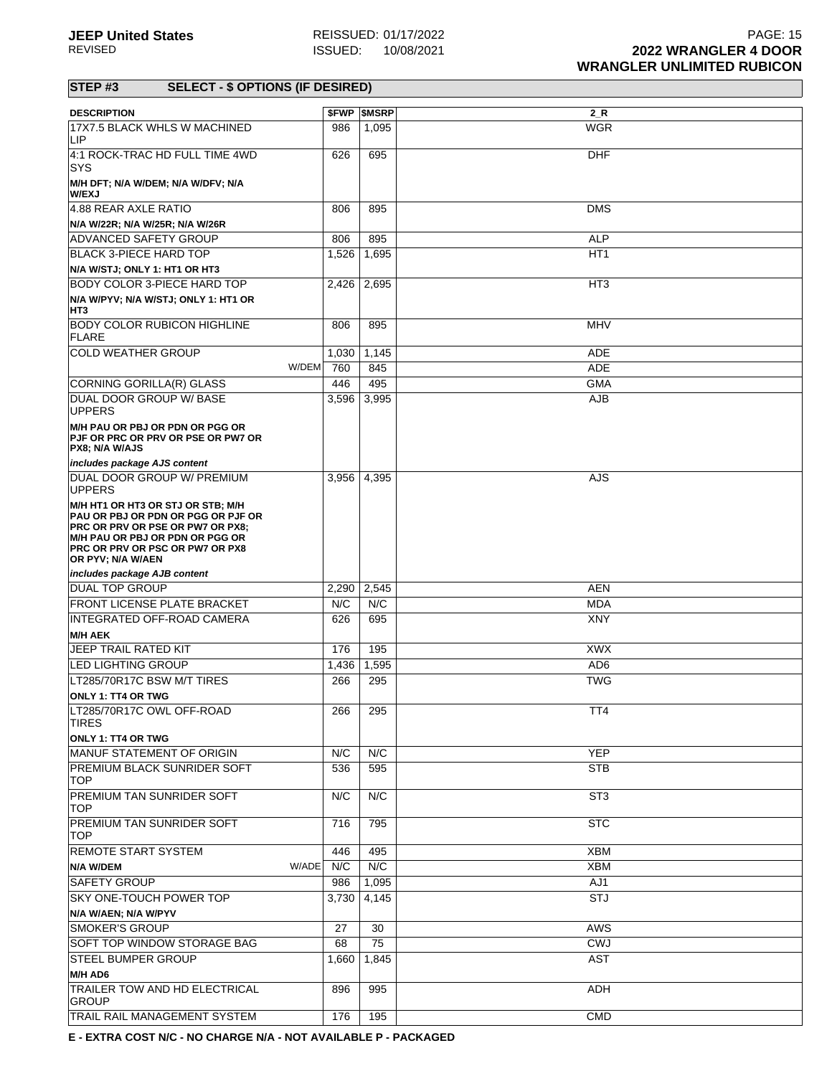| <b>DESCRIPTION</b>                                                                                                                                                                                                   |             | <b>\$FWP \$MSRP</b> | 2 R             |
|----------------------------------------------------------------------------------------------------------------------------------------------------------------------------------------------------------------------|-------------|---------------------|-----------------|
| 17X7.5 BLACK WHLS W MACHINED<br>LIP                                                                                                                                                                                  | 986         | 1,095               | <b>WGR</b>      |
| 4:1 ROCK-TRAC HD FULL TIME 4WD<br>SYS                                                                                                                                                                                | 626         | 695                 | <b>DHF</b>      |
| M/H DFT; N/A W/DEM; N/A W/DFV; N/A<br><b>W/EXJ</b>                                                                                                                                                                   |             |                     |                 |
| 4.88 REAR AXLE RATIO                                                                                                                                                                                                 | 806         | 895                 | <b>DMS</b>      |
| N/A W/22R; N/A W/25R; N/A W/26R                                                                                                                                                                                      |             |                     |                 |
| ADVANCED SAFETY GROUP                                                                                                                                                                                                | 806         | 895                 | <b>ALP</b>      |
| <b>BLACK 3-PIECE HARD TOP</b>                                                                                                                                                                                        | 1,526       | 1,695               | HT <sub>1</sub> |
| N/A W/STJ; ONLY 1: HT1 OR HT3                                                                                                                                                                                        |             |                     |                 |
| <b>BODY COLOR 3-PIECE HARD TOP</b>                                                                                                                                                                                   | 2,426 2,695 |                     | HT <sub>3</sub> |
| N/A W/PYV; N/A W/STJ; ONLY 1: HT1 OR<br>HT3                                                                                                                                                                          |             |                     |                 |
| <b>BODY COLOR RUBICON HIGHLINE</b><br>FLARE                                                                                                                                                                          | 806         | 895                 | <b>MHV</b>      |
| <b>COLD WEATHER GROUP</b>                                                                                                                                                                                            | 1,030       | 1,145               | ADE             |
| W/DEM                                                                                                                                                                                                                | 760         | 845                 | ADE             |
| CORNING GORILLA(R) GLASS                                                                                                                                                                                             | 446         | 495                 | <b>GMA</b>      |
| DUAL DOOR GROUP W/ BASE<br><b>UPPERS</b>                                                                                                                                                                             | 3,596       | 3,995               | <b>AJB</b>      |
| M/H PAU OR PBJ OR PDN OR PGG OR<br>PJF OR PRC OR PRV OR PSE OR PW7 OR<br>PX8; N/A W/AJS                                                                                                                              |             |                     |                 |
| includes package AJS content                                                                                                                                                                                         |             |                     |                 |
| DUAL DOOR GROUP W/ PREMIUM<br><b>UPPERS</b>                                                                                                                                                                          |             | 3,956 4,395         | AJS             |
| M/H HT1 OR HT3 OR STJ OR STB; M/H<br>PAU OR PBJ OR PDN OR PGG OR PJF OR<br><b>PRC OR PRV OR PSE OR PW7 OR PX8:</b><br>M/H PAU OR PBJ OR PDN OR PGG OR<br><b>PRC OR PRV OR PSC OR PW7 OR PX8</b><br>OR PYV; N/A W/AEN |             |                     |                 |
| includes package AJB content                                                                                                                                                                                         |             |                     |                 |
| <b>DUAL TOP GROUP</b>                                                                                                                                                                                                | 2,290       | 2,545               | <b>AEN</b>      |
| <b>FRONT LICENSE PLATE BRACKET</b>                                                                                                                                                                                   | N/C         | N/C                 | <b>MDA</b>      |
| INTEGRATED OFF-ROAD CAMERA                                                                                                                                                                                           | 626         | 695                 | XNY             |
| <b>M/H AEK</b>                                                                                                                                                                                                       |             |                     |                 |
| <b>JEEP TRAIL RATED KIT</b>                                                                                                                                                                                          | 176         | 195                 | <b>XWX</b>      |
| <b>LED LIGHTING GROUP</b>                                                                                                                                                                                            | 1,436       | 1,595               | AD <sub>6</sub> |
| LT285/70R17C BSW M/T TIRES                                                                                                                                                                                           | 266         | 295                 | <b>TWG</b>      |
| <b>ONLY 1: TT4 OR TWG</b>                                                                                                                                                                                            |             |                     |                 |
| LT285/70R17C OWL OFF-ROAD<br><b>TIRES</b>                                                                                                                                                                            | 266         | 295                 | TT4             |
| <b>ONLY 1: TT4 OR TWG</b>                                                                                                                                                                                            |             |                     |                 |
| MANUF STATEMENT OF ORIGIN                                                                                                                                                                                            | N/C         | N/C                 | <b>YEP</b>      |
| PREMIUM BLACK SUNRIDER SOFT<br>TOP.                                                                                                                                                                                  | 536         | 595                 | <b>STB</b>      |
| <b>PREMIUM TAN SUNRIDER SOFT</b><br><b>TOP</b>                                                                                                                                                                       | N/C         | N/C                 | ST <sub>3</sub> |
| PREMIUM TAN SUNRIDER SOFT<br><b>TOP</b>                                                                                                                                                                              | 716         | 795                 | <b>STC</b>      |
| <b>REMOTE START SYSTEM</b>                                                                                                                                                                                           | 446         | 495                 | <b>XBM</b>      |
| W/ADE<br>N/A W/DEM                                                                                                                                                                                                   | N/C         | N/C                 | <b>XBM</b>      |
| <b>SAFETY GROUP</b>                                                                                                                                                                                                  | 986         | 1,095               | AJ1             |
| <b>SKY ONE-TOUCH POWER TOP</b>                                                                                                                                                                                       | 3,730       | 4,145               | <b>STJ</b>      |
| N/A W/AEN; N/A W/PYV                                                                                                                                                                                                 |             |                     |                 |
| <b>SMOKER'S GROUP</b>                                                                                                                                                                                                | 27          | 30                  | <b>AWS</b>      |
| <b>SOFT TOP WINDOW STORAGE BAG</b>                                                                                                                                                                                   | 68          | 75                  | <b>CWJ</b>      |
| <b>STEEL BUMPER GROUP</b>                                                                                                                                                                                            | 1,660       | 1,845               | <b>AST</b>      |
| M/H AD6                                                                                                                                                                                                              |             |                     |                 |
| <b>TRAILER TOW AND HD ELECTRICAL</b><br>GROUP                                                                                                                                                                        | 896         | 995                 | <b>ADH</b>      |
| TRAIL RAIL MANAGEMENT SYSTEM                                                                                                                                                                                         | 176         | 195                 | <b>CMD</b>      |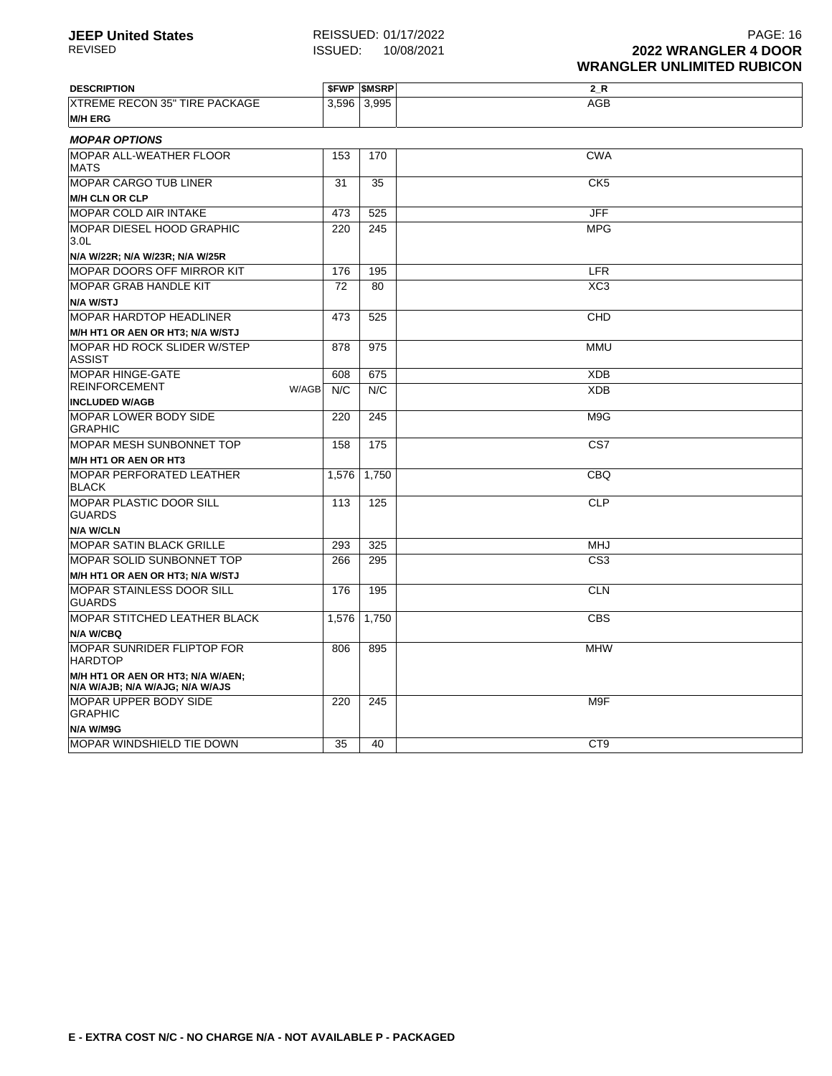| <b>DESCRIPTION</b>                                                   |       | <b><i>SFWP SMSRP</i></b> | $2_R$           |  |  |  |  |  |
|----------------------------------------------------------------------|-------|--------------------------|-----------------|--|--|--|--|--|
| <b>XTREME RECON 35" TIRE PACKAGE</b>                                 | 3,596 | 3,995                    | <b>AGB</b>      |  |  |  |  |  |
| <b>M/H ERG</b>                                                       |       |                          |                 |  |  |  |  |  |
| <b>MOPAR OPTIONS</b>                                                 |       |                          |                 |  |  |  |  |  |
| <b>MOPAR ALL-WEATHER FLOOR</b><br><b>MATS</b>                        | 153   | 170                      | <b>CWA</b>      |  |  |  |  |  |
| <b>MOPAR CARGO TUB LINER</b>                                         | 31    | 35                       | CK <sub>5</sub> |  |  |  |  |  |
| <b>M/H CLN OR CLP</b>                                                |       |                          |                 |  |  |  |  |  |
| <b>MOPAR COLD AIR INTAKE</b>                                         | 473   | 525                      | <b>JFF</b>      |  |  |  |  |  |
| <b>MOPAR DIESEL HOOD GRAPHIC</b><br>3.0 <sub>L</sub>                 | 220   | 245                      | <b>MPG</b>      |  |  |  |  |  |
| N/A W/22R; N/A W/23R; N/A W/25R                                      |       |                          |                 |  |  |  |  |  |
| <b>MOPAR DOORS OFF MIRROR KIT</b>                                    | 176   | 195                      | <b>LFR</b>      |  |  |  |  |  |
| <b>MOPAR GRAB HANDLE KIT</b>                                         | 72    | 80                       | XC <sub>3</sub> |  |  |  |  |  |
| N/A W/STJ                                                            |       |                          |                 |  |  |  |  |  |
| <b>MOPAR HARDTOP HEADLINER</b>                                       | 473   | 525                      | CHD             |  |  |  |  |  |
| M/H HT1 OR AEN OR HT3; N/A W/STJ                                     |       |                          |                 |  |  |  |  |  |
| MOPAR HD ROCK SLIDER W/STEP<br><b>ASSIST</b>                         | 878   | 975                      | <b>MMU</b>      |  |  |  |  |  |
| <b>MOPAR HINGE-GATE</b>                                              | 608   | 675                      | <b>XDB</b>      |  |  |  |  |  |
| <b>REINFORCEMENT</b><br>W/AGB                                        | N/C   | N/C                      | <b>XDB</b>      |  |  |  |  |  |
| <b>INCLUDED W/AGB</b>                                                |       |                          |                 |  |  |  |  |  |
| <b>MOPAR LOWER BODY SIDE</b><br><b>GRAPHIC</b>                       | 220   | 245                      | M9G             |  |  |  |  |  |
| <b>MOPAR MESH SUNBONNET TOP</b>                                      | 158   | 175                      | CS7             |  |  |  |  |  |
| M/H HT1 OR AEN OR HT3                                                |       |                          |                 |  |  |  |  |  |
| <b>MOPAR PERFORATED LEATHER</b><br><b>BLACK</b>                      | 1,576 | 1,750                    | <b>CBQ</b>      |  |  |  |  |  |
| MOPAR PLASTIC DOOR SILL<br><b>GUARDS</b>                             | 113   | 125                      | <b>CLP</b>      |  |  |  |  |  |
| <b>N/A W/CLN</b>                                                     |       |                          |                 |  |  |  |  |  |
| <b>MOPAR SATIN BLACK GRILLE</b>                                      | 293   | 325                      | <b>MHJ</b>      |  |  |  |  |  |
| <b>MOPAR SOLID SUNBONNET TOP</b>                                     | 266   | 295                      | CS <sub>3</sub> |  |  |  |  |  |
| M/H HT1 OR AEN OR HT3; N/A W/STJ                                     |       |                          |                 |  |  |  |  |  |
| <b>MOPAR STAINLESS DOOR SILL</b><br><b>GUARDS</b>                    | 176   | 195                      | <b>CLN</b>      |  |  |  |  |  |
| <b>MOPAR STITCHED LEATHER BLACK</b>                                  | 1.576 | 1.750                    | <b>CBS</b>      |  |  |  |  |  |
| N/A W/CBQ                                                            |       |                          |                 |  |  |  |  |  |
| <b>MOPAR SUNRIDER FLIPTOP FOR</b><br><b>HARDTOP</b>                  | 806   | 895                      | <b>MHW</b>      |  |  |  |  |  |
| M/H HT1 OR AEN OR HT3; N/A W/AEN;<br>N/A W/AJB; N/A W/AJG; N/A W/AJS |       |                          |                 |  |  |  |  |  |
| MOPAR UPPER BODY SIDE<br><b>GRAPHIC</b>                              | 220   | 245                      | M9F             |  |  |  |  |  |
| N/A W/M9G                                                            |       |                          |                 |  |  |  |  |  |
| MOPAR WINDSHIELD TIE DOWN                                            | 35    | 40                       | CT <sub>9</sub> |  |  |  |  |  |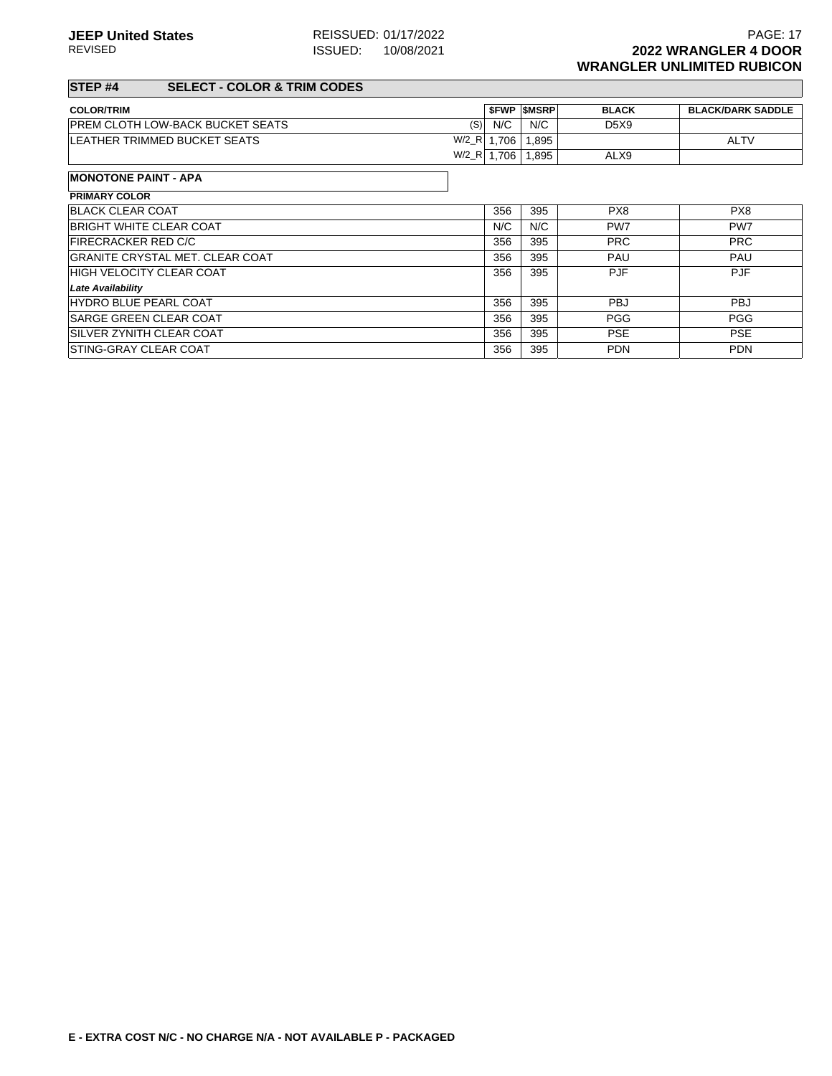### **STEP #4 SELECT - COLOR & TRIM CODES**

| <b>COLOR/TRIM</b>                              |      | <b>SFWP SMSRP</b> | <b>BLACK</b>                  | <b>BLACK/DARK SADDLE</b> |
|------------------------------------------------|------|-------------------|-------------------------------|--------------------------|
| <b>PREM CLOTH LOW-BACK BUCKET SEATS</b><br>(S) | N/C  | N/C               | D <sub>5</sub> X <sub>9</sub> |                          |
| $W/2_R$<br>LEATHER TRIMMED BUCKET SEATS        | .706 | .895              |                               | <b>ALTV</b>              |
| $W/2_R$                                        | .706 | .895              | ALX9                          |                          |

| <b>MONOTONE PAINT - APA</b>            |     |     |            |            |
|----------------------------------------|-----|-----|------------|------------|
| <b>PRIMARY COLOR</b>                   |     |     |            |            |
| <b>BLACK CLEAR COAT</b>                | 356 | 395 | PX8        | PX8        |
| <b>BRIGHT WHITE CLEAR COAT</b>         | N/C | N/C | PW7        | PW7        |
| <b>FIRECRACKER RED C/C</b>             | 356 | 395 | <b>PRC</b> | <b>PRC</b> |
| <b>GRANITE CRYSTAL MET. CLEAR COAT</b> | 356 | 395 | PAU        | <b>PAU</b> |
| <b>HIGH VELOCITY CLEAR COAT</b>        | 356 | 395 | <b>PJF</b> | <b>PJF</b> |
| <b>Late Availability</b>               |     |     |            |            |
| <b>HYDRO BLUE PEARL COAT</b>           | 356 | 395 | <b>PBJ</b> | <b>PBJ</b> |
| <b>SARGE GREEN CLEAR COAT</b>          | 356 | 395 | <b>PGG</b> | <b>PGG</b> |
| <b>ISILVER ZYNITH CLEAR COAT</b>       | 356 | 395 | <b>PSE</b> | <b>PSE</b> |
| <b>STING-GRAY CLEAR COAT</b>           | 356 | 395 | <b>PDN</b> | <b>PDN</b> |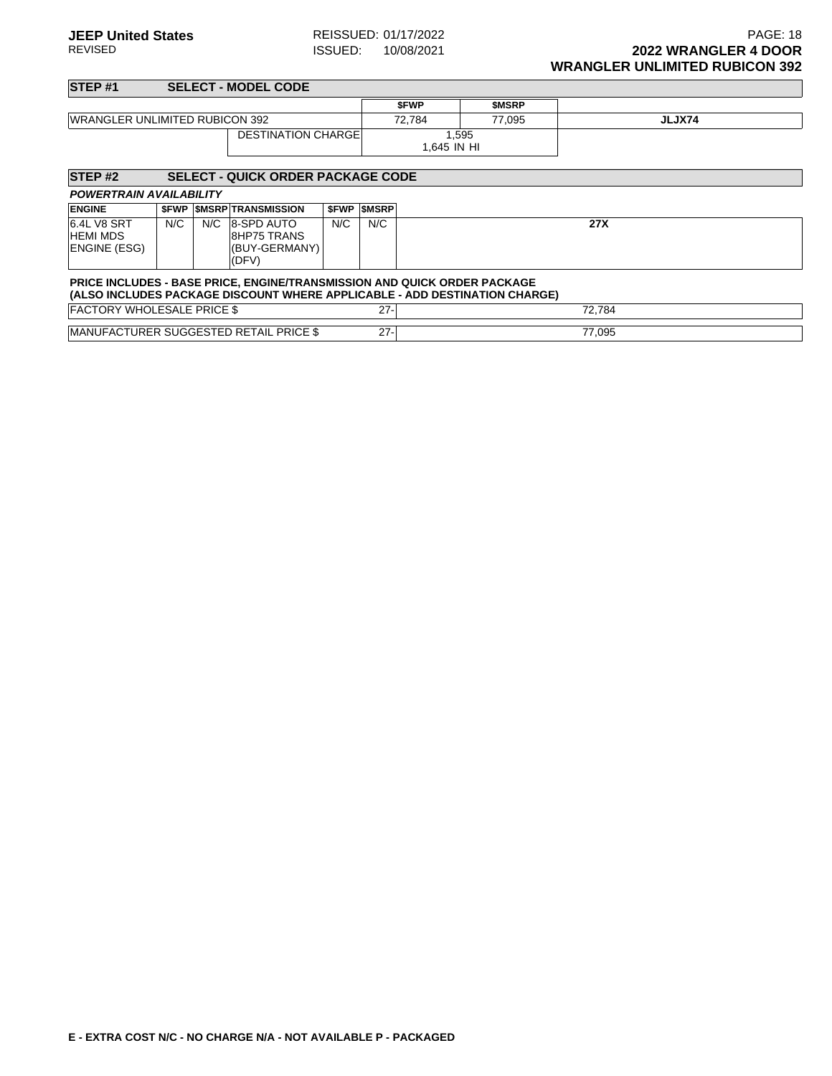| STEP <sub>#1</sub>                                    |       |     | <b>SELECT - MODEL CODE</b>                                                                                                                             |             |              |                      |              |        |
|-------------------------------------------------------|-------|-----|--------------------------------------------------------------------------------------------------------------------------------------------------------|-------------|--------------|----------------------|--------------|--------|
|                                                       |       |     |                                                                                                                                                        |             |              | <b>SFWP</b>          | <b>SMSRP</b> |        |
| <b>WRANGLER UNLIMITED RUBICON 392</b>                 |       |     |                                                                                                                                                        |             |              | 72.784               | 77.095       | JLJX74 |
|                                                       |       |     | <b>DESTINATION CHARGE</b>                                                                                                                              |             |              | 1.595<br>1,645 IN HI |              |        |
| STEP <sub>#2</sub>                                    |       |     | <b>SELECT - QUICK ORDER PACKAGE CODE</b>                                                                                                               |             |              |                      |              |        |
| <b>POWERTRAIN AVAILABILITY</b>                        |       |     |                                                                                                                                                        |             |              |                      |              |        |
| <b>ENGINE</b>                                         | \$FWP |     | <b>SMSRP TRANSMISSION</b>                                                                                                                              | <b>SFWP</b> | <b>SMSRP</b> |                      |              |        |
| 6.4L V8 SRT<br><b>HEMI MDS</b><br><b>ENGINE (ESG)</b> | N/C   | N/C | 8-SPD AUTO<br><b>8HP75 TRANS</b><br>(BUY-GERMANY)<br>(DFV)                                                                                             | N/C         | N/C          |                      |              | 27X    |
|                                                       |       |     | PRICE INCLUDES - BASE PRICE, ENGINE/TRANSMISSION AND QUICK ORDER PACKAGE<br>(ALSO INCLUDES PACKAGE DISCOUNT WHERE APPLICABLE - ADD DESTINATION CHARGE) |             |              |                      |              |        |
| <b>FACTORY WHOLESALE PRICE \$</b>                     |       |     |                                                                                                                                                        |             | $27 -$       |                      |              | 72,784 |
|                                                       |       |     | <b>IMANUFACTURER SUGGESTED RETAIL PRICE \$</b>                                                                                                         |             | $27 -$       |                      |              | 77,095 |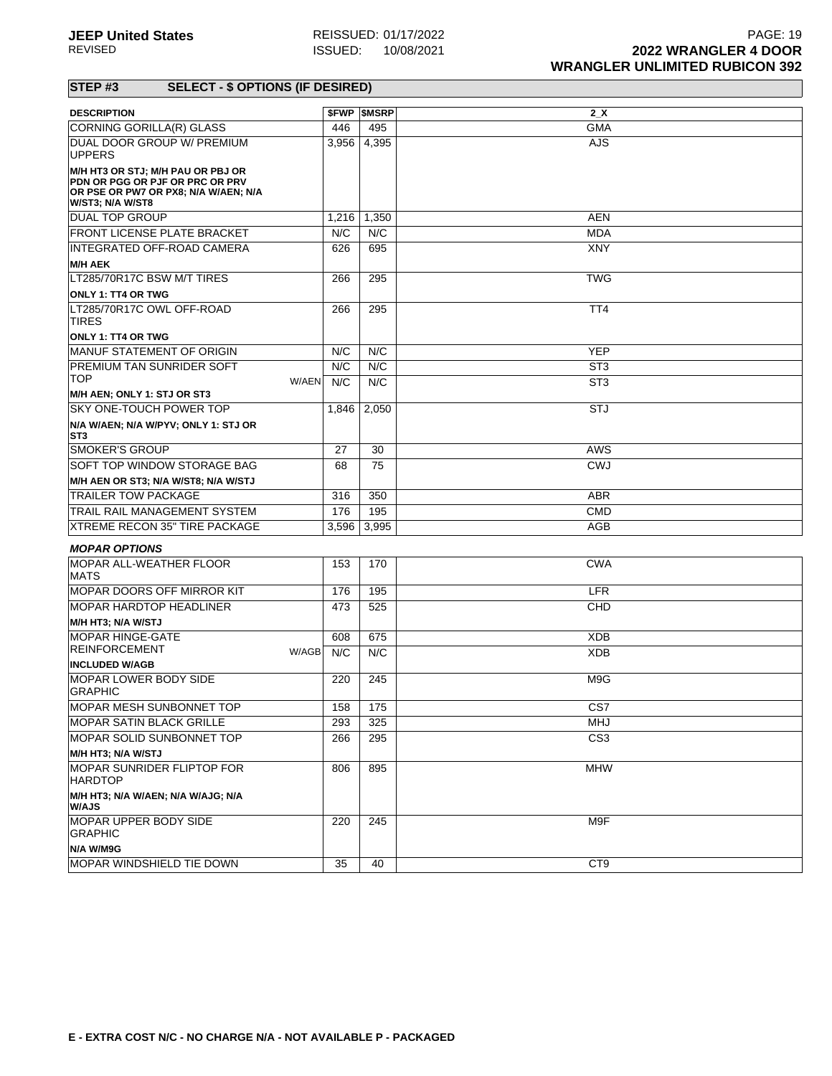| <b>DESCRIPTION</b>                                                                                                               |       | <b><i>SFWP SMSRP</i></b> | 2 <sub>x</sub>  |
|----------------------------------------------------------------------------------------------------------------------------------|-------|--------------------------|-----------------|
| CORNING GORILLA(R) GLASS                                                                                                         | 446   | 495                      | <b>GMA</b>      |
| DUAL DOOR GROUP W/ PREMIUM<br><b>UPPERS</b>                                                                                      | 3,956 | 4,395                    | <b>AJS</b>      |
| M/H HT3 OR STJ; M/H PAU OR PBJ OR<br>PDN OR PGG OR PJF OR PRC OR PRV<br>OR PSE OR PW7 OR PX8; N/A W/AEN; N/A<br>W/ST3; N/A W/ST8 |       |                          |                 |
| <b>DUAL TOP GROUP</b>                                                                                                            | 1,216 | 1,350                    | <b>AEN</b>      |
| <b>FRONT LICENSE PLATE BRACKET</b>                                                                                               | N/C   | N/C                      | <b>MDA</b>      |
| INTEGRATED OFF-ROAD CAMERA                                                                                                       | 626   | 695                      | XNY             |
| <b>M/H AEK</b>                                                                                                                   |       |                          |                 |
| LT285/70R17C BSW M/T TIRES                                                                                                       | 266   | 295                      | <b>TWG</b>      |
| ONLY 1: TT4 OR TWG                                                                                                               |       |                          |                 |
| LT285/70R17C OWL OFF-ROAD<br><b>TIRES</b>                                                                                        | 266   | 295                      | TT <sub>4</sub> |
| <b>ONLY 1: TT4 OR TWG</b>                                                                                                        |       |                          |                 |
| <b>MANUF STATEMENT OF ORIGIN</b>                                                                                                 | N/C   | N/C                      | <b>YEP</b>      |
| PREMIUM TAN SUNRIDER SOFT                                                                                                        | N/C   | N/C                      | ST <sub>3</sub> |
| <b>TOP</b><br>W/AEN                                                                                                              | N/C   | N/C                      | ST <sub>3</sub> |
| M/H AEN; ONLY 1: STJ OR ST3<br><b>SKY ONE-TOUCH POWER TOP</b>                                                                    |       | 2,050                    | STJ             |
| N/A W/AEN; N/A W/PYV; ONLY 1: STJ OR<br>ST3                                                                                      | 1,846 |                          |                 |
| <b>SMOKER'S GROUP</b>                                                                                                            | 27    | 30                       | AWS             |
| SOFT TOP WINDOW STORAGE BAG                                                                                                      | 68    | 75                       | <b>CWJ</b>      |
| M/H AEN OR ST3; N/A W/ST8; N/A W/STJ                                                                                             |       |                          |                 |
| <b>TRAILER TOW PACKAGE</b>                                                                                                       | 316   | 350                      | <b>ABR</b>      |
| TRAIL RAIL MANAGEMENT SYSTEM                                                                                                     | 176   | 195                      | <b>CMD</b>      |
| XTREME RECON 35" TIRE PACKAGE                                                                                                    | 3,596 | 3,995                    | AGB             |
| <b>MOPAR OPTIONS</b>                                                                                                             |       |                          |                 |
| <b>MOPAR ALL-WEATHER FLOOR</b><br><b>MATS</b>                                                                                    | 153   | 170                      | <b>CWA</b>      |
| MOPAR DOORS OFF MIRROR KIT                                                                                                       | 176   | 195                      | <b>LFR</b>      |
| <b>MOPAR HARDTOP HEADLINER</b>                                                                                                   | 473   | 525                      | CHD             |
| M/H HT3; N/A W/STJ                                                                                                               |       |                          |                 |
| <b>MOPAR HINGE-GATE</b>                                                                                                          | 608   | 675                      | <b>XDB</b>      |
| <b>REINFORCEMENT</b><br>W/AGB                                                                                                    | N/C   | N/C                      | <b>XDB</b>      |
| <b>INCLUDED W/AGB</b><br><b>MOPAR LOWER BODY SIDE</b><br><b>GRAPHIC</b>                                                          | 220   | 245                      | M9G             |
| MOPAR MESH SUNBONNET TOP                                                                                                         | 158   | 175                      | CS7             |
| MOPAR SATIN BLACK GRILLE                                                                                                         | 293   | 325                      | MHJ             |
| MOPAR SOLID SUNBONNET TOP                                                                                                        | 266   | 295                      | CS <sub>3</sub> |
| M/H HT3; N/A W/STJ                                                                                                               |       |                          |                 |
| MOPAR SUNRIDER FLIPTOP FOR<br><b>HARDTOP</b>                                                                                     | 806   | 895                      | <b>MHW</b>      |
| M/H HT3; N/A W/AEN; N/A W/AJG; N/A<br>W/AJS                                                                                      |       |                          |                 |
| MOPAR UPPER BODY SIDE<br><b>GRAPHIC</b>                                                                                          | 220   | 245                      | M9F             |
| N/A W/M9G                                                                                                                        |       |                          |                 |
| MOPAR WINDSHIELD TIE DOWN                                                                                                        | 35    | 40                       | CT9             |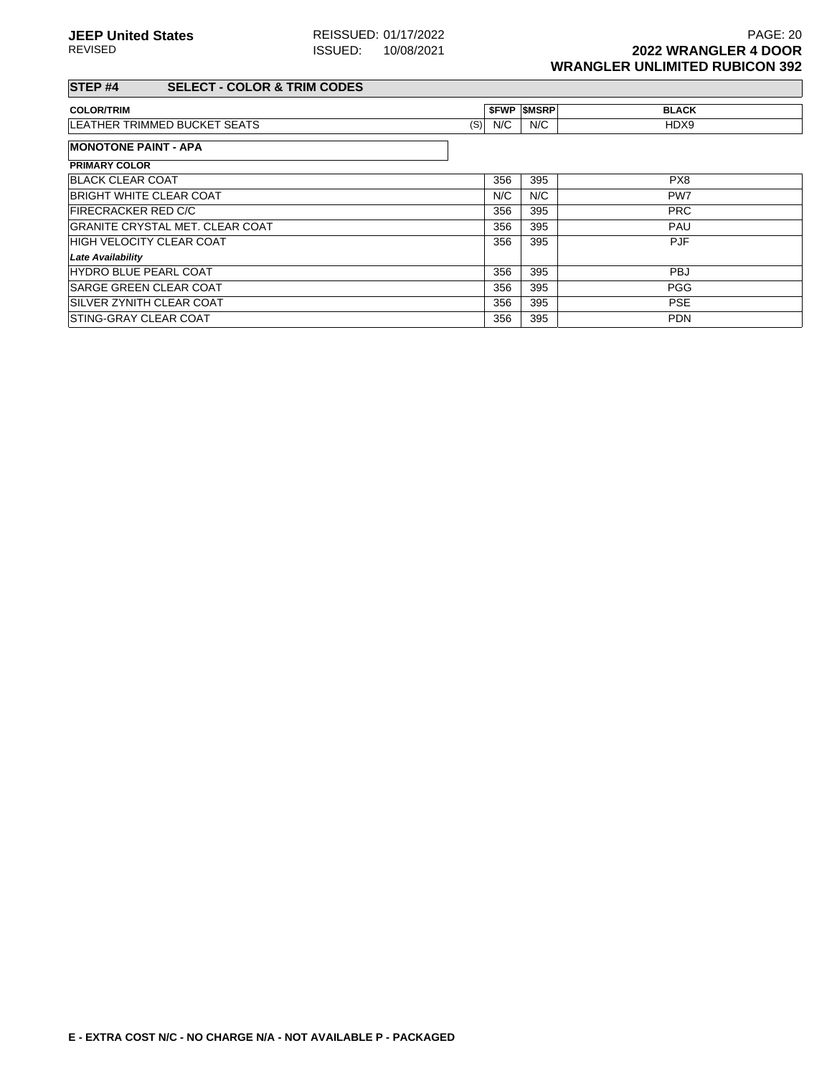### **STEP #4 SELECT - COLOR & TRIM CODES**

| <b>COLOR/TRIM</b>                   |     |     | <b>SFWP SMSRP</b> | <b>BLACK</b> |
|-------------------------------------|-----|-----|-------------------|--------------|
| <b>LEATHER TRIMMED BUCKET SEATS</b> | (S) | N/C | N/C               | HDX9         |
| <b>MONOTONE PAINT - APA</b>         |     |     |                   |              |
| <b>BBILLEY AALAB</b>                |     |     |                   |              |

| <b>PRIMARY COLOR</b>                   |     |     |            |
|----------------------------------------|-----|-----|------------|
| <b>BLACK CLEAR COAT</b>                | 356 | 395 | PX8        |
| <b>BRIGHT WHITE CLEAR COAT</b>         | N/C | N/C | PW7        |
| <b>FIRECRACKER RED C/C</b>             | 356 | 395 | <b>PRC</b> |
| <b>GRANITE CRYSTAL MET. CLEAR COAT</b> | 356 | 395 | <b>PAU</b> |
| <b>HIGH VELOCITY CLEAR COAT</b>        | 356 | 395 | <b>PJF</b> |
| <b>Late Availability</b>               |     |     |            |
| <b>HYDRO BLUE PEARL COAT</b>           | 356 | 395 | <b>PBJ</b> |
| <b>SARGE GREEN CLEAR COAT</b>          | 356 | 395 | <b>PGG</b> |
| SILVER ZYNITH CLEAR COAT               | 356 | 395 | <b>PSE</b> |
| STING-GRAY CLEAR COAT                  | 356 | 395 | <b>PDN</b> |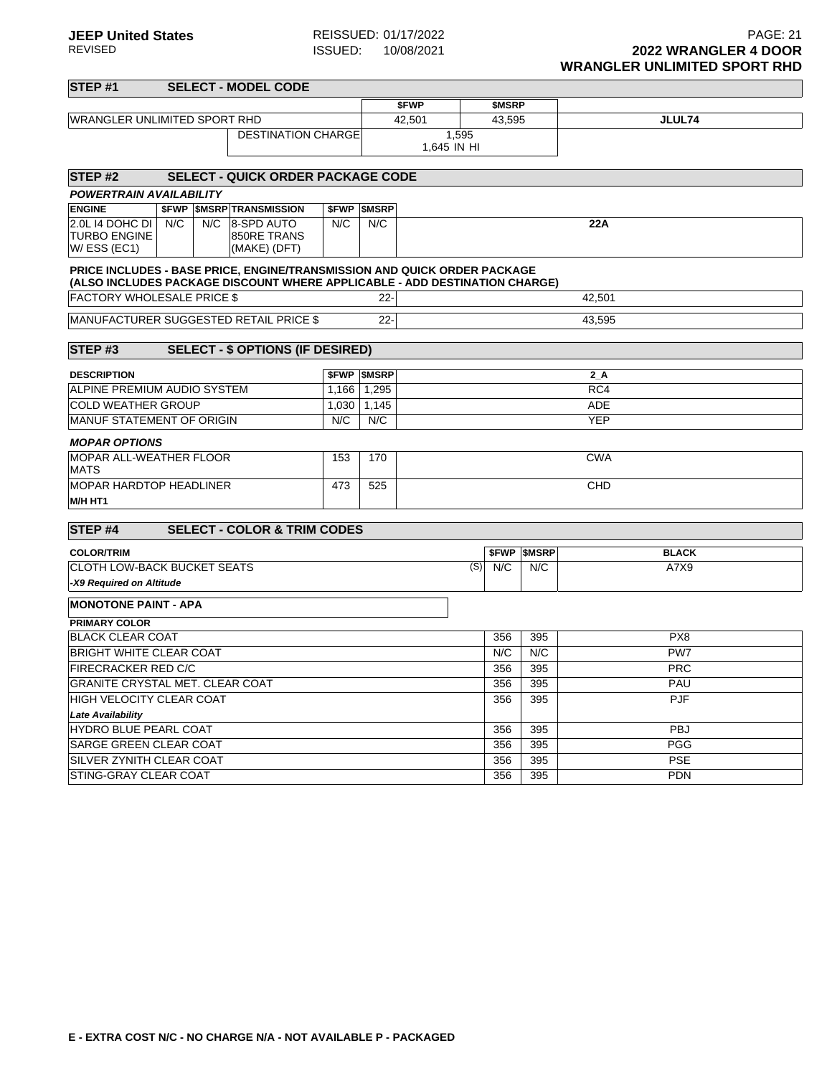| <b>STEP#1</b>                                         |     |     | <b>SELECT - MODEL CODE</b>                                                                                                                             |       |                          |                            |        |                     |                 |  |  |  |
|-------------------------------------------------------|-----|-----|--------------------------------------------------------------------------------------------------------------------------------------------------------|-------|--------------------------|----------------------------|--------|---------------------|-----------------|--|--|--|
|                                                       |     |     |                                                                                                                                                        |       |                          | \$FWP                      | \$MSRP |                     |                 |  |  |  |
| <b>WRANGLER UNLIMITED SPORT RHD</b>                   |     |     |                                                                                                                                                        |       |                          | 42,501<br>43,595<br>JLUL74 |        |                     |                 |  |  |  |
|                                                       |     |     | <b>DESTINATION CHARGE</b>                                                                                                                              |       |                          | 1,595<br>1,645 IN HI       |        |                     |                 |  |  |  |
| STEP <sub>#2</sub>                                    |     |     | <b>SELECT - QUICK ORDER PACKAGE CODE</b>                                                                                                               |       |                          |                            |        |                     |                 |  |  |  |
| <b>POWERTRAIN AVAILABILITY</b>                        |     |     |                                                                                                                                                        |       |                          |                            |        |                     |                 |  |  |  |
| <b>ENGINE</b>                                         |     |     | <b><i>SFWP SMSRP TRANSMISSION</i></b>                                                                                                                  |       | <b><i>SFWP SMSRP</i></b> |                            |        |                     |                 |  |  |  |
| 2.0L 14 DOHC DI<br><b>TURBO ENGINE</b><br>W/ESS (EC1) | N/C | N/C | 8-SPD AUTO<br>850RE TRANS<br>(MAKE) (DFT)                                                                                                              | N/C   | N/C                      |                            |        |                     | 22A             |  |  |  |
|                                                       |     |     | PRICE INCLUDES - BASE PRICE, ENGINE/TRANSMISSION AND QUICK ORDER PACKAGE<br>(ALSO INCLUDES PACKAGE DISCOUNT WHERE APPLICABLE - ADD DESTINATION CHARGE) |       |                          |                            |        |                     |                 |  |  |  |
| <b>FACTORY WHOLESALE PRICE \$</b>                     |     |     |                                                                                                                                                        |       | $22 -$                   |                            |        |                     | 42,501          |  |  |  |
|                                                       |     |     | <b>MANUFACTURER SUGGESTED RETAIL PRICE \$</b>                                                                                                          |       | $22 -$                   |                            |        |                     | 43.595          |  |  |  |
| STEP#3                                                |     |     | <b>SELECT - \$ OPTIONS (IF DESIRED)</b>                                                                                                                |       |                          |                            |        |                     |                 |  |  |  |
| <b>DESCRIPTION</b>                                    |     |     |                                                                                                                                                        |       | <b><i>SFWP SMSRP</i></b> |                            |        |                     | 2A              |  |  |  |
| ALPINE PREMIUM AUDIO SYSTEM                           |     |     |                                                                                                                                                        | 1,166 | 1,295                    | RC4                        |        |                     |                 |  |  |  |
| <b>COLD WEATHER GROUP</b>                             |     |     |                                                                                                                                                        | 1,030 | 1,145                    | <b>ADE</b>                 |        |                     |                 |  |  |  |
| <b>MANUF STATEMENT OF ORIGIN</b>                      |     |     |                                                                                                                                                        | N/C   | N/C                      | <b>YEP</b>                 |        |                     |                 |  |  |  |
| <b>MOPAR OPTIONS</b>                                  |     |     |                                                                                                                                                        |       |                          |                            |        |                     |                 |  |  |  |
| <b>MOPAR ALL-WEATHER FLOOR</b><br><b>MATS</b>         |     |     |                                                                                                                                                        | 153   | 170                      | <b>CWA</b>                 |        |                     |                 |  |  |  |
| <b>MOPAR HARDTOP HEADLINER</b><br>M/H HT1             |     |     |                                                                                                                                                        | 473   | 525                      |                            |        |                     | CHD             |  |  |  |
| STEP <sub>#4</sub>                                    |     |     | <b>SELECT - COLOR &amp; TRIM CODES</b>                                                                                                                 |       |                          |                            |        |                     |                 |  |  |  |
| <b>COLOR/TRIM</b>                                     |     |     |                                                                                                                                                        |       |                          |                            |        | <b>\$FWP \$MSRP</b> | <b>BLACK</b>    |  |  |  |
| <b>CLOTH LOW-BACK BUCKET SEATS</b>                    |     |     |                                                                                                                                                        |       |                          | (S)                        | N/C    | N/C                 | A7X9            |  |  |  |
| -X9 Required on Altitude                              |     |     |                                                                                                                                                        |       |                          |                            |        |                     |                 |  |  |  |
| <b>MONOTONE PAINT - APA</b>                           |     |     |                                                                                                                                                        |       |                          |                            |        |                     |                 |  |  |  |
| <b>PRIMARY COLOR</b>                                  |     |     |                                                                                                                                                        |       |                          |                            |        |                     |                 |  |  |  |
| <b>BLACK CLEAR COAT</b>                               |     |     |                                                                                                                                                        |       |                          |                            | 356    | 395                 | PX <sub>8</sub> |  |  |  |
| <b>BRIGHT WHITE CLEAR COAT</b>                        |     |     |                                                                                                                                                        |       |                          |                            | N/C    | N/C                 | PW7             |  |  |  |
| <b>FIRECRACKER RED C/C</b>                            |     |     |                                                                                                                                                        |       |                          |                            | 356    | 395                 | <b>PRC</b>      |  |  |  |
| <b>GRANITE CRYSTAL MET. CLEAR COAT</b>                |     |     |                                                                                                                                                        |       |                          |                            | 356    | 395                 | PAU             |  |  |  |
| <b>HIGH VELOCITY CLEAR COAT</b>                       |     |     |                                                                                                                                                        |       |                          |                            | 356    | 395                 | <b>PJF</b>      |  |  |  |
| <b>Late Availability</b>                              |     |     |                                                                                                                                                        |       |                          |                            |        |                     |                 |  |  |  |
| HYDRO BLUE PEARL COAT                                 |     |     |                                                                                                                                                        |       |                          |                            | 356    | 395                 | PBJ             |  |  |  |
| SARGE GREEN CLEAR COAT                                |     |     |                                                                                                                                                        |       |                          |                            | 356    | 395                 | <b>PGG</b>      |  |  |  |
| SILVER ZYNITH CLEAR COAT                              |     |     |                                                                                                                                                        |       |                          |                            | 356    | 395                 | <b>PSE</b>      |  |  |  |
| <b>STING-GRAY CLEAR COAT</b>                          |     |     |                                                                                                                                                        |       |                          |                            | 356    | 395                 | <b>PDN</b>      |  |  |  |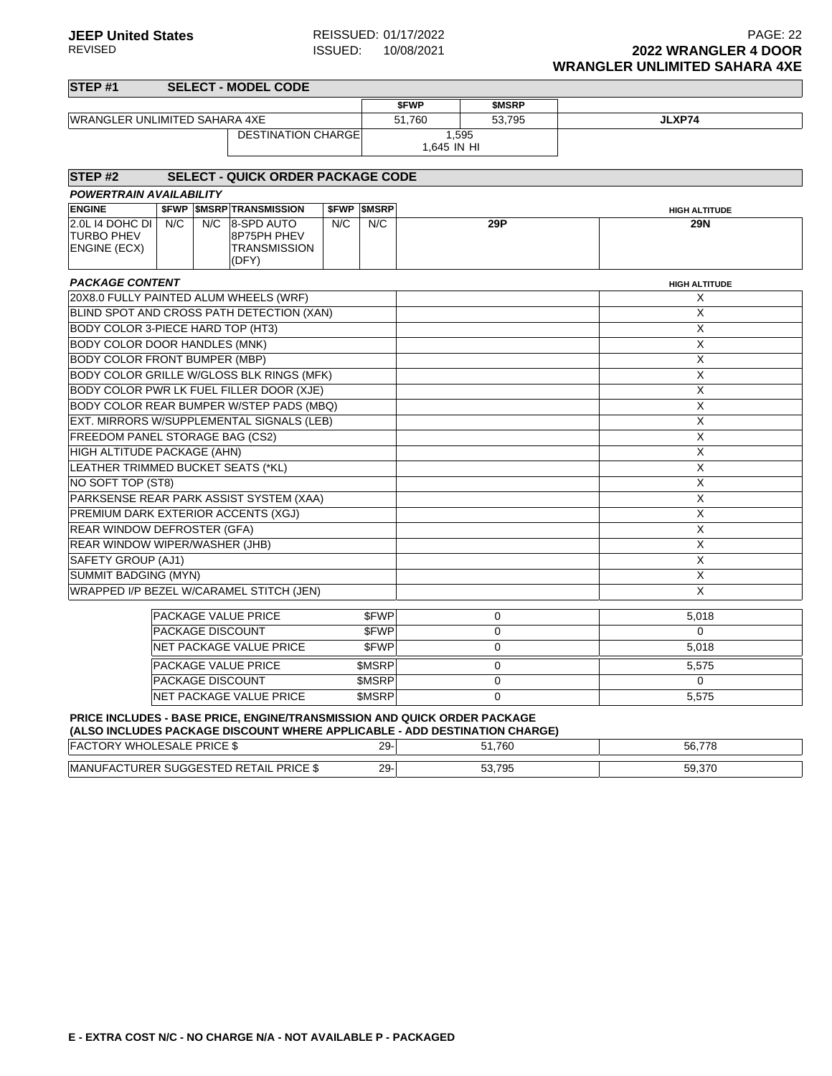| STEP #1                                              |     |     | <b>SELECT - MODEL CODE</b>                                |     |                          |             |             |                           |
|------------------------------------------------------|-----|-----|-----------------------------------------------------------|-----|--------------------------|-------------|-------------|---------------------------|
|                                                      |     |     |                                                           |     |                          | \$FWP       | \$MSRP      |                           |
| WRANGLER UNLIMITED SAHARA 4XE                        |     |     |                                                           |     |                          | 51,760      | 53,795      | JLXP74                    |
|                                                      |     |     | <b>DESTINATION CHARGE</b>                                 |     |                          |             | 1.595       |                           |
|                                                      |     |     |                                                           |     |                          | 1,645 IN HI |             |                           |
| STEP <sub>#2</sub>                                   |     |     | SELECT - QUICK ORDER PACKAGE CODE                         |     |                          |             |             |                           |
| <b>POWERTRAIN AVAILABILITY</b>                       |     |     |                                                           |     |                          |             |             |                           |
| <b>ENGINE</b>                                        |     |     | <b>\$FWP \$MSRP TRANSMISSION</b>                          |     | <b><i>SFWP SMSRP</i></b> |             |             | <b>HIGH ALTITUDE</b>      |
| 2.0L I4 DOHC DI<br><b>TURBO PHEV</b><br>ENGINE (ECX) | N/C | N/C | 8-SPD AUTO<br>8P75PH PHEV<br><b>TRANSMISSION</b><br>(DFY) | N/C | N/C                      |             | 29P         | <b>29N</b>                |
| <b>PACKAGE CONTENT</b>                               |     |     |                                                           |     |                          |             |             | <b>HIGH ALTITUDE</b>      |
| 20X8.0 FULLY PAINTED ALUM WHEELS (WRF)               |     |     |                                                           |     |                          |             |             | х                         |
|                                                      |     |     | BLIND SPOT AND CROSS PATH DETECTION (XAN)                 |     |                          |             |             | X                         |
| BODY COLOR 3-PIECE HARD TOP (HT3)                    |     |     |                                                           |     |                          |             |             | $\overline{X}$            |
| <b>BODY COLOR DOOR HANDLES (MNK)</b>                 |     |     |                                                           |     |                          |             |             | $\boldsymbol{\mathsf{X}}$ |
| <b>BODY COLOR FRONT BUMPER (MBP)</b>                 |     |     |                                                           |     |                          |             |             | X                         |
|                                                      |     |     | BODY COLOR GRILLE W/GLOSS BLK RINGS (MFK)                 |     |                          |             |             | X                         |
|                                                      |     |     | BODY COLOR PWR LK FUEL FILLER DOOR (XJE)                  |     |                          |             |             | $\boldsymbol{\mathsf{X}}$ |
|                                                      |     |     | BODY COLOR REAR BUMPER W/STEP PADS (MBQ)                  |     |                          |             |             | $\overline{\mathsf{x}}$   |
|                                                      |     |     | EXT. MIRRORS W/SUPPLEMENTAL SIGNALS (LEB)                 |     |                          |             |             | $\overline{X}$            |
| FREEDOM PANEL STORAGE BAG (CS2)                      |     |     |                                                           |     |                          |             |             | $\overline{X}$            |
| HIGH ALTITUDE PACKAGE (AHN)                          |     |     |                                                           |     |                          |             |             | X                         |
| LEATHER TRIMMED BUCKET SEATS (*KL)                   |     |     |                                                           |     |                          |             |             | $\boldsymbol{\mathsf{X}}$ |
| NO SOFT TOP (ST8)                                    |     |     |                                                           |     |                          |             |             | $\boldsymbol{\mathsf{X}}$ |
|                                                      |     |     | PARKSENSE REAR PARK ASSIST SYSTEM (XAA)                   |     |                          |             |             | $\overline{\mathsf{x}}$   |
| PREMIUM DARK EXTERIOR ACCENTS (XGJ)                  |     |     |                                                           |     |                          |             |             | $\overline{X}$            |
| REAR WINDOW DEFROSTER (GFA)                          |     |     |                                                           |     |                          |             |             | $\boldsymbol{\mathsf{X}}$ |
| <b>REAR WINDOW WIPER/WASHER (JHB)</b>                |     |     |                                                           |     |                          |             |             | X                         |
| SAFETY GROUP (AJ1)                                   |     |     |                                                           |     |                          |             |             | X                         |
| <b>SUMMIT BADGING (MYN)</b>                          |     |     |                                                           |     |                          |             |             | $\overline{\mathsf{x}}$   |
|                                                      |     |     | WRAPPED I/P BEZEL W/CARAMEL STITCH (JEN)                  |     |                          |             |             | $\pmb{\times}$            |
|                                                      |     |     | PACKAGE VALUE PRICE                                       |     | \$FWP                    |             | $\mathbf 0$ | 5,018                     |
|                                                      |     |     | <b>PACKAGE DISCOUNT</b>                                   |     | \$FWP                    |             | $\mathbf 0$ | 0                         |
|                                                      |     |     | NET PACKAGE VALUE PRICE                                   |     | <b>SFWP</b>              |             | $\mathbf 0$ | 5,018                     |
|                                                      |     |     | PACKAGE VALUE PRICE                                       |     | \$MSRP                   |             | $\mathbf 0$ | 5,575                     |
|                                                      |     |     | PACKAGE DISCOUNT                                          |     | \$MSRP                   |             | $\mathbf 0$ | 0                         |
|                                                      |     |     | <b>NET PACKAGE VALUE PRICE</b>                            |     | <b>\$MSRP</b>            |             | 0           | 5,575                     |

## **PRICE INCLUDES - BASE PRICE, ENGINE/TRANSMISSION AND QUICK ORDER PACKAGE**

| (ALSO INCLUDES PACKAGE DISCOUNT WHERE APPLICABLE - ADD DESTINATION CHARGE) |        |        |        |
|----------------------------------------------------------------------------|--------|--------|--------|
| <b>FACTORY WHOLESALE PRICE \$</b>                                          | $\sim$ | 51.760 | 56.778 |
| MANUFACTURER SUGGESTED RETAIL PRICE \$                                     | 29     | 53.795 | 59.370 |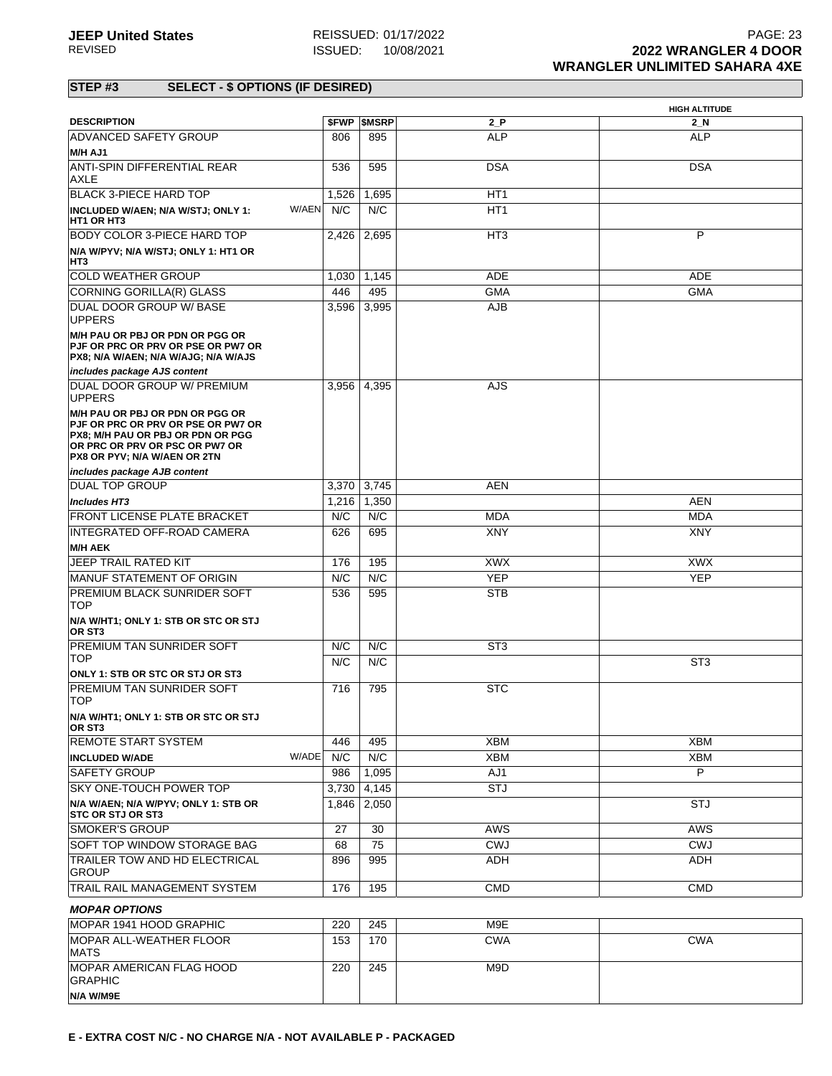|                                                                                                                                                                                            |       |                          |                 | <b>HIGH ALTITUDE</b> |
|--------------------------------------------------------------------------------------------------------------------------------------------------------------------------------------------|-------|--------------------------|-----------------|----------------------|
| <b>DESCRIPTION</b>                                                                                                                                                                         |       | <b><i>SFWP SMSRP</i></b> | $2_P$           | $2$ N                |
| <b>ADVANCED SAFETY GROUP</b><br>M/H AJ1                                                                                                                                                    | 806   | 895                      | <b>ALP</b>      | <b>ALP</b>           |
| <b>ANTI-SPIN DIFFERENTIAL REAR</b><br>AXLE                                                                                                                                                 | 536   | 595                      | <b>DSA</b>      | <b>DSA</b>           |
| BLACK 3-PIECE HARD TOP                                                                                                                                                                     | 1,526 | 1,695                    | HT1             |                      |
| W/AEN<br>INCLUDED W/AEN; N/A W/STJ; ONLY 1:<br>HT1 OR HT3                                                                                                                                  | N/C   | N/C                      | HT <sub>1</sub> |                      |
| BODY COLOR 3-PIECE HARD TOP                                                                                                                                                                | 2,426 | 2,695                    | HT3             | P                    |
| N/A W/PYV; N/A W/STJ; ONLY 1: HT1 OR<br>HT3                                                                                                                                                |       |                          |                 |                      |
| <b>COLD WEATHER GROUP</b>                                                                                                                                                                  | 1.030 | 1,145                    | ADE             | ADE                  |
| CORNING GORILLA(R) GLASS                                                                                                                                                                   | 446   | 495                      | <b>GMA</b>      | <b>GMA</b>           |
| DUAL DOOR GROUP W/ BASE<br><b>UPPERS</b>                                                                                                                                                   | 3,596 | 3,995                    | <b>AJB</b>      |                      |
| M/H PAU OR PBJ OR PDN OR PGG OR<br>PJF OR PRC OR PRV OR PSE OR PW7 OR<br>PX8; N/A W/AEN; N/A W/AJG; N/A W/AJS                                                                              |       |                          |                 |                      |
| includes package AJS content                                                                                                                                                               |       |                          |                 |                      |
| DUAL DOOR GROUP W/ PREMIUM<br><b>UPPERS</b>                                                                                                                                                | 3,956 | 4,395                    | AJS             |                      |
| M/H PAU OR PBJ OR PDN OR PGG OR<br><b>PJF OR PRC OR PRV OR PSE OR PW7 OR</b><br>PX8; M/H PAU OR PBJ OR PDN OR PGG<br>OR PRC OR PRV OR PSC OR PW7 OR<br><b>PX8 OR PYV: N/A W/AEN OR 2TN</b> |       |                          |                 |                      |
| includes package AJB content                                                                                                                                                               |       |                          |                 |                      |
| <b>DUAL TOP GROUP</b>                                                                                                                                                                      | 3,370 | 3,745                    | <b>AEN</b>      |                      |
| <b>Includes HT3</b>                                                                                                                                                                        | 1,216 | 1,350                    |                 | <b>AEN</b>           |
| FRONT LICENSE PLATE BRACKET                                                                                                                                                                | N/C   | N/C                      | <b>MDA</b>      | MDA                  |
| INTEGRATED OFF-ROAD CAMERA                                                                                                                                                                 | 626   | 695                      | <b>XNY</b>      | <b>XNY</b>           |
| <b>M/H AEK</b>                                                                                                                                                                             |       |                          |                 |                      |
| <b>JEEP TRAIL RATED KIT</b>                                                                                                                                                                | 176   | 195                      | <b>XWX</b>      | <b>XWX</b>           |
| MANUF STATEMENT OF ORIGIN                                                                                                                                                                  | N/C   | N/C                      | <b>YEP</b>      | <b>YEP</b>           |
| PREMIUM BLACK SUNRIDER SOFT<br><b>TOP</b>                                                                                                                                                  | 536   | 595                      | <b>STB</b>      |                      |
| N/A W/HT1; ONLY 1: STB OR STC OR STJ<br>OR ST3                                                                                                                                             |       |                          |                 |                      |
| <b>PREMIUM TAN SUNRIDER SOFT</b>                                                                                                                                                           | N/C   | N/C                      | ST <sub>3</sub> |                      |
| <b>TOP</b>                                                                                                                                                                                 | N/C   | N/C                      |                 | ST <sub>3</sub>      |
| ONLY 1: STB OR STC OR STJ OR ST3<br><b>PREMIUM TAN SUNRIDER SOFT</b><br><b>TOP</b>                                                                                                         | 716   | 795                      | <b>STC</b>      |                      |
| N/A W/HT1; ONLY 1: STB OR STC OR STJ<br>OR ST3                                                                                                                                             |       |                          |                 |                      |
| <b>REMOTE START SYSTEM</b>                                                                                                                                                                 | 446   | 495                      | <b>XBM</b>      | <b>XBM</b>           |
| W/ADE<br><b>INCLUDED W/ADE</b>                                                                                                                                                             | N/C   | N/C                      | <b>XBM</b>      | XBM                  |
| <b>SAFETY GROUP</b>                                                                                                                                                                        | 986   | 1,095                    | AJ1             | P                    |
| SKY ONE-TOUCH POWER TOP                                                                                                                                                                    | 3,730 | 4,145                    | <b>STJ</b>      |                      |
| N/A W/AEN; N/A W/PYV; ONLY 1: STB OR<br><b>STC OR STJ OR ST3</b>                                                                                                                           | 1,846 | 2,050                    |                 | <b>STJ</b>           |
| <b>SMOKER'S GROUP</b>                                                                                                                                                                      | 27    | 30                       | AWS             | <b>AWS</b>           |
| SOFT TOP WINDOW STORAGE BAG                                                                                                                                                                | 68    | 75                       | <b>CWJ</b>      | <b>CWJ</b>           |
| <b>TRAILER TOW AND HD ELECTRICAL</b><br>GROUP                                                                                                                                              | 896   | 995                      | ADH             | ADH                  |
| TRAIL RAIL MANAGEMENT SYSTEM                                                                                                                                                               | 176   | 195                      | <b>CMD</b>      | <b>CMD</b>           |
| <b>MOPAR OPTIONS</b>                                                                                                                                                                       |       |                          |                 |                      |
| MOPAR 1941 HOOD GRAPHIC                                                                                                                                                                    | 220   | 245                      | M9E             |                      |
| MOPAR ALL-WEATHER FLOOR                                                                                                                                                                    | 153   | 170                      | <b>CWA</b>      | <b>CWA</b>           |
| <b>MATS</b><br><b>MOPAR AMERICAN FLAG HOOD</b>                                                                                                                                             |       |                          |                 |                      |
| GRAPHIC                                                                                                                                                                                    | 220   | 245                      | M9D             |                      |
| N/A W/M9E                                                                                                                                                                                  |       |                          |                 |                      |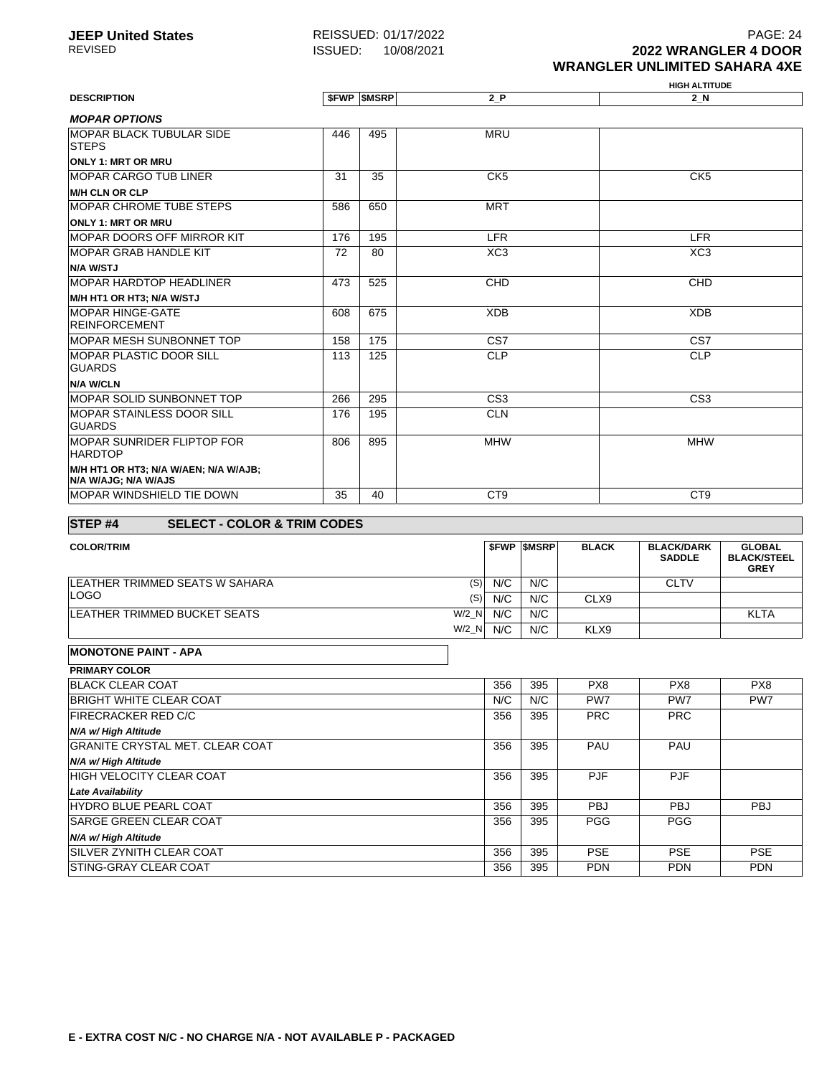**JEEP United States** REISSUED: 01/17/2022 **PAGE: 24** PAGE: 24 REVISED ISSUED: 10/08/2021 **2022 WRANGLER 4 DOOR WRANGLER UNLIMITED SAHARA 4XE**

#### **HIGH ALTITUDE DESCRIPTION \$FWP \$MSRP 2\_P 2\_N MOPAR OPTIONS** MOPAR BLACK TUBULAR SIDE STEPS **ONLY 1: MRT OR MRU** 446 495 MRU MOPAR CARGO TUB LINER **M/H CLN OR CLP** 31 35 CK5 CK5 CK5 MOPAR CHROME TUBE STEPS **ONLY 1: MRT OR MRU** 586 650 MRT MOPAR DOORS OFF MIRROR KIT 176 195 LER LER LER LER LER MOPAR GRAB HANDLE KIT **N/A W/STJ** 72 80 XC3 XC3 MOPAR HARDTOP HEADLINER **M/H HT1 OR HT3; N/A W/STJ** 473 | 525 | CHD CHD CHD MOPAR HINGE-GATE REINFORCEMENT 608 675 XDB XDB MOPAR MESH SUNBONNET TOP 158 175 CS7 CS7 MOPAR PLASTIC DOOR SILL GUARDS **N/A W/CLN** 113 125 CLP CLP MOPAR SOLID SUNBONNET TOP 266 295 CS3 CS3 MOPAR STAINLESS DOOR SILL GUARDS 176 195 CLN MOPAR SUNRIDER FLIPTOP FOR **HARDTOP M/H HT1 OR HT3; N/A W/AEN; N/A W/AJB; N/A W/AJG; N/A W/AJS** 806 895 MHW MHW MOPAR WINDSHIELD TIE DOWN 35 40 CT9 CT9 CT9

#### **STEP #4 SELECT - COLOR & TRIM CODES**

| <b>COLOR/TRIM</b>                     |     | <b>SFWP SMSRP</b> | <b>BLACK</b> | <b>BLACK/DARK</b><br><b>SADDLE</b> | <b>GLOBAL</b><br><b>BLACK/STEEL</b><br><b>GREY</b> |
|---------------------------------------|-----|-------------------|--------------|------------------------------------|----------------------------------------------------|
| (S)<br>LEATHER TRIMMED SEATS W SAHARA | N/C | N/C               |              | <b>CLTV</b>                        |                                                    |
| <b>LOGO</b><br>(S)                    | N/C | N/C               | CLX9         |                                    |                                                    |
| W/2 N<br>LEATHER TRIMMED BUCKET SEATS | N/C | N/C               |              |                                    | <b>KLTA</b>                                        |
| $W/2$ N                               | N/C | N/C               | KLX9         |                                    |                                                    |

#### **MONOTONE PAINT - APA**

| <b>PRIMARY COLOR</b>                   |     |     |                 |                 |                 |
|----------------------------------------|-----|-----|-----------------|-----------------|-----------------|
| <b>BLACK CLEAR COAT</b>                | 356 | 395 | PX8             | PX8             | PX8             |
| <b>BRIGHT WHITE CLEAR COAT</b>         | N/C | N/C | PW <sub>7</sub> | PW <sub>7</sub> | PW <sub>7</sub> |
| <b>FIRECRACKER RED C/C</b>             | 356 | 395 | <b>PRC</b>      | <b>PRC</b>      |                 |
| N/A w/ High Altitude                   |     |     |                 |                 |                 |
| <b>GRANITE CRYSTAL MET. CLEAR COAT</b> | 356 | 395 | PAU             | PAU             |                 |
| N/A w/ High Altitude                   |     |     |                 |                 |                 |
| <b>HIGH VELOCITY CLEAR COAT</b>        | 356 | 395 | <b>PJF</b>      | <b>PJF</b>      |                 |
| <b>Late Availability</b>               |     |     |                 |                 |                 |
| <b>HYDRO BLUE PEARL COAT</b>           | 356 | 395 | <b>PBJ</b>      | <b>PBJ</b>      | <b>PBJ</b>      |
| <b>SARGE GREEN CLEAR COAT</b>          | 356 | 395 | <b>PGG</b>      | <b>PGG</b>      |                 |
| N/A w/ High Altitude                   |     |     |                 |                 |                 |
| <b>ISILVER ZYNITH CLEAR COAT</b>       | 356 | 395 | <b>PSE</b>      | <b>PSE</b>      | <b>PSE</b>      |
| <b>STING-GRAY CLEAR COAT</b>           | 356 | 395 | <b>PDN</b>      | <b>PDN</b>      | <b>PDN</b>      |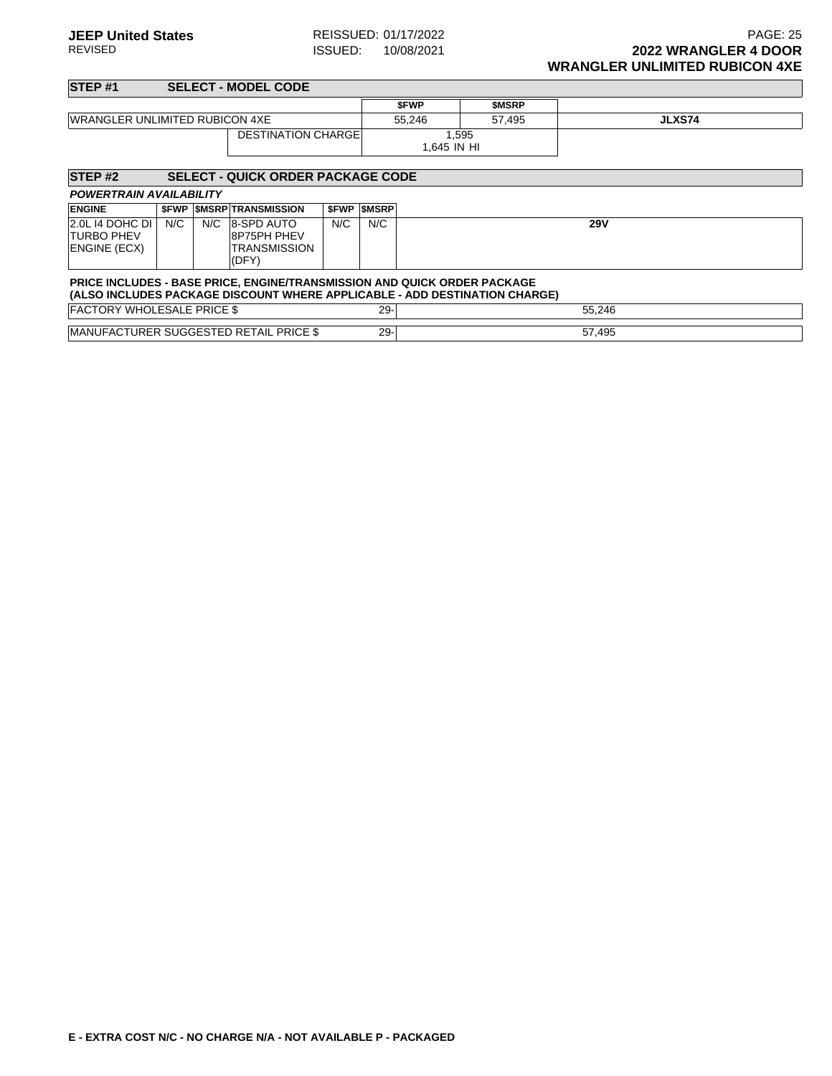| <b>STEP#1</b>                                        |     |     | <b>SELECT - MODEL CODE</b>                                                                                                                                    |     |                   |                      |              |               |
|------------------------------------------------------|-----|-----|---------------------------------------------------------------------------------------------------------------------------------------------------------------|-----|-------------------|----------------------|--------------|---------------|
|                                                      |     |     |                                                                                                                                                               |     |                   | <b>SFWP</b>          | <b>SMSRP</b> |               |
| <b>IWRANGLER UNLIMITED RUBICON 4XE</b>               |     |     |                                                                                                                                                               |     |                   | 55,246               | 57,495       | <b>JLXS74</b> |
|                                                      |     |     | <b>DESTINATION CHARGE</b>                                                                                                                                     |     |                   | 1,595<br>1.645 IN HI |              |               |
| STEP <sub>#2</sub>                                   |     |     | <b>SELECT - QUICK ORDER PACKAGE CODE</b>                                                                                                                      |     |                   |                      |              |               |
| <b>POWERTRAIN AVAILABILITY</b>                       |     |     |                                                                                                                                                               |     |                   |                      |              |               |
| <b>ENGINE</b>                                        |     |     | <b><i>SFWP SMSRP TRANSMISSION</i></b>                                                                                                                         |     | <b>SFWP SMSRP</b> |                      |              |               |
| 2.0L 14 DOHC DI<br><b>TURBO PHEV</b><br>ENGINE (ECX) | N/C | N/C | 8-SPD AUTO<br>8P75PH PHEV<br>TRANSMISSION<br>(DFY)                                                                                                            | N/C | N/C               |                      |              | <b>29V</b>    |
|                                                      |     |     | <b>PRICE INCLUDES - BASE PRICE, ENGINE/TRANSMISSION AND QUICK ORDER PACKAGE</b><br>(ALSO INCLUDES PACKAGE DISCOUNT WHERE APPLICABLE - ADD DESTINATION CHARGE) |     |                   |                      |              |               |
| <b>FACTORY WHOLESALE PRICE \$</b>                    |     |     |                                                                                                                                                               |     | $29 -$            |                      |              | 55,246        |
|                                                      |     |     | <b>IMANUFACTURER SUGGESTED RETAIL PRICE \$</b>                                                                                                                |     | $29 -$            |                      |              | 57,495        |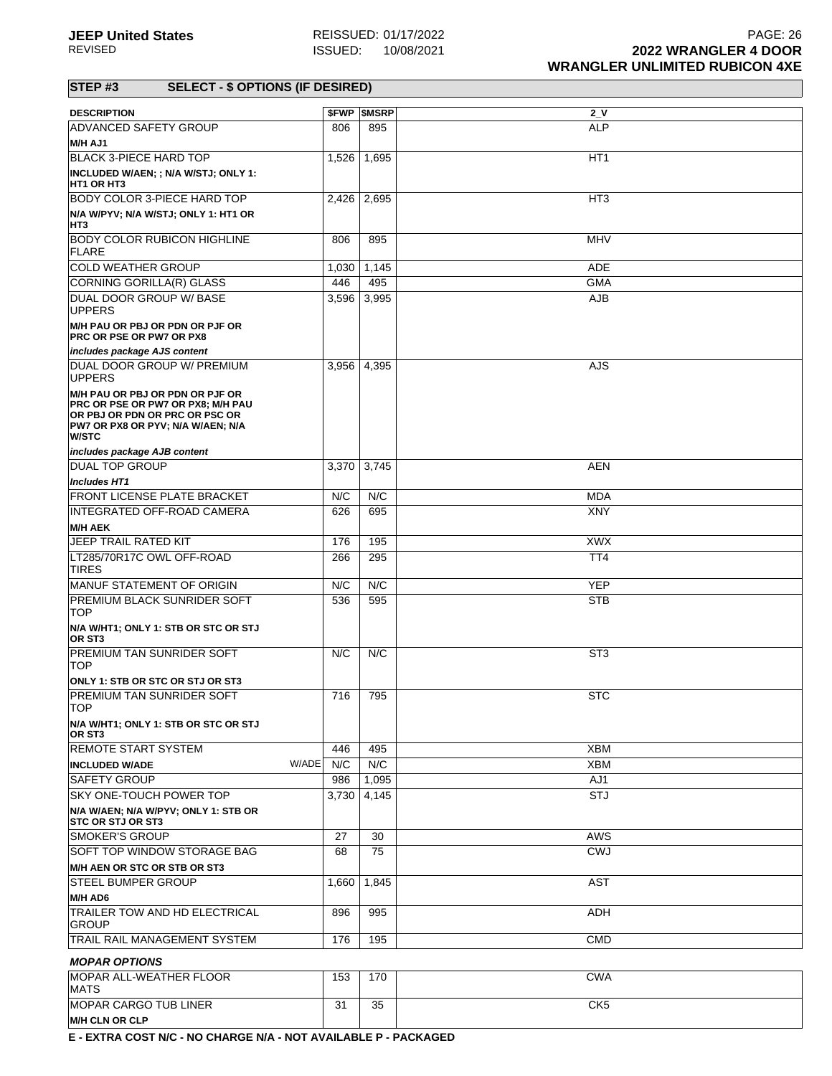| <b>DESCRIPTION</b>                                                                                                                                          |       | <b>\$FWP \$MSRP</b> | 2V              |
|-------------------------------------------------------------------------------------------------------------------------------------------------------------|-------|---------------------|-----------------|
| ADVANCED SAFETY GROUP                                                                                                                                       | 806   | 895                 | <b>ALP</b>      |
| <b>M/H AJ1</b>                                                                                                                                              |       |                     |                 |
| <b>BLACK 3-PIECE HARD TOP</b>                                                                                                                               | 1,526 | 1,695               | HT <sub>1</sub> |
| INCLUDED W/AEN; ; N/A W/STJ; ONLY 1:<br><b>HT1 OR HT3</b>                                                                                                   |       |                     |                 |
| <b>BODY COLOR 3-PIECE HARD TOP</b>                                                                                                                          |       | 2,426 2,695         | HT <sub>3</sub> |
| N/A W/PYV; N/A W/STJ; ONLY 1: HT1 OR<br>HT3                                                                                                                 |       |                     |                 |
| <b>BODY COLOR RUBICON HIGHLINE</b><br><b>FLARE</b>                                                                                                          | 806   | 895                 | <b>MHV</b>      |
| <b>COLD WEATHER GROUP</b>                                                                                                                                   | 1,030 | 1,145               | ADE             |
| CORNING GORILLA(R) GLASS                                                                                                                                    | 446   | 495                 | <b>GMA</b>      |
| DUAL DOOR GROUP W/ BASE<br><b>UPPERS</b>                                                                                                                    | 3,596 | 3,995               | AJB             |
| M/H PAU OR PBJ OR PDN OR PJF OR<br><b>PRC OR PSE OR PW7 OR PX8</b>                                                                                          |       |                     |                 |
| includes package AJS content                                                                                                                                |       |                     |                 |
| DUAL DOOR GROUP W/ PREMIUM<br><b>UPPERS</b>                                                                                                                 | 3,956 | 4,395               | AJS             |
| M/H PAU OR PBJ OR PDN OR PJF OR<br>PRC OR PSE OR PW7 OR PX8; M/H PAU<br>OR PBJ OR PDN OR PRC OR PSC OR<br>PW7 OR PX8 OR PYV; N/A W/AEN; N/A<br><b>W/STC</b> |       |                     |                 |
| includes package AJB content                                                                                                                                |       |                     |                 |
| <b>DUAL TOP GROUP</b>                                                                                                                                       | 3,370 | 3,745               | <b>AEN</b>      |
| <b>Includes HT1</b>                                                                                                                                         |       |                     |                 |
| <b>FRONT LICENSE PLATE BRACKET</b>                                                                                                                          | N/C   | N/C                 | <b>MDA</b>      |
| INTEGRATED OFF-ROAD CAMERA<br><b>M/H AEK</b>                                                                                                                | 626   | 695                 | XNY             |
| JEEP TRAIL RATED KIT                                                                                                                                        | 176   | 195                 | <b>XWX</b>      |
| LT285/70R17C OWL OFF-ROAD<br>TIRES                                                                                                                          | 266   | 295                 | TT <sub>4</sub> |
| MANUF STATEMENT OF ORIGIN                                                                                                                                   | N/C   | N/C                 | <b>YEP</b>      |
| PREMIUM BLACK SUNRIDER SOFT<br><b>TOP</b>                                                                                                                   | 536   | 595                 | <b>STB</b>      |
| N/A W/HT1; ONLY 1: STB OR STC OR STJ<br>OR ST <sub>3</sub>                                                                                                  |       |                     |                 |
| PREMIUM TAN SUNRIDER SOFT<br>TOP                                                                                                                            | N/C   | N/C                 | ST <sub>3</sub> |
| ONLY 1: STB OR STC OR STJ OR ST3                                                                                                                            |       |                     |                 |
| <b>PREMIUM TAN SUNRIDER SOFT</b><br><b>TOP</b>                                                                                                              | 716   | 795                 | <b>STC</b>      |
| N/A W/HT1; ONLY 1: STB OR STC OR STJ<br>OR ST <sub>3</sub>                                                                                                  |       |                     |                 |
| <b>REMOTE START SYSTEM</b>                                                                                                                                  | 446   | 495                 | <b>XBM</b>      |
| W/ADE<br><b>INCLUDED W/ADE</b>                                                                                                                              | N/C   | N/C                 | XBM             |
| <b>SAFETY GROUP</b>                                                                                                                                         | 986   | 1,095               | AJ1             |
| <b>SKY ONE-TOUCH POWER TOP</b>                                                                                                                              | 3,730 | 4,145               | <b>STJ</b>      |
| N/A W/AEN; N/A W/PYV; ONLY 1: STB OR<br><b>STC OR STJ OR ST3</b>                                                                                            |       |                     |                 |
| <b>SMOKER'S GROUP</b>                                                                                                                                       | 27    | 30                  | AWS             |
| SOFT TOP WINDOW STORAGE BAG                                                                                                                                 | 68    | 75                  | <b>CWJ</b>      |
| M/H AEN OR STC OR STB OR ST3                                                                                                                                |       |                     |                 |
| <b>STEEL BUMPER GROUP</b>                                                                                                                                   | 1,660 | 1,845               | <b>AST</b>      |
| M/H AD6<br>TRAILER TOW AND HD ELECTRICAL                                                                                                                    | 896   | 995                 | ADH             |
| <b>GROUP</b><br>TRAIL RAIL MANAGEMENT SYSTEM                                                                                                                | 176   | 195                 | <b>CMD</b>      |
|                                                                                                                                                             |       |                     |                 |
| <b>MOPAR OPTIONS</b><br>MOPAR ALL-WEATHER FLOOR                                                                                                             |       |                     | <b>CWA</b>      |
| MATS                                                                                                                                                        | 153   | 170                 |                 |
| <b>MOPAR CARGO TUB LINER</b><br><b>M/H CLN OR CLP</b>                                                                                                       | 31    | 35                  | CK <sub>5</sub> |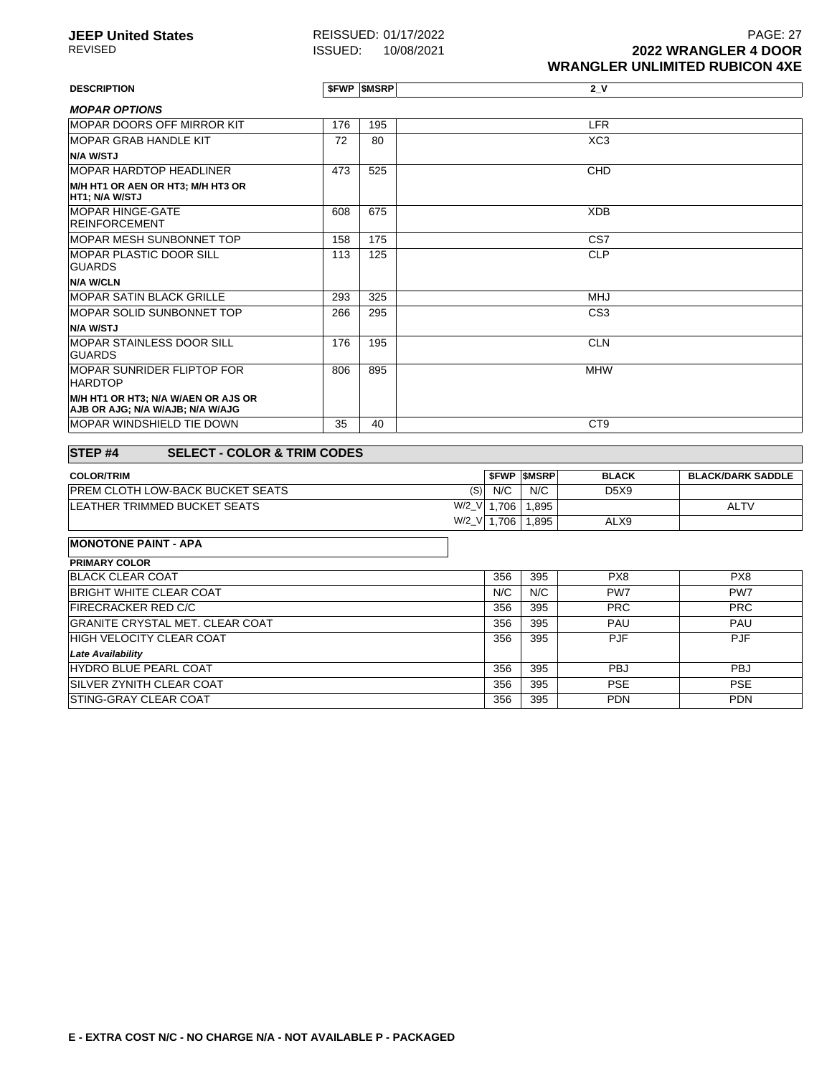**JEEP United States** REISSUED: 01/17/2022<br>REVISED **REVISED** REVISED: 10/08/2021 **PAGE: 27 ISSUED:** 10/08/2021 **2022 WRANGLER 4 DOOR WRANGLER UNLIMITED RUBICON 4XE**

**DESCRIPTION \$FWP \$MSRP 2\_V** 

| <b>MOPAR OPTIONS</b>                                                    |     |     |                 |
|-------------------------------------------------------------------------|-----|-----|-----------------|
| <b>IMOPAR DOORS OFF MIRROR KIT</b>                                      | 176 | 195 | <b>LFR</b>      |
| <b>MOPAR GRAB HANDLE KIT</b>                                            | 72  | 80  | XC <sub>3</sub> |
| <b>N/A W/STJ</b>                                                        |     |     |                 |
| <b>MOPAR HARDTOP HEADLINER</b>                                          | 473 | 525 | <b>CHD</b>      |
| M/H HT1 OR AEN OR HT3; M/H HT3 OR<br><b>HT1; N/A W/STJ</b>              |     |     |                 |
| <b>MOPAR HINGE-GATE</b><br><b>REINFORCEMENT</b>                         | 608 | 675 | <b>XDB</b>      |
| <b>MOPAR MESH SUNBONNET TOP</b>                                         | 158 | 175 | CS <sub>7</sub> |
| <b>MOPAR PLASTIC DOOR SILL</b><br><b>GUARDS</b>                         | 113 | 125 | <b>CLP</b>      |
| N/A W/CLN                                                               |     |     |                 |
| <b>MOPAR SATIN BLACK GRILLE</b>                                         | 293 | 325 | <b>MHJ</b>      |
| <b>MOPAR SOLID SUNBONNET TOP</b>                                        | 266 | 295 | CS <sub>3</sub> |
| N/A W/STJ                                                               |     |     |                 |
| <b>IMOPAR STAINLESS DOOR SILL</b><br><b>GUARDS</b>                      | 176 | 195 | <b>CLN</b>      |
| <b>IMOPAR SUNRIDER FLIPTOP FOR</b><br><b>HARDTOP</b>                    | 806 | 895 | <b>MHW</b>      |
| M/H HT1 OR HT3; N/A W/AEN OR AJS OR<br>AJB OR AJG; N/A W/AJB; N/A W/AJG |     |     |                 |
| <b>MOPAR WINDSHIELD TIE DOWN</b>                                        | 35  | 40  | CT <sub>9</sub> |
|                                                                         |     |     |                 |

### **STEP #4 SELECT - COLOR & TRIM CODES**

| <b>COLOR/TRIM</b>                        |             |       | <b>SFWP SMSRP</b> | <b>BLACK</b> | <b>BLACK/DARK SADDLE</b> |
|------------------------------------------|-------------|-------|-------------------|--------------|--------------------------|
| <b>IPREM CLOTH LOW-BACK BUCKET SEATS</b> | (S)         | N/C   | N/C               | D5X9         |                          |
| <b>LEATHER TRIMMED BUCKET SEATS</b>      | $W/2$ $V$ 1 | .706، | 1.895             |              | <b>ALTV</b>              |
|                                          | W/2_V       | 706.  | 1.895             | ALX9         |                          |

| <b>MONOTONE PAINT - APA</b>            |     |     |            |            |
|----------------------------------------|-----|-----|------------|------------|
| <b>PRIMARY COLOR</b>                   |     |     |            |            |
| <b>BLACK CLEAR COAT</b>                | 356 | 395 | PX8        | PX8        |
| <b>BRIGHT WHITE CLEAR COAT</b>         | N/C | N/C | PW7        | PW7        |
| <b>FIRECRACKER RED C/C</b>             | 356 | 395 | <b>PRC</b> | <b>PRC</b> |
| <b>GRANITE CRYSTAL MET. CLEAR COAT</b> | 356 | 395 | <b>PAU</b> | <b>PAU</b> |
| <b>HIGH VELOCITY CLEAR COAT</b>        | 356 | 395 | <b>PJF</b> | <b>PJF</b> |
| <b>Late Availability</b>               |     |     |            |            |
| <b>HYDRO BLUE PEARL COAT</b>           | 356 | 395 | <b>PBJ</b> | <b>PBJ</b> |
| <b>ISILVER ZYNITH CLEAR COAT</b>       | 356 | 395 | <b>PSE</b> | <b>PSE</b> |
| <b>ISTING-GRAY CLEAR COAT</b>          | 356 | 395 | <b>PDN</b> | <b>PDN</b> |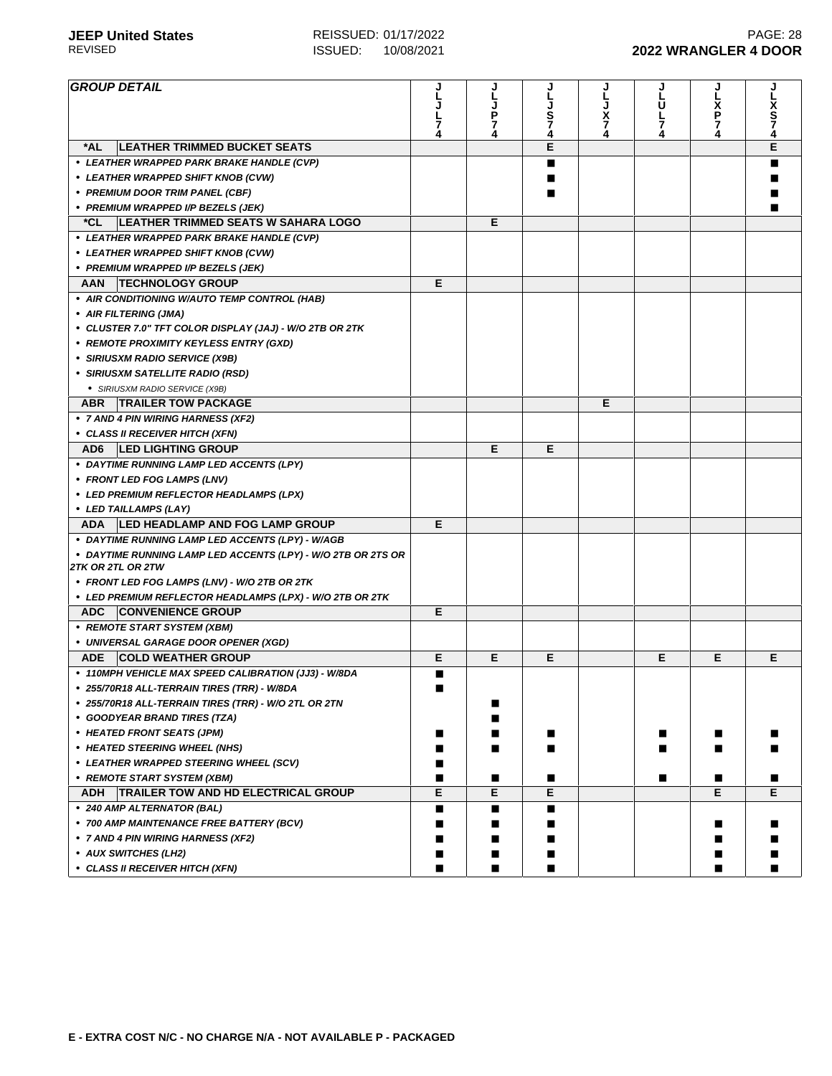| <b>GROUP DETAIL</b>                                          |   | J      |        | J      | J      | J      |             |
|--------------------------------------------------------------|---|--------|--------|--------|--------|--------|-------------|
|                                                              |   |        |        |        | U      |        |             |
|                                                              |   | P      | s<br>7 | x<br>7 | L      | X<br>P | x<br>S<br>7 |
|                                                              |   | 7<br>4 | 4      | 4      | 7<br>4 | 7      |             |
| <b>LEATHER TRIMMED BUCKET SEATS</b><br>*AL                   |   |        | E      |        |        |        | E           |
| • LEATHER WRAPPED PARK BRAKE HANDLE (CVP)                    |   |        |        |        |        |        |             |
| • LEATHER WRAPPED SHIFT KNOB (CVW)                           |   |        |        |        |        |        |             |
| • PREMIUM DOOR TRIM PANEL (CBF)                              |   |        |        |        |        |        |             |
| • PREMIUM WRAPPED I/P BEZELS (JEK)                           |   |        |        |        |        |        |             |
| <b>LEATHER TRIMMED SEATS W SAHARA LOGO</b><br>*CL.           |   | E      |        |        |        |        |             |
| • LEATHER WRAPPED PARK BRAKE HANDLE (CVP)                    |   |        |        |        |        |        |             |
|                                                              |   |        |        |        |        |        |             |
| • LEATHER WRAPPED SHIFT KNOB (CVW)                           |   |        |        |        |        |        |             |
| • PREMIUM WRAPPED I/P BEZELS (JEK)                           | E |        |        |        |        |        |             |
| <b>TECHNOLOGY GROUP</b><br>AAN                               |   |        |        |        |        |        |             |
| • AIR CONDITIONING W/AUTO TEMP CONTROL (HAB)                 |   |        |        |        |        |        |             |
| • AIR FILTERING (JMA)                                        |   |        |        |        |        |        |             |
| • CLUSTER 7.0" TFT COLOR DISPLAY (JAJ) - W/O 2TB OR 2TK      |   |        |        |        |        |        |             |
| • REMOTE PROXIMITY KEYLESS ENTRY (GXD)                       |   |        |        |        |        |        |             |
| • SIRIUSXM RADIO SERVICE (X9B)                               |   |        |        |        |        |        |             |
| • SIRIUSXM SATELLITE RADIO (RSD)                             |   |        |        |        |        |        |             |
| • SIRIUSXM RADIO SERVICE (X9B)                               |   |        |        |        |        |        |             |
| ABR   TRAILER TOW PACKAGE                                    |   |        |        | Е      |        |        |             |
| • 7 AND 4 PIN WIRING HARNESS (XF2)                           |   |        |        |        |        |        |             |
| • CLASS II RECEIVER HITCH (XFN)                              |   |        |        |        |        |        |             |
| AD6 LED LIGHTING GROUP                                       |   | Е      | Е      |        |        |        |             |
| • DAYTIME RUNNING LAMP LED ACCENTS (LPY)                     |   |        |        |        |        |        |             |
| • FRONT LED FOG LAMPS (LNV)                                  |   |        |        |        |        |        |             |
| • LED PREMIUM REFLECTOR HEADLAMPS (LPX)                      |   |        |        |        |        |        |             |
| • LED TAILLAMPS (LAY)                                        |   |        |        |        |        |        |             |
| ADA   LED HEADLAMP AND FOG LAMP GROUP                        | E |        |        |        |        |        |             |
| • DAYTIME RUNNING LAMP LED ACCENTS (LPY) - W/AGB             |   |        |        |        |        |        |             |
| • DAYTIME RUNNING LAMP LED ACCENTS (LPY) - W/O 2TB OR 2TS OR |   |        |        |        |        |        |             |
| 2TK OR 2TL OR 2TW                                            |   |        |        |        |        |        |             |
| • FRONT LED FOG LAMPS (LNV) - W/O 2TB OR 2TK                 |   |        |        |        |        |        |             |
| • LED PREMIUM REFLECTOR HEADLAMPS (LPX) - W/O 2TB OR 2TK     |   |        |        |        |        |        |             |
| ADC CONVENIENCE GROUP                                        | Е |        |        |        |        |        |             |
| • REMOTE START SYSTEM (XBM)                                  |   |        |        |        |        |        |             |
| • UNIVERSAL GARAGE DOOR OPENER (XGD)                         |   |        |        |        |        |        |             |
| ADE COLD WEATHER GROUP                                       | E | E      | Е      |        | Е      | Е      | Е           |
| • 110MPH VEHICLE MAX SPEED CALIBRATION (JJ3) - W/8DA         | ■ |        |        |        |        |        |             |
| 255/70R18 ALL-TERRAIN TIRES (TRR) - W/8DA                    |   |        |        |        |        |        |             |
| * 255/70R18 ALL-TERRAIN TIRES (TRR) - W/O 2TL OR 2TN         |   | ■      |        |        |        |        |             |
| • GOODYEAR BRAND TIRES (TZA)                                 |   | ■      |        |        |        |        |             |
| • HEATED FRONT SEATS (JPM)                                   |   |        |        |        |        |        |             |
|                                                              |   |        |        |        |        |        |             |
| • HEATED STEERING WHEEL (NHS)                                |   | ■      |        |        |        |        |             |
| • LEATHER WRAPPED STEERING WHEEL (SCV)                       | ■ |        |        |        |        |        |             |
| • REMOTE START SYSTEM (XBM)                                  | П | ■      | п      |        | ■      | ■      |             |
| TRAILER TOW AND HD ELECTRICAL GROUP<br><b>ADH</b>            | Е | E      | Е      |        |        | E      | E.          |
| • 240 AMP ALTERNATOR (BAL)                                   | П | П      | ■      |        |        |        |             |
| • 700 AMP MAINTENANCE FREE BATTERY (BCV)                     | ш | ■      | ■      |        |        |        |             |
| • 7 AND 4 PIN WIRING HARNESS (XF2)                           |   | ■      | ■      |        |        |        |             |
| • AUX SWITCHES (LH2)                                         | ш |        |        |        |        |        |             |
| • CLASS II RECEIVER HITCH (XFN)                              | ■ | ■      | ■      |        |        | ■      |             |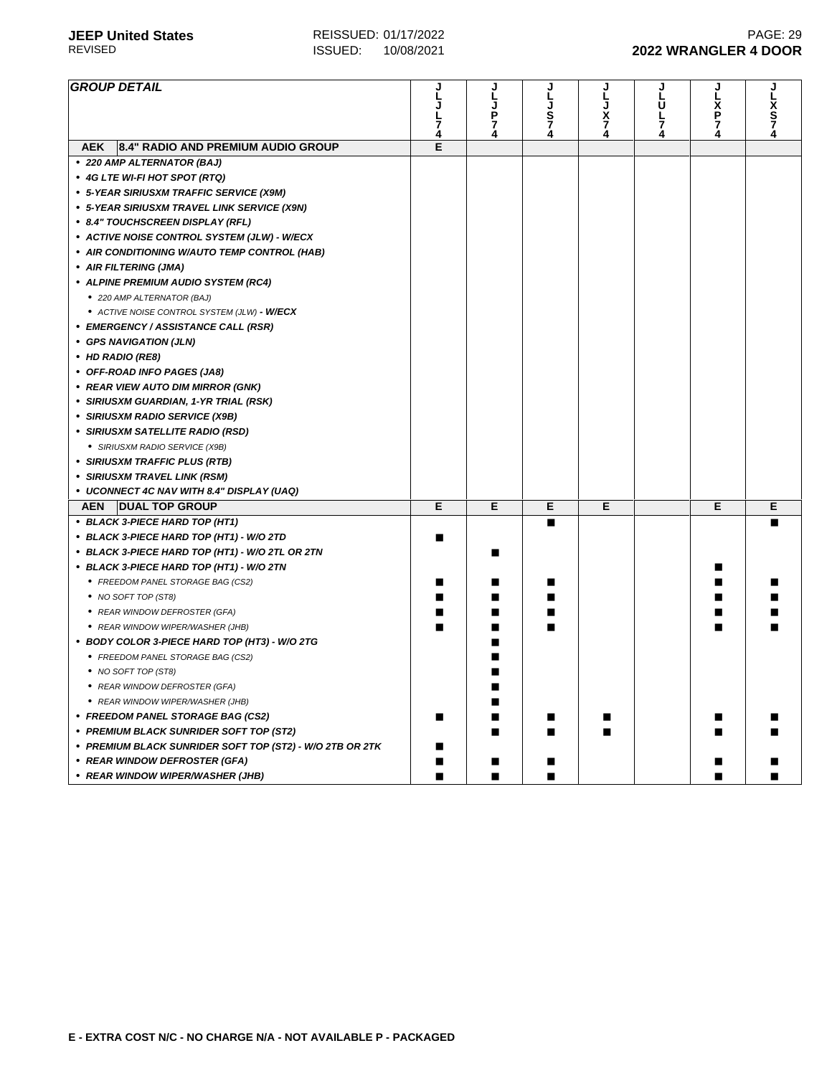| <b>GROUP DETAIL</b>                                               |        | L      |                  |                     | Ū      | l<br>P |                       |
|-------------------------------------------------------------------|--------|--------|------------------|---------------------|--------|--------|-----------------------|
|                                                                   |        | J<br>P | L<br>J<br>S<br>7 | $\frac{\bar{x}}{7}$ | L      |        | L<br>X<br>S<br>7<br>4 |
|                                                                   | 7<br>4 | 7<br>4 | Ā.               | 4                   | 7<br>4 | 7<br>4 |                       |
| 8.4" RADIO AND PREMIUM AUDIO GROUP<br><b>AEK</b>                  | E      |        |                  |                     |        |        |                       |
| • 220 AMP ALTERNATOR (BAJ)                                        |        |        |                  |                     |        |        |                       |
| • 4G LTE WI-FI HOT SPOT (RTQ)                                     |        |        |                  |                     |        |        |                       |
| • 5-YEAR SIRIUSXM TRAFFIC SERVICE (X9M)                           |        |        |                  |                     |        |        |                       |
| • 5-YEAR SIRIUSXM TRAVEL LINK SERVICE (X9N)                       |        |        |                  |                     |        |        |                       |
| • 8.4" TOUCHSCREEN DISPLAY (RFL)                                  |        |        |                  |                     |        |        |                       |
| • ACTIVE NOISE CONTROL SYSTEM (JLW) - W/ECX                       |        |        |                  |                     |        |        |                       |
| • AIR CONDITIONING W/AUTO TEMP CONTROL (HAB)                      |        |        |                  |                     |        |        |                       |
| • AIR FILTERING (JMA)                                             |        |        |                  |                     |        |        |                       |
| • ALPINE PREMIUM AUDIO SYSTEM (RC4)                               |        |        |                  |                     |        |        |                       |
| • 220 AMP ALTERNATOR (BAJ)                                        |        |        |                  |                     |        |        |                       |
| • ACTIVE NOISE CONTROL SYSTEM (JLW) - W/ECX                       |        |        |                  |                     |        |        |                       |
| • EMERGENCY / ASSISTANCE CALL (RSR)                               |        |        |                  |                     |        |        |                       |
| • GPS NAVIGATION (JLN)                                            |        |        |                  |                     |        |        |                       |
| • HD RADIO (RE8)                                                  |        |        |                  |                     |        |        |                       |
| • OFF-ROAD INFO PAGES (JA8)                                       |        |        |                  |                     |        |        |                       |
| • REAR VIEW AUTO DIM MIRROR (GNK)                                 |        |        |                  |                     |        |        |                       |
| • SIRIUSXM GUARDIAN, 1-YR TRIAL (RSK)                             |        |        |                  |                     |        |        |                       |
| • SIRIUSXM RADIO SERVICE (X9B)                                    |        |        |                  |                     |        |        |                       |
| • SIRIUSXM SATELLITE RADIO (RSD)                                  |        |        |                  |                     |        |        |                       |
| • SIRIUSXM RADIO SERVICE (X9B)                                    |        |        |                  |                     |        |        |                       |
| • SIRIUSXM TRAFFIC PLUS (RTB)                                     |        |        |                  |                     |        |        |                       |
| • SIRIUSXM TRAVEL LINK (RSM)                                      |        |        |                  |                     |        |        |                       |
| • UCONNECT 4C NAV WITH 8.4" DISPLAY (UAQ)                         |        |        |                  |                     |        |        |                       |
| <b>AEN</b><br><b>DUAL TOP GROUP</b>                               | E      | Е      | Е                | Е                   |        | Е      | Е                     |
| • BLACK 3-PIECE HARD TOP (HT1)                                    |        |        | ■                |                     |        |        |                       |
| • BLACK 3-PIECE HARD TOP (HT1) - W/O 2TD                          |        |        |                  |                     |        |        |                       |
| • BLACK 3-PIECE HARD TOP (HT1) - W/O 2TL OR 2TN                   |        | ■      |                  |                     |        |        |                       |
| • BLACK 3-PIECE HARD TOP (HT1) - W/O 2TN                          |        |        |                  |                     |        |        |                       |
| • FREEDOM PANEL STORAGE BAG (CS2)                                 |        |        |                  |                     |        |        |                       |
| • NO SOFT TOP (ST8)                                               |        |        |                  |                     |        |        |                       |
| • REAR WINDOW DEFROSTER (GFA)                                     |        |        |                  |                     |        |        |                       |
| • REAR WINDOW WIPER/WASHER (JHB)                                  |        |        |                  |                     |        |        |                       |
| • BODY COLOR 3-PIECE HARD TOP (HT3) - W/O 2TG                     |        |        |                  |                     |        |        |                       |
| • FREEDOM PANEL STORAGE BAG (CS2)                                 |        |        |                  |                     |        |        |                       |
| • NO SOFT TOP (ST8)                                               |        |        |                  |                     |        |        |                       |
| • REAR WINDOW DEFROSTER (GFA)                                     |        |        |                  |                     |        |        |                       |
| • REAR WINDOW WIPER/WASHER (JHB)                                  |        |        |                  |                     |        |        |                       |
|                                                                   |        |        |                  |                     |        |        |                       |
| • FREEDOM PANEL STORAGE BAG (CS2)                                 |        |        |                  |                     |        |        |                       |
| • PREMIUM BLACK SUNRIDER SOFT TOP (ST2)                           |        |        |                  |                     |        |        |                       |
| • PREMIUM BLACK SUNRIDER SOFT TOP (ST2) - W/O 2TB OR 2TK          |        |        |                  |                     |        |        |                       |
| • REAR WINDOW DEFROSTER (GFA)<br>• REAR WINDOW WIPER/WASHER (JHB) |        | п      | ■                |                     |        |        |                       |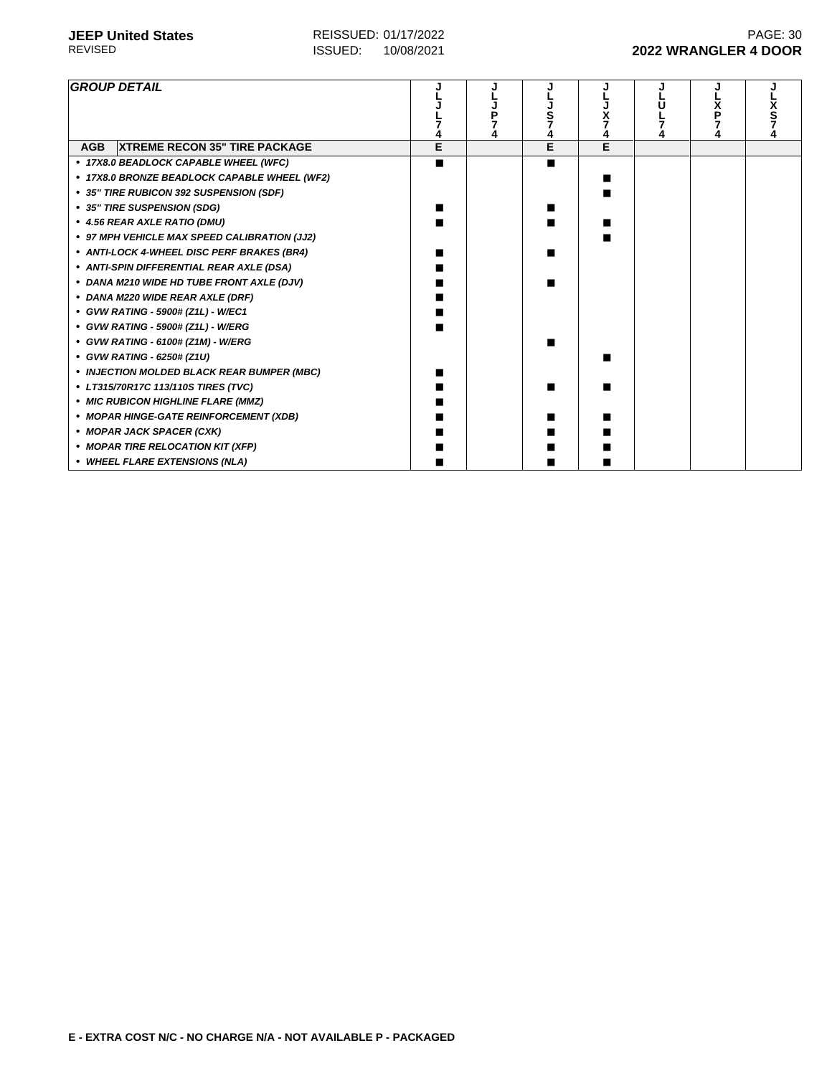| <b>GROUP DETAIL</b>                                |   |   |   |  |  |
|----------------------------------------------------|---|---|---|--|--|
| <b>XTREME RECON 35" TIRE PACKAGE</b><br><b>AGB</b> | Е | E | Е |  |  |
| • 17X8.0 BEADLOCK CAPABLE WHEEL (WFC)              | ■ |   |   |  |  |
| • 17X8.0 BRONZE BEADLOCK CAPABLE WHEEL (WF2)       |   |   |   |  |  |
| • 35" TIRE RUBICON 392 SUSPENSION (SDF)            |   |   |   |  |  |
| • 35" TIRE SUSPENSION (SDG)                        |   |   |   |  |  |
| • 4.56 REAR AXLE RATIO (DMU)                       |   |   |   |  |  |
| • 97 MPH VEHICLE MAX SPEED CALIBRATION (JJ2)       |   |   |   |  |  |
| • ANTI-LOCK 4-WHEEL DISC PERF BRAKES (BR4)         |   |   |   |  |  |
| • ANTI-SPIN DIFFERENTIAL REAR AXLE (DSA)           |   |   |   |  |  |
| • DANA M210 WIDE HD TUBE FRONT AXLE (DJV)          |   |   |   |  |  |
| • DANA M220 WIDE REAR AXLE (DRF)                   |   |   |   |  |  |
| • GVW RATING - 5900# (Z1L) - W/EC1                 |   |   |   |  |  |
| • GVW RATING - 5900# (Z1L) - W/ERG                 |   |   |   |  |  |
| • GVW RATING - 6100# (Z1M) - W/ERG                 |   |   |   |  |  |
| • GVW RATING - 6250# (Z1U)                         |   |   |   |  |  |
| • INJECTION MOLDED BLACK REAR BUMPER (MBC)         |   |   |   |  |  |
| • LT315/70R17C 113/110S TIRES (TVC)                |   |   |   |  |  |
| • MIC RUBICON HIGHLINE FLARE (MMZ)                 |   |   |   |  |  |
| • MOPAR HINGE-GATE REINFORCEMENT (XDB)             |   |   |   |  |  |
| • MOPAR JACK SPACER (CXK)                          |   |   |   |  |  |
| • MOPAR TIRE RELOCATION KIT (XFP)                  |   |   |   |  |  |
| • WHEEL FLARE EXTENSIONS (NLA)                     |   |   |   |  |  |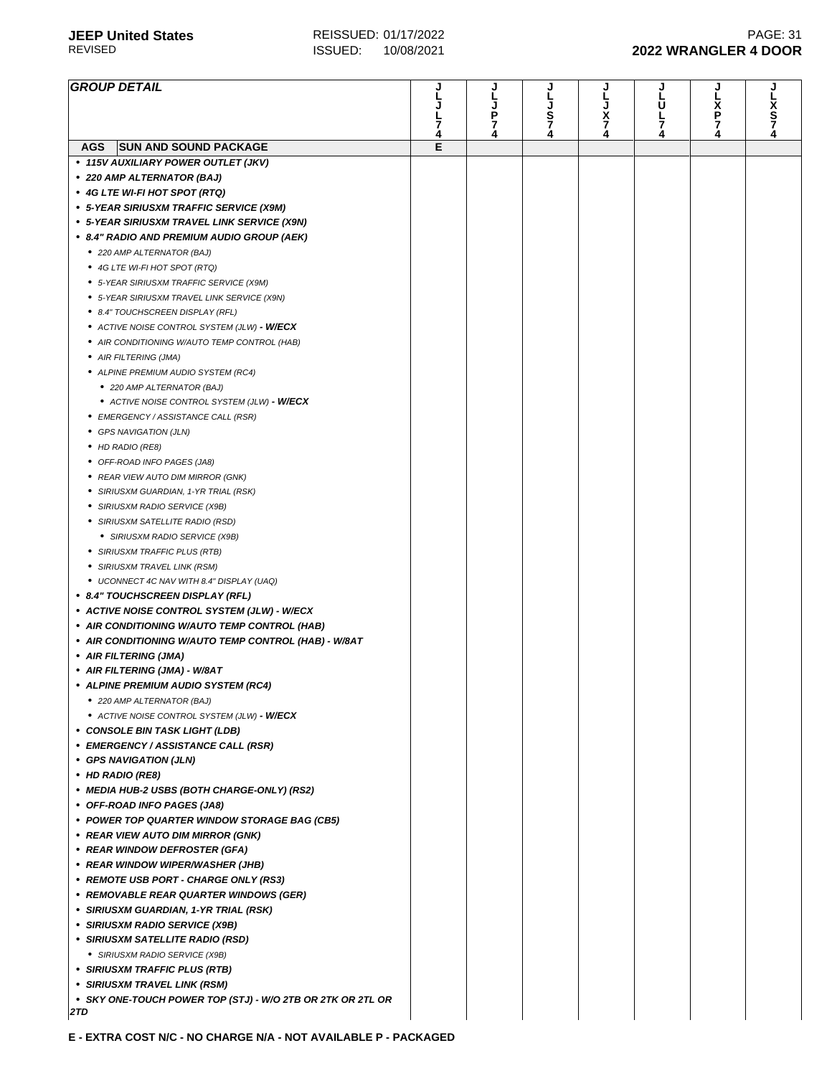| <b>GROUP DETAIL</b>                                        | J      | J      | J      | J             | J      | J      |             |
|------------------------------------------------------------|--------|--------|--------|---------------|--------|--------|-------------|
|                                                            |        |        |        | L             | U      | X      |             |
|                                                            |        | Ρ      | S      | $\frac{x}{7}$ |        | Р      | x<br>S<br>7 |
|                                                            | 7<br>4 | 7<br>4 | 7<br>4 | 4             | 7<br>4 | 7<br>4 |             |
| <b>SUN AND SOUND PACKAGE</b><br>AGS                        | Е      |        |        |               |        |        |             |
| • 115V AUXILIARY POWER OUTLET (JKV)                        |        |        |        |               |        |        |             |
| • 220 AMP ALTERNATOR (BAJ)                                 |        |        |        |               |        |        |             |
| • 4G LTE WI-FI HOT SPOT (RTQ)                              |        |        |        |               |        |        |             |
| • 5-YEAR SIRIUSXM TRAFFIC SERVICE (X9M)                    |        |        |        |               |        |        |             |
| • 5-YEAR SIRIUSXM TRAVEL LINK SERVICE (X9N)                |        |        |        |               |        |        |             |
| • 8.4" RADIO AND PREMIUM AUDIO GROUP (AEK)                 |        |        |        |               |        |        |             |
|                                                            |        |        |        |               |        |        |             |
| ● 220 AMP ALTERNATOR (BAJ)                                 |        |        |        |               |        |        |             |
| ● 4G LTE WI-FI HOT SPOT (RTQ)                              |        |        |        |               |        |        |             |
| • 5-YEAR SIRIUSXM TRAFFIC SERVICE (X9M)                    |        |        |        |               |        |        |             |
| • 5-YEAR SIRIUSXM TRAVEL LINK SERVICE (X9N)                |        |        |        |               |        |        |             |
| • 8.4" TOUCHSCREEN DISPLAY (RFL)                           |        |        |        |               |        |        |             |
| • ACTIVE NOISE CONTROL SYSTEM (JLW) - <b>W/ECX</b>         |        |        |        |               |        |        |             |
| • AIR CONDITIONING W/AUTO TEMP CONTROL (HAB)               |        |        |        |               |        |        |             |
| • AIR FILTERING (JMA)                                      |        |        |        |               |        |        |             |
| • ALPINE PREMIUM AUDIO SYSTEM (RC4)                        |        |        |        |               |        |        |             |
| ● 220 AMP ALTERNATOR (BAJ)                                 |        |        |        |               |        |        |             |
| • ACTIVE NOISE CONTROL SYSTEM (JLW) - <b>W/ECX</b>         |        |        |        |               |        |        |             |
| • EMERGENCY / ASSISTANCE CALL (RSR)                        |        |        |        |               |        |        |             |
| • GPS NAVIGATION (JLN)                                     |        |        |        |               |        |        |             |
| • HD RADIO (RE8)                                           |        |        |        |               |        |        |             |
| • OFF-ROAD INFO PAGES (JA8)                                |        |        |        |               |        |        |             |
| • REAR VIEW AUTO DIM MIRROR (GNK)                          |        |        |        |               |        |        |             |
| • SIRIUSXM GUARDIAN, 1-YR TRIAL (RSK)                      |        |        |        |               |        |        |             |
| • SIRIUSXM RADIO SERVICE (X9B)                             |        |        |        |               |        |        |             |
| • SIRIUSXM SATELLITE RADIO (RSD)                           |        |        |        |               |        |        |             |
| • SIRIUSXM RADIO SERVICE (X9B)                             |        |        |        |               |        |        |             |
| • SIRIUSXM TRAFFIC PLUS (RTB)                              |        |        |        |               |        |        |             |
| • SIRIUSXM TRAVEL LINK (RSM)                               |        |        |        |               |        |        |             |
| • UCONNECT 4C NAV WITH 8.4" DISPLAY (UAQ)                  |        |        |        |               |        |        |             |
| • 8.4" TOUCHSCREEN DISPLAY (RFL)                           |        |        |        |               |        |        |             |
| • ACTIVE NOISE CONTROL SYSTEM (JLW) - W/ECX                |        |        |        |               |        |        |             |
| • AIR CONDITIONING W/AUTO TEMP CONTROL (HAB)               |        |        |        |               |        |        |             |
| • AIR CONDITIONING W/AUTO TEMP CONTROL (HAB) - W/8AT       |        |        |        |               |        |        |             |
| • AIR FILTERING (JMA)                                      |        |        |        |               |        |        |             |
| • AIR FILTERING (JMA) - W/8AT                              |        |        |        |               |        |        |             |
| • ALPINE PREMIUM AUDIO SYSTEM (RC4)                        |        |        |        |               |        |        |             |
| • 220 AMP ALTERNATOR (BAJ)                                 |        |        |        |               |        |        |             |
| • ACTIVE NOISE CONTROL SYSTEM (JLW) - W/ECX                |        |        |        |               |        |        |             |
| • CONSOLE BIN TASK LIGHT (LDB)                             |        |        |        |               |        |        |             |
| • EMERGENCY / ASSISTANCE CALL (RSR)                        |        |        |        |               |        |        |             |
| • GPS NAVIGATION (JLN)                                     |        |        |        |               |        |        |             |
| • HD RADIO (RE8)                                           |        |        |        |               |        |        |             |
| • MEDIA HUB-2 USBS (BOTH CHARGE-ONLY) (RS2)                |        |        |        |               |        |        |             |
| • OFF-ROAD INFO PAGES (JA8)                                |        |        |        |               |        |        |             |
| • POWER TOP QUARTER WINDOW STORAGE BAG (CB5)               |        |        |        |               |        |        |             |
| • REAR VIEW AUTO DIM MIRROR (GNK)                          |        |        |        |               |        |        |             |
|                                                            |        |        |        |               |        |        |             |
| • REAR WINDOW DEFROSTER (GFA)                              |        |        |        |               |        |        |             |
| • REAR WINDOW WIPER/WASHER (JHB)                           |        |        |        |               |        |        |             |
| • REMOTE USB PORT - CHARGE ONLY (RS3)                      |        |        |        |               |        |        |             |
| • REMOVABLE REAR QUARTER WINDOWS (GER)                     |        |        |        |               |        |        |             |
| • SIRIUSXM GUARDIAN, 1-YR TRIAL (RSK)                      |        |        |        |               |        |        |             |
| • SIRIUSXM RADIO SERVICE (X9B)                             |        |        |        |               |        |        |             |
| • SIRIUSXM SATELLITE RADIO (RSD)                           |        |        |        |               |        |        |             |
| • SIRIUSXM RADIO SERVICE (X9B)                             |        |        |        |               |        |        |             |
| • SIRIUSXM TRAFFIC PLUS (RTB)                              |        |        |        |               |        |        |             |
| • SIRIUSXM TRAVEL LINK (RSM)                               |        |        |        |               |        |        |             |
| • SKY ONE-TOUCH POWER TOP (STJ) - W/O 2TB OR 2TK OR 2TL OR |        |        |        |               |        |        |             |
| 2TD                                                        |        |        |        |               |        |        |             |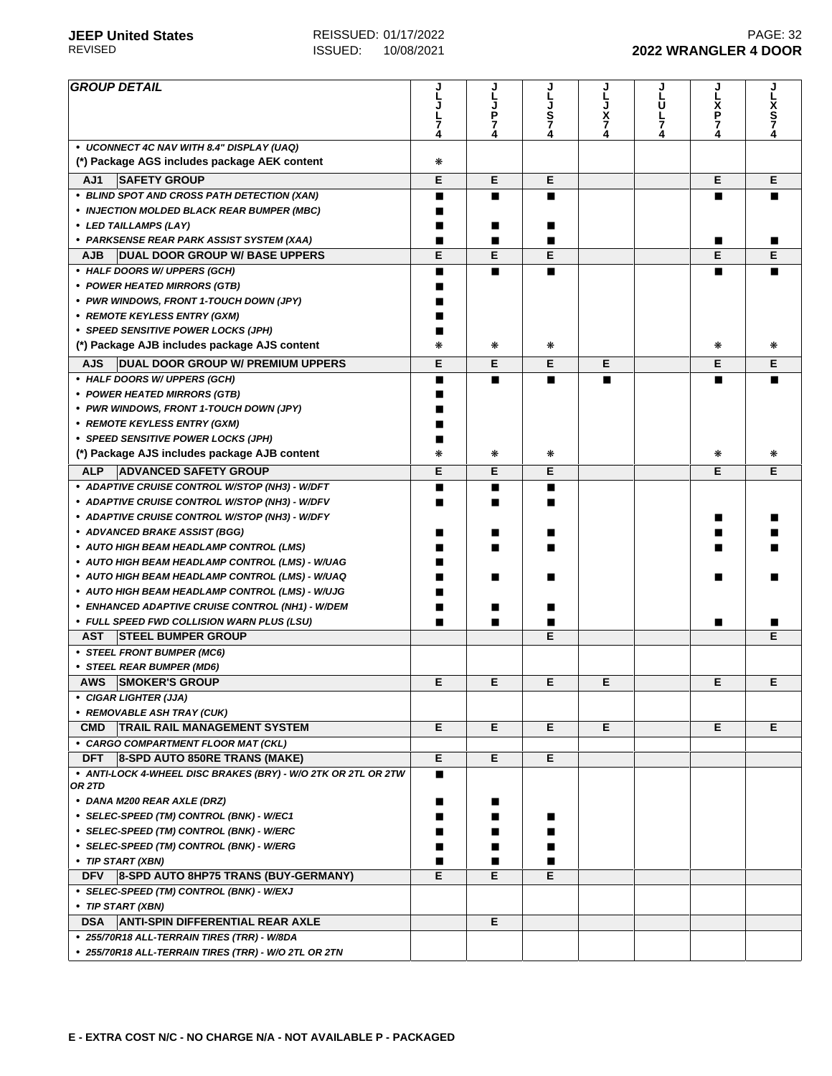| <b>GROUP DETAIL</b>                                           |   | J<br>L      | L      |        | J<br>L | J                | J        |
|---------------------------------------------------------------|---|-------------|--------|--------|--------|------------------|----------|
|                                                               |   | J<br>P<br>7 |        |        | Ū      | L<br>X<br>P<br>7 | Lx<br>S7 |
|                                                               | 7 |             | Š<br>7 | x<br>7 | 누      |                  |          |
| • UCONNECT 4C NAV WITH 8.4" DISPLAY (UAQ)                     | 4 | 4           |        | 4      | 4      |                  |          |
| (*) Package AGS includes package AEK content                  | * |             |        |        |        |                  |          |
| <b>SAFETY GROUP</b><br>AJ1                                    | Е | Е           | Е      |        |        | Е                | Е        |
| • BLIND SPOT AND CROSS PATH DETECTION (XAN)                   | ■ | п           | П      |        |        | ■                |          |
| • INJECTION MOLDED BLACK REAR BUMPER (MBC)                    |   |             |        |        |        |                  |          |
| • LED TAILLAMPS (LAY)                                         | п | ■           |        |        |        |                  |          |
| • PARKSENSE REAR PARK ASSIST SYSTEM (XAA)                     | п | п           | п      |        |        | ■                |          |
| <b>DUAL DOOR GROUP W/ BASE UPPERS</b><br>AJB.                 | E | E           | Е      |        |        | E                | E        |
| • HALF DOORS W/ UPPERS (GCH)                                  | ■ | п           | П      |        |        | ■                |          |
| • POWER HEATED MIRRORS (GTB)                                  |   |             |        |        |        |                  |          |
| • PWR WINDOWS, FRONT 1-TOUCH DOWN (JPY)                       |   |             |        |        |        |                  |          |
| • REMOTE KEYLESS ENTRY (GXM)                                  |   |             |        |        |        |                  |          |
| • SPEED SENSITIVE POWER LOCKS (JPH)                           |   |             |        |        |        |                  |          |
| (*) Package AJB includes package AJS content                  | ∗ | ₩           | ∗      |        |        | ⋇                | *        |
| <b>DUAL DOOR GROUP W/ PREMIUM UPPERS</b><br><b>AJS</b>        | E | Е           | E      | Е      |        | E                | Е        |
| • HALF DOORS W/ UPPERS (GCH)                                  | п | п           | П      | П      |        | ■                |          |
| • POWER HEATED MIRRORS (GTB)                                  |   |             |        |        |        |                  |          |
| • PWR WINDOWS, FRONT 1-TOUCH DOWN (JPY)                       |   |             |        |        |        |                  |          |
| • REMOTE KEYLESS ENTRY (GXM)                                  |   |             |        |        |        |                  |          |
| • SPEED SENSITIVE POWER LOCKS (JPH)                           |   |             |        |        |        |                  |          |
| (*) Package AJS includes package AJB content                  | ∗ | ₩           | ∗      |        |        | ∗                | ∗        |
|                                                               |   |             |        |        |        |                  |          |
| <b>ADVANCED SAFETY GROUP</b><br><b>ALP</b>                    | E | Е           | E      |        |        | E                | Е        |
| • ADAPTIVE CRUISE CONTROL W/STOP (NH3) - W/DFT                | п | п           | П      |        |        |                  |          |
| • ADAPTIVE CRUISE CONTROL W/STOP (NH3) - W/DFV                | ■ | п           | П      |        |        |                  |          |
| • ADAPTIVE CRUISE CONTROL W/STOP (NH3) - W/DFY                |   |             |        |        |        | ■                |          |
| • ADVANCED BRAKE ASSIST (BGG)                                 |   |             |        |        |        |                  |          |
| • AUTO HIGH BEAM HEADLAMP CONTROL (LMS)                       |   |             |        |        |        |                  |          |
| • AUTO HIGH BEAM HEADLAMP CONTROL (LMS) - W/UAG               |   |             |        |        |        |                  |          |
| • AUTO HIGH BEAM HEADLAMP CONTROL (LMS) - W/UAQ               |   | ■           |        |        |        |                  |          |
| • AUTO HIGH BEAM HEADLAMP CONTROL (LMS) - W/UJG               |   |             |        |        |        |                  |          |
| • ENHANCED ADAPTIVE CRUISE CONTROL (NH1) - W/DEM              |   | ■           |        |        |        |                  |          |
| • FULL SPEED FWD COLLISION WARN PLUS (LSU)                    |   | ■           | ■<br>E |        |        | ■                | Е        |
| <b>AST</b><br><b>STEEL BUMPER GROUP</b>                       |   |             |        |        |        |                  |          |
| • STEEL FRONT BUMPER (MC6)<br>• STEEL REAR BUMPER (MD6)       |   |             |        |        |        |                  |          |
| <b>SMOKER'S GROUP</b><br><b>AWS</b>                           | Е | Е           | Е      | Е      |        | Е                | Е        |
| • CIGAR LIGHTER (JJA)                                         |   |             |        |        |        |                  |          |
| • REMOVABLE ASH TRAY (CUK)                                    |   |             |        |        |        |                  |          |
| TRAIL RAIL MANAGEMENT SYSTEM<br><b>CMD</b>                    | Е | E           | E.     | Е      |        | E.               | E        |
| • CARGO COMPARTMENT FLOOR MAT (CKL)                           |   |             |        |        |        |                  |          |
| 8-SPD AUTO 850RE TRANS (MAKE)<br><b>DFT</b>                   | Е | Е           | Е      |        |        |                  |          |
| • ANTI-LOCK 4-WHEEL DISC BRAKES (BRY) - W/O 2TK OR 2TL OR 2TW |   |             |        |        |        |                  |          |
| OR 2TD                                                        |   |             |        |        |        |                  |          |
| • DANA M200 REAR AXLE (DRZ)                                   |   | ■           |        |        |        |                  |          |
| • SELEC-SPEED (TM) CONTROL (BNK) - W/EC1                      |   |             |        |        |        |                  |          |
| • SELEC-SPEED (TM) CONTROL (BNK) - W/ERC                      |   |             |        |        |        |                  |          |
| • SELEC-SPEED (TM) CONTROL (BNK) - W/ERG                      |   |             |        |        |        |                  |          |
| • TIP START (XBN)                                             | п | п           | П      |        |        |                  |          |
| 8-SPD AUTO 8HP75 TRANS (BUY-GERMANY)<br><b>DFV</b>            | Е | Е           | Е      |        |        |                  |          |
| • SELEC-SPEED (TM) CONTROL (BNK) - W/EXJ                      |   |             |        |        |        |                  |          |
| • TIP START (XBN)                                             |   |             |        |        |        |                  |          |
| <b>ANTI-SPIN DIFFERENTIAL REAR AXLE</b><br><b>DSA</b>         |   | Е           |        |        |        |                  |          |
| • 255/70R18 ALL-TERRAIN TIRES (TRR) - W/8DA                   |   |             |        |        |        |                  |          |
| * 255/70R18 ALL-TERRAIN TIRES (TRR) - W/O 2TL OR 2TN          |   |             |        |        |        |                  |          |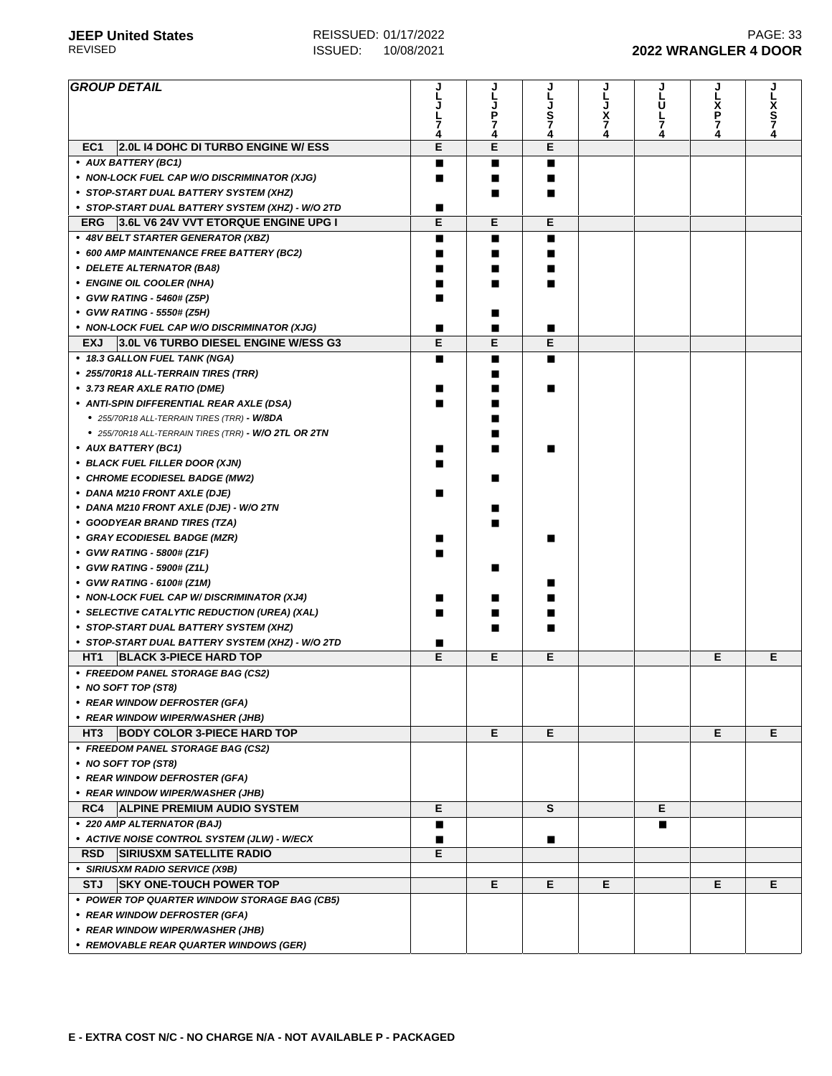| <b>GROUP DETAIL</b>                                           |        |        |        |             |        |                  |                  |
|---------------------------------------------------------------|--------|--------|--------|-------------|--------|------------------|------------------|
|                                                               |        |        |        |             | Ū      |                  |                  |
|                                                               |        | Ρ      | S      | L<br>J<br>7 | L      | L<br>X<br>P<br>7 | X<br>S<br>7<br>4 |
|                                                               | 7<br>4 | 7<br>4 | 7<br>4 | 4           | 7<br>4 | 4                |                  |
| <b>2.0L I4 DOHC DI TURBO ENGINE W/ ESS</b><br>EC <sub>1</sub> | E      | E      | E      |             |        |                  |                  |
| • AUX BATTERY (BC1)                                           |        | ■      | ■      |             |        |                  |                  |
| • NON-LOCK FUEL CAP W/O DISCRIMINATOR (XJG)                   | ■      | ■      | ■      |             |        |                  |                  |
| • STOP-START DUAL BATTERY SYSTEM (XHZ)                        |        | п      | п      |             |        |                  |                  |
|                                                               | ■      |        |        |             |        |                  |                  |
| • STOP-START DUAL BATTERY SYSTEM (XHZ) - W/O 2TD              | Е      | Е      | Е      |             |        |                  |                  |
| 3.6L V6 24V VVT ETORQUE ENGINE UPG I<br><b>ERG</b>            |        |        |        |             |        |                  |                  |
| • 48V BELT STARTER GENERATOR (XBZ)                            | ■      | ■      | п      |             |        |                  |                  |
| • 600 AMP MAINTENANCE FREE BATTERY (BC2)                      |        | ■      | ■      |             |        |                  |                  |
| • DELETE ALTERNATOR (BA8)                                     |        |        | ■      |             |        |                  |                  |
| • ENGINE OIL COOLER (NHA)                                     | ■      |        | ■      |             |        |                  |                  |
| • GVW RATING - 5460# (Z5P)                                    |        |        |        |             |        |                  |                  |
| • GVW RATING - 5550# (Z5H)                                    |        |        |        |             |        |                  |                  |
| • NON-LOCK FUEL CAP W/O DISCRIMINATOR (XJG)                   | ■      |        | п      |             |        |                  |                  |
| 3.0L V6 TURBO DIESEL ENGINE W/ESS G3<br><b>EXJ</b>            | E      | E      | Е      |             |        |                  |                  |
| • 18.3 GALLON FUEL TANK (NGA)                                 | ■      | ■      | П      |             |        |                  |                  |
| • 255/70R18 ALL-TERRAIN TIRES (TRR)                           |        |        |        |             |        |                  |                  |
| • 3.73 REAR AXLE RATIO (DME)                                  |        |        | п      |             |        |                  |                  |
| • ANTI-SPIN DIFFERENTIAL REAR AXLE (DSA)                      |        |        |        |             |        |                  |                  |
| • 255/70R18 ALL-TERRAIN TIRES (TRR) - W/8DA                   |        |        |        |             |        |                  |                  |
| • 255/70R18 ALL-TERRAIN TIRES (TRR) - W/O 2TL OR 2TN          |        |        |        |             |        |                  |                  |
|                                                               |        |        |        |             |        |                  |                  |
| • AUX BATTERY (BC1)                                           |        |        |        |             |        |                  |                  |
| • BLACK FUEL FILLER DOOR (XJN)                                |        |        |        |             |        |                  |                  |
| • CHROME ECODIESEL BADGE (MW2)                                |        |        |        |             |        |                  |                  |
| • DANA M210 FRONT AXLE (DJE)                                  |        |        |        |             |        |                  |                  |
| • DANA M210 FRONT AXLE (DJE) - W/O 2TN                        |        |        |        |             |        |                  |                  |
| • GOODYEAR BRAND TIRES (TZA)                                  |        |        |        |             |        |                  |                  |
| • GRAY ECODIESEL BADGE (MZR)                                  |        |        |        |             |        |                  |                  |
| • GVW RATING - 5800# (Z1F)                                    |        |        |        |             |        |                  |                  |
| • GVW RATING - 5900# (Z1L)                                    |        |        |        |             |        |                  |                  |
| • GVW RATING - 6100# (Z1M)                                    |        |        |        |             |        |                  |                  |
| • NON-LOCK FUEL CAP W/DISCRIMINATOR (XJ4)                     |        |        |        |             |        |                  |                  |
| • SELECTIVE CATALYTIC REDUCTION (UREA) (XAL)                  |        |        |        |             |        |                  |                  |
| • STOP-START DUAL BATTERY SYSTEM (XHZ)                        |        |        |        |             |        |                  |                  |
| • STOP-START DUAL BATTERY SYSTEM (XHZ) - W/O 2TD              | ■      |        |        |             |        |                  |                  |
| HT <sub>1</sub><br><b>BLACK 3-PIECE HARD TOP</b>              | Е      | Е      | Е      |             |        | Е                | Е                |
| • FREEDOM PANEL STORAGE BAG (CS2)                             |        |        |        |             |        |                  |                  |
| • NO SOFT TOP (ST8)                                           |        |        |        |             |        |                  |                  |
|                                                               |        |        |        |             |        |                  |                  |
| • REAR WINDOW DEFROSTER (GFA)                                 |        |        |        |             |        |                  |                  |
| • REAR WINDOW WIPER/WASHER (JHB)                              |        |        |        |             |        |                  |                  |
| HT3 BODY COLOR 3-PIECE HARD TOP                               |        | Е      | Е      |             |        | Е                | E.               |
| • FREEDOM PANEL STORAGE BAG (CS2)                             |        |        |        |             |        |                  |                  |
| • NO SOFT TOP (ST8)                                           |        |        |        |             |        |                  |                  |
| • REAR WINDOW DEFROSTER (GFA)                                 |        |        |        |             |        |                  |                  |
| • REAR WINDOW WIPER/WASHER (JHB)                              |        |        |        |             |        |                  |                  |
| RC4<br><b>ALPINE PREMIUM AUDIO SYSTEM</b>                     | Е      |        | S      |             | Е      |                  |                  |
| • 220 AMP ALTERNATOR (BAJ)                                    | ■      |        |        |             | п      |                  |                  |
| • ACTIVE NOISE CONTROL SYSTEM (JLW) - W/ECX                   |        |        | ■      |             |        |                  |                  |
| <b>RSD</b><br><b>SIRIUSXM SATELLITE RADIO</b>                 | Е      |        |        |             |        |                  |                  |
| • SIRIUSXM RADIO SERVICE (X9B)                                |        |        |        |             |        |                  |                  |
| <b>SKY ONE-TOUCH POWER TOP</b><br><b>STJ</b>                  |        | E.     | E      | E.          |        | Е                | E.               |
| • POWER TOP QUARTER WINDOW STORAGE BAG (CB5)                  |        |        |        |             |        |                  |                  |
|                                                               |        |        |        |             |        |                  |                  |
| • REAR WINDOW DEFROSTER (GFA)                                 |        |        |        |             |        |                  |                  |
| • REAR WINDOW WIPER/WASHER (JHB)                              |        |        |        |             |        |                  |                  |
| • REMOVABLE REAR QUARTER WINDOWS (GER)                        |        |        |        |             |        |                  |                  |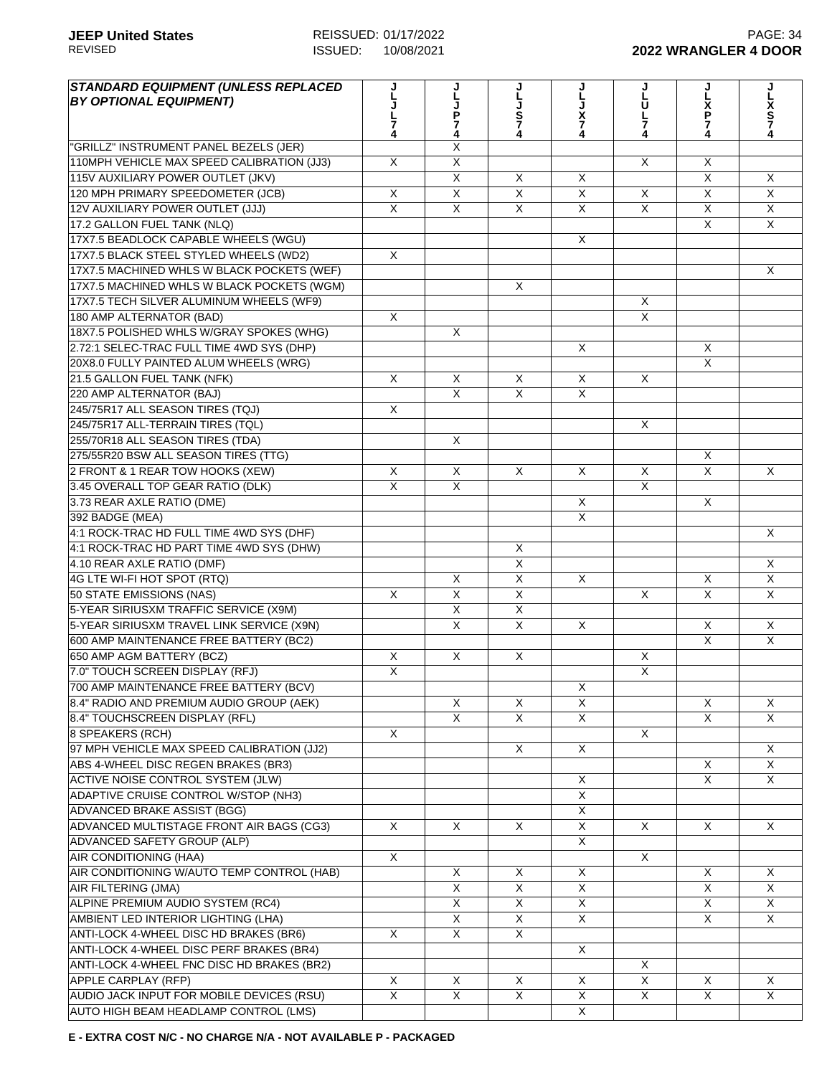| STANDARD EQUIPMENT (UNLESS REPLACED<br><b>BY OPTIONAL EQUIPMENT)</b> | 7              | Ľ<br><b>JP74</b>        | L<br>J<br>S<br>Z<br>4   | X<br>7<br>4             | しししア     | J<br>L<br>Х<br>Р<br>7   | X<br>S<br>7<br>4        |
|----------------------------------------------------------------------|----------------|-------------------------|-------------------------|-------------------------|----------|-------------------------|-------------------------|
| "GRILLZ" INSTRUMENT PANEL BEZELS (JER)                               |                | X                       |                         |                         |          |                         |                         |
| 110MPH VEHICLE MAX SPEED CALIBRATION (JJ3)                           | X              | X                       |                         |                         | X        | X                       |                         |
| 115V AUXILIARY POWER OUTLET (JKV)                                    |                | X                       | X                       | X                       |          | $\overline{\mathsf{x}}$ | X                       |
| 120 MPH PRIMARY SPEEDOMETER (JCB)                                    | X              | $\overline{X}$          | $\overline{\mathsf{x}}$ | X                       | X        | X                       | X                       |
| 12V AUXILIARY POWER OUTLET (JJJ)                                     | X              | X                       | X                       | X                       | X        | X                       | X                       |
| 17.2 GALLON FUEL TANK (NLQ)                                          |                |                         |                         |                         |          | X                       | $\mathsf{X}$            |
| 17X7.5 BEADLOCK CAPABLE WHEELS (WGU)                                 |                |                         |                         | X                       |          |                         |                         |
| 17X7.5 BLACK STEEL STYLED WHEELS (WD2)                               | $\overline{X}$ |                         |                         |                         |          |                         |                         |
| 17X7.5 MACHINED WHLS W BLACK POCKETS (WEF)                           |                |                         |                         |                         |          |                         | X                       |
| 17X7.5 MACHINED WHLS W BLACK POCKETS (WGM)                           |                |                         | $\mathsf{X}$            |                         |          |                         |                         |
| 17X7.5 TECH SILVER ALUMINUM WHEELS (WF9)                             |                |                         |                         |                         | X        |                         |                         |
| 180 AMP ALTERNATOR (BAD)                                             | X              |                         |                         |                         | X        |                         |                         |
| 18X7.5 POLISHED WHLS W/GRAY SPOKES (WHG)                             |                | X                       |                         |                         |          |                         |                         |
| 2.72:1 SELEC-TRAC FULL TIME 4WD SYS (DHP)                            |                |                         |                         | X                       |          | X                       |                         |
| 20X8.0 FULLY PAINTED ALUM WHEELS (WRG)                               |                |                         |                         |                         |          | X                       |                         |
| 21.5 GALLON FUEL TANK (NFK)                                          | X              | X                       | X                       | X                       | X        |                         |                         |
| 220 AMP ALTERNATOR (BAJ)                                             |                | X                       | $\mathsf{X}$            | X                       |          |                         |                         |
| 245/75R17 ALL SEASON TIRES (TQJ)                                     | X              |                         |                         |                         |          |                         |                         |
| 245/75R17 ALL-TERRAIN TIRES (TQL)                                    |                |                         |                         |                         | X        |                         |                         |
| 255/70R18 ALL SEASON TIRES (TDA)                                     |                | X                       |                         |                         |          |                         |                         |
| 275/55R20 BSW ALL SEASON TIRES (TTG)                                 |                |                         |                         |                         |          | X                       |                         |
| 2 FRONT & 1 REAR TOW HOOKS (XEW)                                     | X              | X                       | X                       | X                       | X        | $\overline{X}$          | $\mathsf{X}$            |
| 3.45 OVERALL TOP GEAR RATIO (DLK)                                    | $\overline{X}$ | $\overline{X}$          |                         |                         | $\sf X$  |                         |                         |
| 3.73 REAR AXLE RATIO (DME)                                           |                |                         |                         | X                       |          | X                       |                         |
| 392 BADGE (MEA)                                                      |                |                         |                         | X                       |          |                         |                         |
| 4:1 ROCK-TRAC HD FULL TIME 4WD SYS (DHF)                             |                |                         |                         |                         |          |                         | X                       |
| 4:1 ROCK-TRAC HD PART TIME 4WD SYS (DHW)                             |                |                         | X                       |                         |          |                         |                         |
| 4.10 REAR AXLE RATIO (DMF)                                           |                |                         | $\overline{X}$          |                         |          |                         | X                       |
| 4G LTE WI-FI HOT SPOT (RTQ)                                          |                | X                       | $\overline{X}$          | X                       |          | $\overline{X}$          | $\overline{X}$          |
| 50 STATE EMISSIONS (NAS)                                             | X              | $\overline{X}$          | $\overline{X}$          |                         | X        | $\overline{X}$          | $\mathsf{X}$            |
| 5-YEAR SIRIUSXM TRAFFIC SERVICE (X9M)                                |                | $\overline{X}$          | $\overline{X}$          |                         |          |                         |                         |
| 5-YEAR SIRIUSXM TRAVEL LINK SERVICE (X9N)                            |                | $\overline{\mathsf{x}}$ | X                       | X                       |          | X                       | X                       |
| 600 AMP MAINTENANCE FREE BATTERY (BC2)                               |                |                         |                         |                         |          | X                       | X                       |
| 650 AMP AGM BATTERY (BCZ)                                            | X              | X                       | $\times$                |                         | X        |                         |                         |
| 7.0" TOUCH SCREEN DISPLAY (RFJ)                                      | X              |                         |                         |                         | X        |                         |                         |
| 700 AMP MAINTENANCE FREE BATTERY (BCV)                               |                |                         |                         | X                       |          |                         |                         |
| 8.4" RADIO AND PREMIUM AUDIO GROUP (AEK)                             |                | $\overline{X}$          | X                       | X                       |          | X                       | X                       |
| 8.4" TOUCHSCREEN DISPLAY (RFL)                                       |                | $\overline{\mathsf{x}}$ | $\overline{X}$          | X                       |          | $\overline{X}$          | X                       |
| 8 SPEAKERS (RCH)                                                     | $\times$       |                         |                         |                         | $\times$ |                         |                         |
| 97 MPH VEHICLE MAX SPEED CALIBRATION (JJ2)                           |                |                         | X                       | X                       |          |                         | $\times$                |
| ABS 4-WHEEL DISC REGEN BRAKES (BR3)                                  |                |                         |                         |                         |          | X                       | $\mathsf{X}$            |
| ACTIVE NOISE CONTROL SYSTEM (JLW)                                    |                |                         |                         | X                       |          | X                       | $\times$                |
| <b>ADAPTIVE CRUISE CONTROL W/STOP (NH3)</b>                          |                |                         |                         | X                       |          |                         |                         |
| <b>ADVANCED BRAKE ASSIST (BGG)</b>                                   |                |                         |                         | X                       |          |                         |                         |
| ADVANCED MULTISTAGE FRONT AIR BAGS (CG3)                             | $\times$       | X                       | X                       | $\overline{X}$          | X        | $\times$                | X                       |
| ADVANCED SAFETY GROUP (ALP)                                          |                |                         |                         | X                       |          |                         |                         |
| AIR CONDITIONING (HAA)                                               | X              |                         |                         |                         | X        |                         |                         |
| AIR CONDITIONING W/AUTO TEMP CONTROL (HAB)                           |                | X                       | X                       | X                       |          | X                       | X                       |
| AIR FILTERING (JMA)                                                  |                | X                       | X                       | X                       |          | X                       | X                       |
| ALPINE PREMIUM AUDIO SYSTEM (RC4)                                    |                | $\overline{X}$          | $\overline{X}$          | X                       |          | X                       | X                       |
| AMBIENT LED INTERIOR LIGHTING (LHA)                                  |                | X                       | $\overline{X}$          | X                       |          | X                       | $\times$                |
| ANTI-LOCK 4-WHEEL DISC HD BRAKES (BR6)                               | X              | X                       | X                       |                         |          |                         |                         |
| ANTI-LOCK 4-WHEEL DISC PERF BRAKES (BR4)                             |                |                         |                         | X                       |          |                         |                         |
| ANTI-LOCK 4-WHEEL FNC DISC HD BRAKES (BR2)                           |                |                         |                         |                         | X        |                         |                         |
| APPLE CARPLAY (RFP)                                                  | X              | X                       | X                       | X                       | X        | X                       | $\times$                |
| AUDIO JACK INPUT FOR MOBILE DEVICES (RSU)                            | $\overline{X}$ | $\overline{X}$          | $\overline{\mathsf{x}}$ | X                       | X        | $\overline{\mathsf{x}}$ | $\overline{\mathsf{x}}$ |
| AUTO HIGH BEAM HEADLAMP CONTROL (LMS)                                |                |                         |                         | $\overline{\mathsf{X}}$ |          |                         |                         |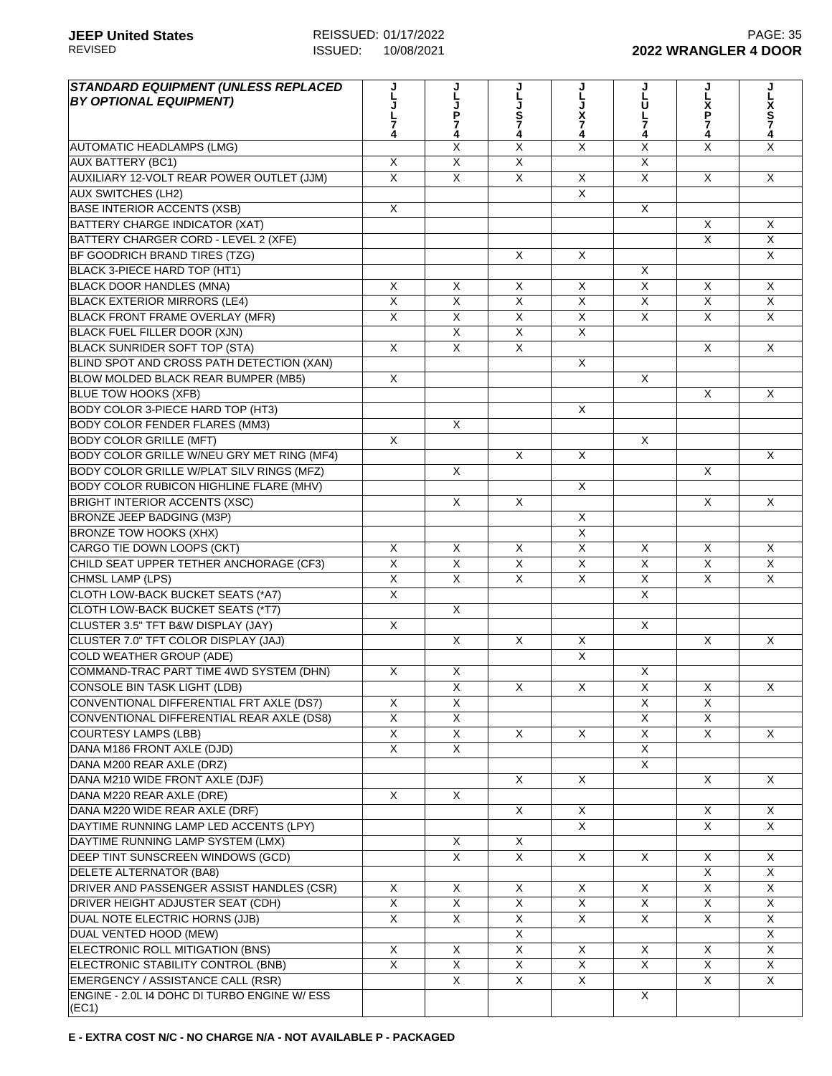| <b>STANDARD EQUIPMENT (UNLESS REPLACED</b><br><b>BY OPTIONAL EQUIPMENT)</b> | 4                       | P<br>7<br>4             | J<br>S<br>7<br>4        | χ<br>4                  | U<br>7<br>4             | Х<br>Р<br>7<br>4        | x<br>S<br>7             |
|-----------------------------------------------------------------------------|-------------------------|-------------------------|-------------------------|-------------------------|-------------------------|-------------------------|-------------------------|
| AUTOMATIC HEADLAMPS (LMG)                                                   |                         | X                       | X                       | X                       | $\overline{\mathsf{x}}$ | X                       | X                       |
| <b>AUX BATTERY (BC1)</b>                                                    | X                       | X                       | X                       |                         | X                       |                         |                         |
| AUXILIARY 12-VOLT REAR POWER OUTLET (JJM)                                   | $\overline{X}$          | X                       | $\overline{\mathsf{x}}$ | X                       | $\overline{X}$          | $\overline{X}$          | $\mathsf{X}$            |
| <b>AUX SWITCHES (LH2)</b>                                                   |                         |                         |                         | X                       |                         |                         |                         |
| <b>BASE INTERIOR ACCENTS (XSB)</b>                                          | X                       |                         |                         |                         | X                       |                         |                         |
| BATTERY CHARGE INDICATOR (XAT)                                              |                         |                         |                         |                         |                         | X                       | X                       |
| BATTERY CHARGER CORD - LEVEL 2 (XFE)                                        |                         |                         |                         |                         |                         | X                       | X                       |
| BF GOODRICH BRAND TIRES (TZG)                                               |                         |                         | $\times$                | X                       |                         |                         | X                       |
| BLACK 3-PIECE HARD TOP (HT1)                                                |                         |                         |                         |                         | X                       |                         |                         |
| <b>BLACK DOOR HANDLES (MNA)</b>                                             | X                       | X                       | X                       | X                       | X                       | X                       | $\sf X$                 |
| <b>BLACK EXTERIOR MIRRORS (LE4)</b>                                         | $\overline{X}$          | $\overline{\mathsf{x}}$ | $\overline{\mathsf{x}}$ | $\overline{\mathsf{x}}$ | $\overline{\mathsf{x}}$ | $\overline{\mathsf{x}}$ | $\overline{\mathsf{x}}$ |
| BLACK FRONT FRAME OVERLAY (MFR)                                             | X                       | $\overline{X}$          | $\overline{X}$          | X                       | X                       | X                       | $\pmb{\times}$          |
| <b>BLACK FUEL FILLER DOOR (XJN)</b>                                         |                         | $\overline{\mathsf{x}}$ | $\overline{\mathsf{x}}$ | $\overline{X}$          |                         |                         |                         |
| <b>BLACK SUNRIDER SOFT TOP (STA)</b>                                        | X                       | $\sf X$                 | $\overline{X}$          |                         |                         | X                       | $\mathsf{X}$            |
| BLIND SPOT AND CROSS PATH DETECTION (XAN)                                   |                         |                         |                         | X                       |                         |                         |                         |
| BLOW MOLDED BLACK REAR BUMPER (MB5)                                         | X                       |                         |                         |                         | X                       |                         |                         |
| <b>BLUE TOW HOOKS (XFB)</b>                                                 |                         |                         |                         |                         |                         | X                       | X                       |
| BODY COLOR 3-PIECE HARD TOP (HT3)                                           |                         |                         |                         | X                       |                         |                         |                         |
| <b>BODY COLOR FENDER FLARES (MM3)</b>                                       |                         | X                       |                         |                         |                         |                         |                         |
| <b>BODY COLOR GRILLE (MFT)</b>                                              | X                       |                         |                         |                         | X                       |                         |                         |
| BODY COLOR GRILLE W/NEU GRY MET RING (MF4)                                  |                         |                         | X                       | X                       |                         |                         | X                       |
| BODY COLOR GRILLE W/PLAT SILV RINGS (MFZ)                                   |                         | $\sf X$                 |                         |                         |                         | X                       |                         |
| <b>BODY COLOR RUBICON HIGHLINE FLARE (MHV)</b>                              |                         |                         |                         | X                       |                         |                         |                         |
| <b>BRIGHT INTERIOR ACCENTS (XSC)</b>                                        |                         | $\times$                | X                       |                         |                         | X                       | $\mathsf{X}$            |
| BRONZE JEEP BADGING (M3P)                                                   |                         |                         |                         | X                       |                         |                         |                         |
| <b>BRONZE TOW HOOKS (XHX)</b>                                               |                         |                         |                         | X                       |                         |                         |                         |
| CARGO TIE DOWN LOOPS (CKT)                                                  | X                       | X                       | Χ                       | X                       | X                       | X                       | X                       |
| CHILD SEAT UPPER TETHER ANCHORAGE (CF3)                                     | $\overline{X}$          | X                       | X                       | X                       | X                       | X                       | X                       |
| CHMSL LAMP (LPS)                                                            | $\mathsf{x}$            | $\mathsf{X}$            | X                       | X                       | $\times$                | X                       | $\mathsf{X}$            |
| CLOTH LOW-BACK BUCKET SEATS (*A7)                                           | $\overline{\mathsf{x}}$ |                         |                         |                         | X                       |                         |                         |
| CLOTH LOW-BACK BUCKET SEATS (*T7)                                           |                         | $\times$                |                         |                         |                         |                         |                         |
| CLUSTER 3.5" TFT B&W DISPLAY (JAY)                                          | X                       |                         |                         |                         | X                       |                         |                         |
| CLUSTER 7.0" TFT COLOR DISPLAY (JAJ)                                        |                         | $\times$                | X                       | X                       |                         | X                       | X                       |
| <b>COLD WEATHER GROUP (ADE)</b>                                             |                         |                         |                         | X                       |                         |                         |                         |
| COMMAND-TRAC PART TIME 4WD SYSTEM (DHN)                                     | X                       | X                       |                         |                         | X                       |                         |                         |
| CONSOLE BIN TASK LIGHT (LDB)                                                |                         | $\sf X$                 | X                       | X                       | $\mathsf X$             | X                       | X                       |
| CONVENTIONAL DIFFERENTIAL FRT AXLE (DS7)                                    | X                       | Χ                       |                         |                         | X                       | X                       |                         |
| CONVENTIONAL DIFFERENTIAL REAR AXLE (DS8)                                   | $\overline{\mathsf{x}}$ | X                       |                         |                         | X                       | X                       |                         |
| <b>COURTESY LAMPS (LBB)</b>                                                 | $\overline{\mathsf{X}}$ | X                       | X                       | X                       | X                       | $\overline{X}$          | X                       |
| DANA M186 FRONT AXLE (DJD)                                                  | $\overline{\mathsf{x}}$ | $\overline{\mathsf{x}}$ |                         |                         | $\overline{\mathsf{x}}$ |                         |                         |
| DANA M200 REAR AXLE (DRZ)                                                   |                         |                         |                         |                         | X                       |                         |                         |
| DANA M210 WIDE FRONT AXLE (DJF)                                             |                         |                         | X                       | X                       |                         | X                       | X                       |
| DANA M220 REAR AXLE (DRE)                                                   | X                       | $\mathsf{X}$            |                         |                         |                         |                         |                         |
| DANA M220 WIDE REAR AXLE (DRF)                                              |                         |                         | X                       | X                       |                         | X                       | X                       |
| DAYTIME RUNNING LAMP LED ACCENTS (LPY)                                      |                         |                         |                         | X                       |                         | X                       | X                       |
| DAYTIME RUNNING LAMP SYSTEM (LMX)                                           |                         | X                       | X                       |                         |                         |                         |                         |
| DEEP TINT SUNSCREEN WINDOWS (GCD)                                           |                         | $\overline{\mathsf{x}}$ | X                       | X                       | X                       | Χ                       | X                       |
| DELETE ALTERNATOR (BA8)                                                     |                         |                         |                         |                         |                         | X                       | $\mathsf{X}$            |
| DRIVER AND PASSENGER ASSIST HANDLES (CSR)                                   | X                       | X                       | X                       | X                       | X                       | $\overline{X}$          | X                       |
| DRIVER HEIGHT ADJUSTER SEAT (CDH)                                           | $\overline{X}$          | $\overline{\mathsf{x}}$ | $\overline{X}$          | X                       | $\overline{X}$          | $\overline{X}$          | X                       |
| DUAL NOTE ELECTRIC HORNS (JJB)                                              | X                       | X                       | X                       | X                       | X                       | X                       | X                       |
| DUAL VENTED HOOD (MEW)                                                      |                         |                         | X                       |                         |                         |                         | $\mathsf{X}$            |
| ELECTRONIC ROLL MITIGATION (BNS)                                            | X                       | X                       | X                       | X                       | X                       | X                       | X                       |
| ELECTRONIC STABILITY CONTROL (BNB)                                          | X                       | X                       | $\overline{X}$          | X                       | X                       | X                       | X                       |
| EMERGENCY / ASSISTANCE CALL (RSR)                                           |                         | X                       | X                       | X                       |                         | X                       | X                       |
| ENGINE - 2.0L I4 DOHC DI TURBO ENGINE W/ ESS<br>(EC1)                       |                         |                         |                         |                         | X                       |                         |                         |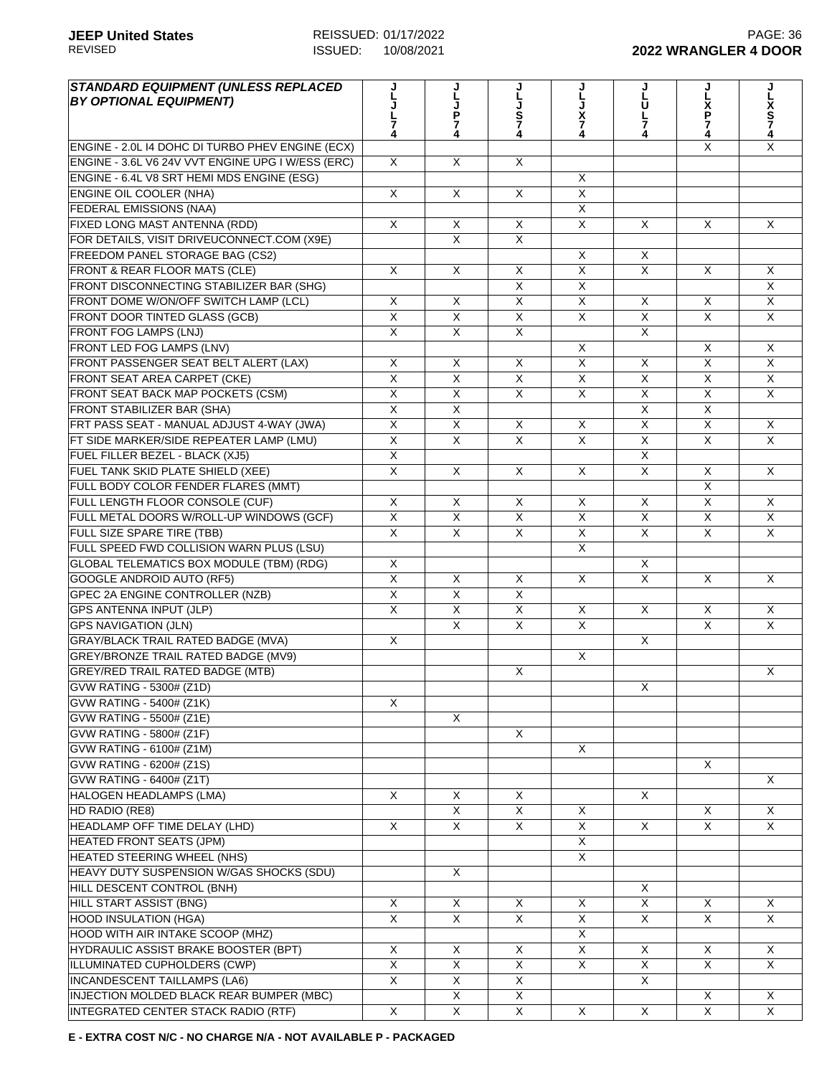| <b>STANDARD EQUIPMENT (UNLESS REPLACED</b><br><b>BY OPTIONAL EQUIPMENT)</b> |                         |                         | JLJS74                  |                         | U              |                         |                         |
|-----------------------------------------------------------------------------|-------------------------|-------------------------|-------------------------|-------------------------|----------------|-------------------------|-------------------------|
|                                                                             |                         | L J P 7 4               |                         | X                       |                | Σ<br>Ρ                  | L<br>X<br>S<br>7<br>4   |
|                                                                             |                         |                         |                         | 7                       | 7              | 7<br>4                  |                         |
| ENGINE - 2.0L I4 DOHC DI TURBO PHEV ENGINE (ECX)                            |                         |                         |                         |                         |                | X                       | X                       |
| ENGINE - 3.6L V6 24V VVT ENGINE UPG I W/ESS (ERC)                           | X                       | X                       | $\overline{X}$          |                         |                |                         |                         |
| ENGINE - 6.4L V8 SRT HEMI MDS ENGINE (ESG)                                  |                         |                         |                         | X                       |                |                         |                         |
| <b>ENGINE OIL COOLER (NHA)</b>                                              | X                       | X                       | X                       | X                       |                |                         |                         |
| FEDERAL EMISSIONS (NAA)                                                     |                         |                         |                         | X                       |                |                         |                         |
| FIXED LONG MAST ANTENNA (RDD)                                               | X                       | X                       | X                       | X                       | $\mathsf{X}$   | X                       | X                       |
| FOR DETAILS, VISIT DRIVEUCONNECT.COM (X9E)                                  |                         | X                       | X                       |                         |                |                         |                         |
| FREEDOM PANEL STORAGE BAG (CS2)                                             |                         |                         |                         | X                       | X              |                         |                         |
| FRONT & REAR FLOOR MATS (CLE)                                               | X                       | X                       | X                       | $\overline{\mathsf{x}}$ | $\times$       | X                       | X                       |
| FRONT DISCONNECTING STABILIZER BAR (SHG)                                    |                         |                         | $\overline{X}$          | $\overline{\mathsf{x}}$ |                |                         | $\overline{\mathsf{x}}$ |
| FRONT DOME W/ON/OFF SWITCH LAMP (LCL)                                       | X                       | X                       | $\overline{X}$          | X                       | X              | X                       | $\overline{X}$          |
| FRONT DOOR TINTED GLASS (GCB)                                               | $\overline{X}$          | X                       | $\overline{X}$          | X                       | $\overline{X}$ | $\overline{X}$          | $\mathsf{X}$            |
| <b>FRONT FOG LAMPS (LNJ)</b>                                                | $\overline{X}$          | X                       | $\overline{X}$          |                         | $\times$       |                         |                         |
| FRONT LED FOG LAMPS (LNV)                                                   |                         |                         |                         | X                       |                | X                       | $\sf X$                 |
| FRONT PASSENGER SEAT BELT ALERT (LAX)                                       | X                       | X                       | X                       | X                       | X              | X                       | X                       |
| FRONT SEAT AREA CARPET (CKE)                                                | $\overline{\mathsf{x}}$ | $\overline{X}$          | X                       | X                       | $\times$       | X                       | X                       |
| FRONT SEAT BACK MAP POCKETS (CSM)                                           | $\overline{X}$          | X                       | $\mathsf{X}$            | X                       | X              | X                       | $\mathsf{X}$            |
| <b>FRONT STABILIZER BAR (SHA)</b>                                           | $\overline{\mathsf{x}}$ | X                       |                         |                         | $\times$       | $\overline{\mathsf{x}}$ |                         |
| FRT PASS SEAT - MANUAL ADJUST 4-WAY (JWA)                                   | X                       | X                       | X                       | X                       | $\times$       | X                       | $\mathsf{X}$            |
| FT SIDE MARKER/SIDE REPEATER LAMP (LMU)                                     | $\overline{\mathsf{x}}$ | $\overline{\mathsf{x}}$ | $\overline{\mathsf{x}}$ | $\overline{X}$          | $\overline{X}$ | $\overline{\mathsf{x}}$ | $\overline{\mathsf{x}}$ |
| FUEL FILLER BEZEL - BLACK (XJ5)                                             | $\overline{\mathsf{x}}$ |                         |                         |                         | $\overline{X}$ |                         |                         |
| FUEL TANK SKID PLATE SHIELD (XEE)                                           | X                       | X                       | $\mathsf{X}$            | X                       | $\mathsf{X}$   | X                       | $\mathsf{X}$            |
| FULL BODY COLOR FENDER FLARES (MMT)                                         |                         |                         |                         |                         |                | X                       |                         |
| FULL LENGTH FLOOR CONSOLE (CUF)                                             | X                       | X                       | $\times$                | X                       | X              | X                       | X                       |
| FULL METAL DOORS W/ROLL-UP WINDOWS (GCF)                                    | $\overline{X}$          | X                       | X                       | X                       | $\mathsf{X}$   | X                       | X                       |
| FULL SIZE SPARE TIRE (TBB)                                                  | $\overline{X}$          | X                       | $\mathsf{X}$            | X                       | $\mathsf{X}$   | X                       | X                       |
| FULL SPEED FWD COLLISION WARN PLUS (LSU)                                    |                         |                         |                         | X                       |                |                         |                         |
| GLOBAL TELEMATICS BOX MODULE (TBM) (RDG)                                    | X                       |                         |                         |                         | $\times$       |                         |                         |
| GOOGLE ANDROID AUTO (RF5)                                                   | $\overline{X}$          | X                       | $\mathsf{X}$            | X                       | $\pmb{\times}$ | X                       | X                       |
| <b>GPEC 2A ENGINE CONTROLLER (NZB)</b>                                      | $\overline{\mathsf{x}}$ | $\overline{\mathsf{x}}$ | $\overline{X}$          |                         |                |                         |                         |
| <b>GPS ANTENNA INPUT (JLP)</b>                                              | X                       | X                       | X                       | X                       | X              | X                       | X                       |
| <b>GPS NAVIGATION (JLN)</b>                                                 |                         | X                       | $\overline{X}$          | X                       |                | $\overline{X}$          | $\overline{X}$          |
| <b>GRAY/BLACK TRAIL RATED BADGE (MVA)</b>                                   | X                       |                         |                         |                         | $\times$       |                         |                         |
| <b>GREY/BRONZE TRAIL RATED BADGE (MV9)</b>                                  |                         |                         |                         | X                       |                |                         |                         |
| <b>GREY/RED TRAIL RATED BADGE (MTB)</b>                                     |                         |                         | X                       |                         |                |                         | X                       |
| GVW RATING - 5300# (Z1D)                                                    |                         |                         |                         |                         | X              |                         |                         |
| GVW RATING - 5400# (Z1K)                                                    | X                       |                         |                         |                         |                |                         |                         |
| GVW RATING - 5500# (Z1E)                                                    |                         | X                       |                         |                         |                |                         |                         |
| GVW RATING - 5800# (Z1F)                                                    |                         |                         | X                       |                         |                |                         |                         |
| GVW RATING - 6100# (Z1M)                                                    |                         |                         |                         | X                       |                |                         |                         |
| GVW RATING - 6200# (Z1S)                                                    |                         |                         |                         |                         |                | X                       |                         |
| GVW RATING - 6400# (Z1T)                                                    |                         |                         |                         |                         |                |                         | X                       |
| <b>HALOGEN HEADLAMPS (LMA)</b>                                              | X                       | X                       | X                       |                         | $\times$       |                         |                         |
| HD RADIO (RE8)                                                              |                         | X                       | $\overline{X}$          | Χ                       |                | X                       | X                       |
| HEADLAMP OFF TIME DELAY (LHD)                                               | X                       | X                       | X                       | X                       | $\mathsf{X}$   | X                       | X                       |
| <b>HEATED FRONT SEATS (JPM)</b>                                             |                         |                         |                         | X                       |                |                         |                         |
| HEATED STEERING WHEEL (NHS)                                                 |                         |                         |                         | X                       |                |                         |                         |
| HEAVY DUTY SUSPENSION W/GAS SHOCKS (SDU)                                    |                         | X                       |                         |                         |                |                         |                         |
| HILL DESCENT CONTROL (BNH)                                                  |                         |                         |                         |                         | X              |                         |                         |
| <b>HILL START ASSIST (BNG)</b>                                              | X                       | X                       | X                       | Χ                       | X              | X                       | X                       |
| <b>HOOD INSULATION (HGA)</b>                                                | $\overline{X}$          | X                       | $\overline{X}$          | X                       | X              | X                       | X                       |
| HOOD WITH AIR INTAKE SCOOP (MHZ)                                            |                         |                         |                         | X                       |                |                         |                         |
| HYDRAULIC ASSIST BRAKE BOOSTER (BPT)                                        | X                       | X                       | X                       | X                       | $\mathsf{X}$   | X                       | X                       |
| ILLUMINATED CUPHOLDERS (CWP)                                                | X                       | X                       | X                       | X                       | $\mathsf{X}$   | X                       | X                       |
| INCANDESCENT TAILLAMPS (LA6)                                                | $\overline{X}$          | X                       | X                       |                         | X              |                         |                         |
| INJECTION MOLDED BLACK REAR BUMPER (MBC)                                    |                         | X                       | X                       |                         |                | X                       | X                       |
| INTEGRATED CENTER STACK RADIO (RTF)                                         | X                       | $\overline{X}$          | X                       | X                       | $\times$       | $\overline{X}$          | $\mathsf{X}$            |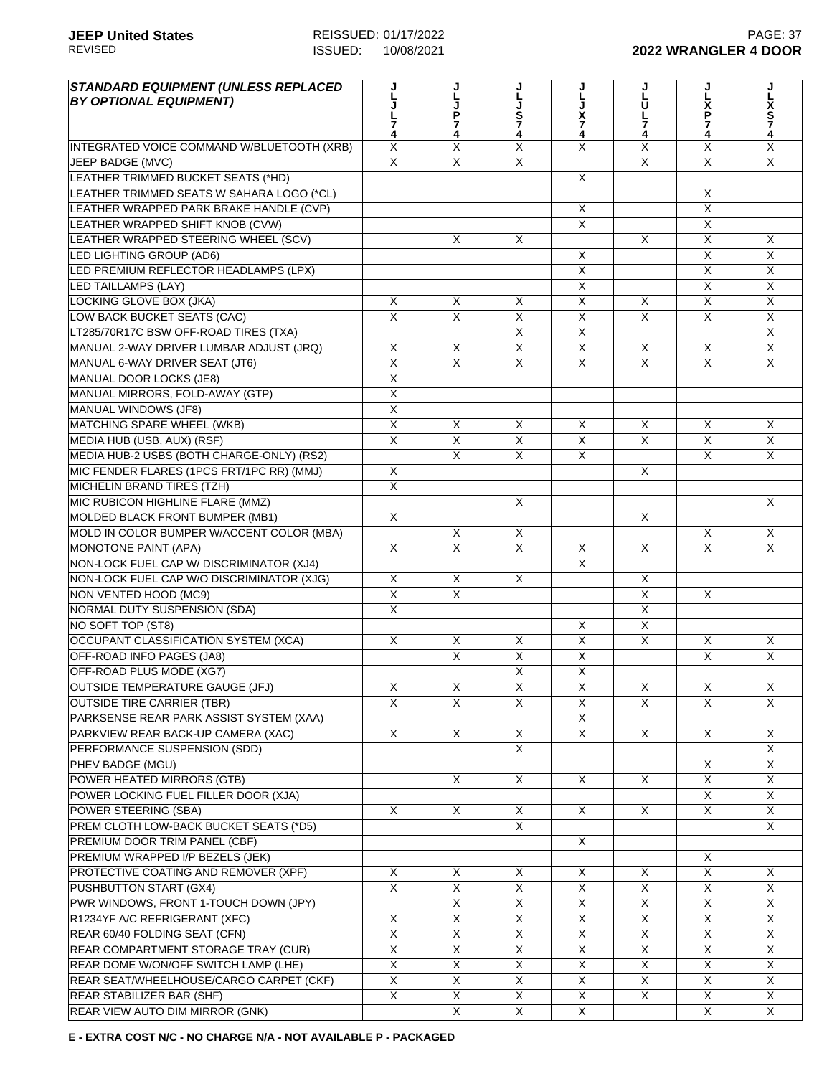| <b>STANDARD EQUIPMENT (UNLESS REPLACED</b><br><b>BY OPTIONAL EQUIPMENT)</b> |                         | ل<br>ا<br>J<br>P<br>7   | S<br>7<br>4             | X<br>7<br>4             | ຸ່<br>ບ<br>7            | ม<br>ไ<br>P             | x<br>S<br>7             |
|-----------------------------------------------------------------------------|-------------------------|-------------------------|-------------------------|-------------------------|-------------------------|-------------------------|-------------------------|
| INTEGRATED VOICE COMMAND W/BLUETOOTH (XRB)                                  | X                       | X                       | X                       | X                       | X                       | X                       | X                       |
| <b>JEEP BADGE (MVC)</b>                                                     | $\overline{X}$          | $\overline{\mathsf{x}}$ | $\overline{\mathsf{x}}$ |                         | X                       | $\overline{\mathsf{x}}$ | X                       |
| LEATHER TRIMMED BUCKET SEATS (*HD)                                          |                         |                         |                         | $\overline{\mathsf{x}}$ |                         |                         |                         |
| LEATHER TRIMMED SEATS W SAHARA LOGO (*CL)                                   |                         |                         |                         |                         |                         | X                       |                         |
| LEATHER WRAPPED PARK BRAKE HANDLE (CVP)                                     |                         |                         |                         | X                       |                         | X                       |                         |
| LEATHER WRAPPED SHIFT KNOB (CVW)                                            |                         |                         |                         | X                       |                         | $\overline{\mathsf{x}}$ |                         |
| LEATHER WRAPPED STEERING WHEEL (SCV)                                        |                         | X                       | X                       |                         | X                       | X                       | X                       |
| LED LIGHTING GROUP (AD6)                                                    |                         |                         |                         | X                       |                         | X                       | X                       |
| LED PREMIUM REFLECTOR HEADLAMPS (LPX)                                       |                         |                         |                         | X                       |                         | $\overline{\mathsf{X}}$ | $\overline{\mathsf{x}}$ |
| <b>LED TAILLAMPS (LAY)</b>                                                  |                         |                         |                         | $\overline{\mathsf{x}}$ |                         | $\overline{\mathsf{x}}$ | $\overline{\mathsf{x}}$ |
| LOCKING GLOVE BOX (JKA)                                                     | X                       | X                       | X                       | $\overline{X}$          | X                       | $\overline{\mathsf{x}}$ | $\overline{X}$          |
| LOW BACK BUCKET SEATS (CAC)                                                 | $\overline{X}$          | $\overline{X}$          | $\overline{\mathsf{x}}$ | X                       | X                       | $\mathsf{X}$            | X                       |
| LT285/70R17C BSW OFF-ROAD TIRES (TXA)                                       |                         |                         | X                       | X                       |                         |                         | X                       |
| MANUAL 2-WAY DRIVER LUMBAR ADJUST (JRQ)                                     | X                       | X                       | $\overline{\mathsf{x}}$ | X                       | X                       | $\mathsf{X}$            | X                       |
| MANUAL 6-WAY DRIVER SEAT (JT6)                                              | $\overline{X}$          | $\overline{\mathsf{x}}$ | $\overline{\mathsf{x}}$ | X                       | X                       | $\overline{X}$          | $\overline{\mathsf{x}}$ |
| MANUAL DOOR LOCKS (JE8)                                                     | X                       |                         |                         |                         |                         |                         |                         |
| MANUAL MIRRORS, FOLD-AWAY (GTP)                                             | $\overline{X}$          |                         |                         |                         |                         |                         |                         |
| <b>MANUAL WINDOWS (JF8)</b>                                                 | $\overline{X}$          |                         |                         |                         |                         |                         |                         |
| MATCHING SPARE WHEEL (WKB)                                                  | $\overline{\mathsf{x}}$ | X                       | X                       | X                       | X                       | $\mathsf{X}$            | X                       |
| MEDIA HUB (USB, AUX) (RSF)                                                  | $\overline{X}$          | $\overline{X}$          | X                       | X                       | $\overline{X}$          | $\overline{X}$          | $\overline{X}$          |
| MEDIA HUB-2 USBS (BOTH CHARGE-ONLY) (RS2)                                   |                         | $\overline{X}$          | $\overline{\mathsf{x}}$ | X                       |                         | $\overline{\mathsf{x}}$ | X                       |
| MIC FENDER FLARES (1PCS FRT/1PC RR) (MMJ)                                   | X                       |                         |                         |                         | X                       |                         |                         |
| <b>MICHELIN BRAND TIRES (TZH)</b>                                           | $\overline{\mathsf{x}}$ |                         |                         |                         |                         |                         |                         |
| MIC RUBICON HIGHLINE FLARE (MMZ)                                            |                         |                         | $\overline{\mathsf{x}}$ |                         |                         |                         | X                       |
|                                                                             | $\overline{\mathsf{x}}$ |                         |                         |                         | X                       |                         |                         |
| MOLDED BLACK FRONT BUMPER (MB1)                                             |                         |                         |                         |                         |                         | $\mathsf{X}$            |                         |
| MOLD IN COLOR BUMPER W/ACCENT COLOR (MBA)                                   |                         | X                       | X                       |                         |                         |                         | X<br>X                  |
| <b>MONOTONE PAINT (APA)</b><br>NON-LOCK FUEL CAP W/ DISCRIMINATOR (XJ4)     | X                       | X                       | X                       | X<br>X                  | X                       | X                       |                         |
|                                                                             |                         |                         |                         |                         |                         |                         |                         |
| NON-LOCK FUEL CAP W/O DISCRIMINATOR (XJG)                                   | $\pmb{\times}$          | X                       | X                       |                         | X                       |                         |                         |
| NON VENTED HOOD (MC9)                                                       | $\overline{X}$          | $\overline{\mathsf{x}}$ |                         |                         | $\overline{\mathsf{x}}$ | $\overline{X}$          |                         |
| NORMAL DUTY SUSPENSION (SDA)                                                | $\overline{X}$          |                         |                         |                         | X                       |                         |                         |
| NO SOFT TOP (ST8)                                                           |                         |                         |                         | X                       | X                       |                         |                         |
| OCCUPANT CLASSIFICATION SYSTEM (XCA)                                        | $\overline{X}$          | X                       | $\overline{\mathsf{x}}$ | X                       | X                       | $\overline{X}$          | X                       |
| OFF-ROAD INFO PAGES (JA8)                                                   |                         | X                       | X                       | X                       |                         | X.                      | X                       |
| OFF-ROAD PLUS MODE (XG7)                                                    |                         |                         | $\overline{X}$          | X                       |                         |                         |                         |
| OUTSIDE TEMPERATURE GAUGE (JFJ)                                             | X                       | $\mathsf X$             | $\mathsf X$             | $\mathsf X$             | $\mathsf X$             | X                       | X                       |
| <b>OUTSIDE TIRE CARRIER (TBR)</b>                                           | X                       | X                       | X                       | X                       | X                       | X                       | X                       |
| PARKSENSE REAR PARK ASSIST SYSTEM (XAA)                                     |                         |                         |                         | X                       |                         |                         |                         |
| PARKVIEW REAR BACK-UP CAMERA (XAC)                                          | X                       | $\overline{X}$          | $\overline{X}$          | X                       | X                       | X                       | X                       |
| PERFORMANCE SUSPENSION (SDD)                                                |                         |                         | $\overline{\mathsf{x}}$ |                         |                         |                         | X                       |
| PHEV BADGE (MGU)                                                            |                         |                         |                         |                         |                         | X                       | X                       |
| POWER HEATED MIRRORS (GTB)                                                  |                         | X                       | $\overline{X}$          | X                       | X                       | X                       | X                       |
| POWER LOCKING FUEL FILLER DOOR (XJA)                                        |                         |                         |                         |                         |                         | X                       | X                       |
| POWER STEERING (SBA)                                                        | X                       | X                       | X                       | X                       | Χ                       | X.                      | X                       |
| PREM CLOTH LOW-BACK BUCKET SEATS (*D5)                                      |                         |                         | X                       |                         |                         |                         | X                       |
| PREMIUM DOOR TRIM PANEL (CBF)                                               |                         |                         |                         | X                       |                         |                         |                         |
| PREMIUM WRAPPED I/P BEZELS (JEK)                                            |                         |                         |                         |                         |                         | X                       |                         |
| PROTECTIVE COATING AND REMOVER (XPF)                                        | X                       | X                       | X                       | X                       | X                       | $\overline{X}$          | X                       |
| PUSHBUTTON START (GX4)                                                      | $\overline{X}$          | $\overline{X}$          | X                       | X                       | X                       | $\overline{X}$          | X                       |
| PWR WINDOWS, FRONT 1-TOUCH DOWN (JPY)                                       |                         | X                       | X                       | X                       | X                       | X                       | X                       |
| R1234YF A/C REFRIGERANT (XFC)                                               | X                       | X                       | $\overline{X}$          | X                       | X                       | X                       | X                       |
| REAR 60/40 FOLDING SEAT (CFN)                                               | X                       | X                       | X                       | X                       | X                       | X                       | X                       |
| REAR COMPARTMENT STORAGE TRAY (CUR)                                         | X                       | X                       | X                       | X                       | X                       | X                       | X                       |
| REAR DOME W/ON/OFF SWITCH LAMP (LHE)                                        | X                       | X                       | X                       | X                       | X                       | X                       | X                       |
| REAR SEAT/WHEELHOUSE/CARGO CARPET (CKF)                                     | $\overline{\mathsf{x}}$ | X                       | X                       | X                       | X                       | X                       | X                       |
| REAR STABILIZER BAR (SHF)                                                   | X                       | $\overline{X}$          | $\overline{X}$          | X                       | X                       | X                       | X                       |
| REAR VIEW AUTO DIM MIRROR (GNK)                                             |                         | X                       | X                       | X                       |                         | X                       | X                       |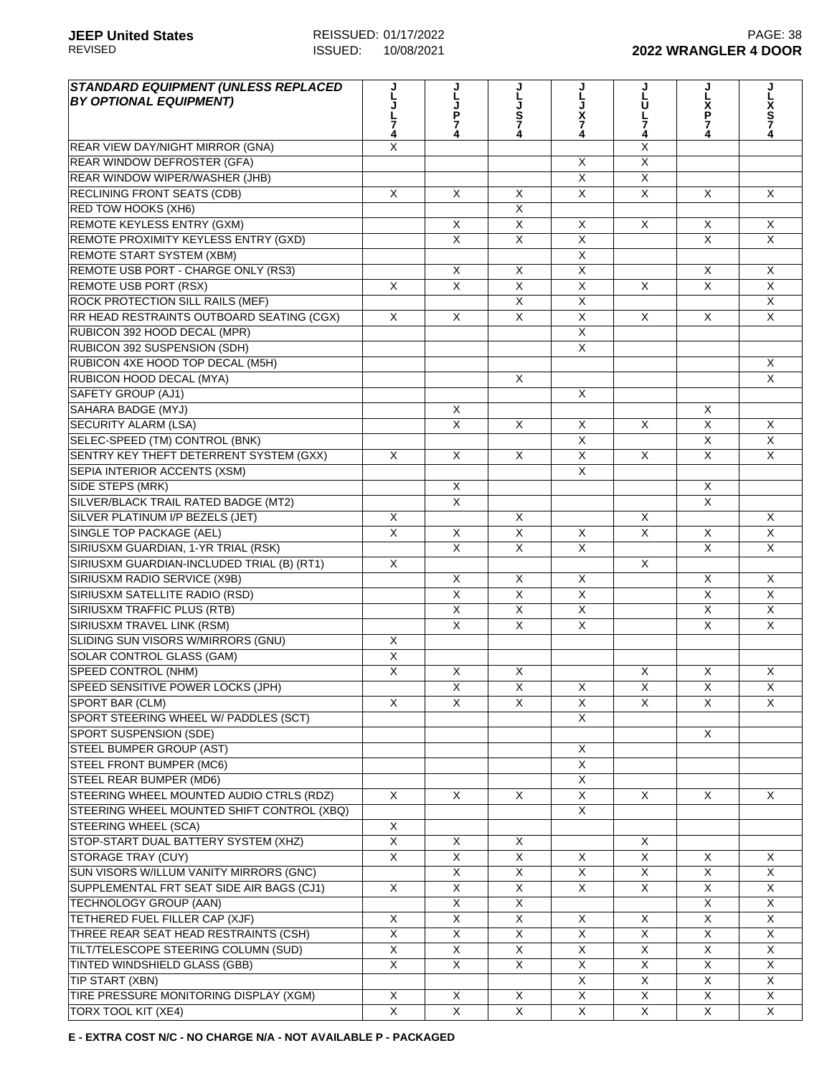| <b>JLJP74</b><br>JLJS74<br>ຸ່ມ<br>ບ<br>L<br>X<br>P<br>7<br>X<br>S<br>7<br>4<br>X<br>7<br>4<br>7<br>4<br>4<br>4<br>X<br>X<br>$\times$<br>X<br>$\overline{\mathsf{x}}$<br>$\overline{X}$<br>$\overline{\mathsf{x}}$<br>$\overline{X}$<br>X<br>X<br>$\mathsf{X}$<br>X<br>$\times$<br>RED TOW HOOKS (XH6)<br>X<br><b>REMOTE KEYLESS ENTRY (GXM)</b><br>X<br>X<br>X<br>X<br>X<br>X<br>$\overline{X}$<br>$\overline{X}$<br>$\overline{X}$<br>REMOTE PROXIMITY KEYLESS ENTRY (GXD)<br>$\mathsf{X}$<br>X<br><b>REMOTE START SYSTEM (XBM)</b><br>X<br>REMOTE USB PORT - CHARGE ONLY (RS3)<br>X<br>X<br>X<br>X<br>X<br><b>REMOTE USB PORT (RSX)</b><br>X<br>X<br>X<br>X<br>X<br>X<br>X<br>$\overline{\mathsf{x}}$<br>$\overline{\mathsf{x}}$<br>$\overline{\mathsf{x}}$<br>ROCK PROTECTION SILL RAILS (MEF)<br>$\pmb{\times}$<br>$\pmb{\times}$<br>RR HEAD RESTRAINTS OUTBOARD SEATING (CGX)<br>X<br>X<br>X<br>X<br>$\times$<br>$\overline{X}$<br>RUBICON 392 HOOD DECAL (MPR)<br>RUBICON 392 SUSPENSION (SDH)<br>X<br>RUBICON 4XE HOOD TOP DECAL (M5H)<br>X<br>$\overline{X}$<br>RUBICON HOOD DECAL (MYA)<br>$\mathsf{X}$<br>SAFETY GROUP (AJ1)<br>X<br>SAHARA BADGE (MYJ)<br>X<br>X<br><b>SECURITY ALARM (LSA)</b><br>X<br>$\mathsf{X}$<br>X<br>X<br>$\times$<br>$\times$<br>SELEC-SPEED (TM) CONTROL (BNK)<br>X<br>X<br>X<br>$\overline{X}$<br>$\overline{\mathsf{x}}$<br>$\overline{\mathsf{x}}$<br>SENTRY KEY THEFT DETERRENT SYSTEM (GXX)<br>X<br>X<br>X<br>$\sf X$<br>$\overline{X}$<br>SEPIA INTERIOR ACCENTS (XSM)<br>SIDE STEPS (MRK)<br>X<br>X<br>$\overline{X}$<br>$\overline{\mathsf{x}}$<br>SILVER/BLACK TRAIL RATED BADGE (MT2)<br>SILVER PLATINUM I/P BEZELS (JET)<br>X<br>$\mathsf{X}$<br>X<br>X<br>$\overline{X}$<br>SINGLE TOP PACKAGE (AEL)<br>X<br>X<br>X<br>$\sf X$<br>X<br>X<br>$\overline{\mathsf{x}}$<br>$\overline{X}$<br>$\overline{X}$<br>SIRIUSXM GUARDIAN, 1-YR TRIAL (RSK)<br>X<br>X<br>SIRIUSXM GUARDIAN-INCLUDED TRIAL (B) (RT1)<br>X<br>$\times$<br>SIRIUSXM RADIO SERVICE (X9B)<br>X<br>X<br>X<br>X<br>X<br>$\overline{\mathsf{x}}$<br>$\overline{\mathsf{x}}$<br>$\overline{\mathsf{x}}$<br>$\overline{\mathsf{x}}$<br>$\overline{X}$<br>SIRIUSXM SATELLITE RADIO (RSD)<br>$\overline{\mathsf{x}}$<br>$\overline{X}$<br>$\overline{\mathsf{x}}$<br>$\overline{\mathsf{x}}$<br>$\overline{\mathsf{x}}$<br>SIRIUSXM TRAFFIC PLUS (RTB)<br>$\overline{\mathsf{x}}$<br>$\overline{X}$<br>$\overline{X}$<br>$\overline{X}$<br>SIRIUSXM TRAVEL LINK (RSM)<br>X<br>SLIDING SUN VISORS W/MIRRORS (GNU)<br>X<br><b>SOLAR CONTROL GLASS (GAM)</b><br>$\overline{\mathsf{x}}$<br><b>SPEED CONTROL (NHM)</b><br>X<br>X<br>X<br>X<br>X<br>X<br>SPEED SENSITIVE POWER LOCKS (JPH)<br>$\overline{X}$<br>$\overline{X}$<br>X<br>$\mathsf X$<br>X<br>X<br>SPORT BAR (CLM)<br>X<br>X<br>X<br>X<br>X<br>X<br>X<br>SPORT STEERING WHEEL W/ PADDLES (SCT)<br>X<br>X<br>X<br>$\overline{X}$<br>X<br>X<br>X<br>$\overline{X}$<br>X<br>$\mathsf{X}$<br>X<br>X<br>X<br>X<br>$\overline{\mathsf{x}}$<br>X<br>X<br>X<br><b>STORAGE TRAY (CUY)</b><br>X<br>X<br>X<br>$\mathsf{X}$<br>X<br>X<br>X<br>SUN VISORS W/ILLUM VANITY MIRRORS (GNC)<br>$\overline{\mathsf{x}}$<br>X<br>X<br>X<br>X<br>X<br>$\overline{\mathsf{x}}$<br>X<br>X<br>X<br>X<br>SUPPLEMENTAL FRT SEAT SIDE AIR BAGS (CJ1)<br>X<br>X<br>X<br>$\overline{X}$<br>X<br>X<br>TECHNOLOGY GROUP (AAN)<br>$\overline{\mathsf{x}}$<br>$\overline{X}$<br>$\overline{X}$<br>TETHERED FUEL FILLER CAP (XJF)<br>X<br>X<br>X<br>X<br>X<br>THREE REAR SEAT HEAD RESTRAINTS (CSH)<br>X<br>X<br>X<br>X<br>X<br>X<br>TILT/TELESCOPE STEERING COLUMN (SUD)<br>X<br>$\mathsf X$<br>X<br>X<br>X<br>X<br>X<br>X<br>X<br>X<br>X<br>X<br>TINTED WINDSHIELD GLASS (GBB)<br>X<br>$\times$<br>TIP START (XBN)<br>X<br>X<br>X<br>X<br>TIRE PRESSURE MONITORING DISPLAY (XGM)<br>X<br>X<br>X<br>X<br>X<br>X<br>X | <b>STANDARD EQUIPMENT (UNLESS REPLACED</b> |   |   |   |   |   |   |   |
|-----------------------------------------------------------------------------------------------------------------------------------------------------------------------------------------------------------------------------------------------------------------------------------------------------------------------------------------------------------------------------------------------------------------------------------------------------------------------------------------------------------------------------------------------------------------------------------------------------------------------------------------------------------------------------------------------------------------------------------------------------------------------------------------------------------------------------------------------------------------------------------------------------------------------------------------------------------------------------------------------------------------------------------------------------------------------------------------------------------------------------------------------------------------------------------------------------------------------------------------------------------------------------------------------------------------------------------------------------------------------------------------------------------------------------------------------------------------------------------------------------------------------------------------------------------------------------------------------------------------------------------------------------------------------------------------------------------------------------------------------------------------------------------------------------------------------------------------------------------------------------------------------------------------------------------------------------------------------------------------------------------------------------------------------------------------------------------------------------------------------------------------------------------------------------------------------------------------------------------------------------------------------------------------------------------------------------------------------------------------------------------------------------------------------------------------------------------------------------------------------------------------------------------------------------------------------------------------------------------------------------------------------------------------------------------------------------------------------------------------------------------------------------------------------------------------------------------------------------------------------------------------------------------------------------------------------------------------------------------------------------------------------------------------------------------------------------------------------------------------------------------------------------------------------------------------------------------------------------------------------------------------------------------------------------------------------------------------------------------------------------------------------------------------------------------------------------------------------------------------------------------------------------------------------------------------------------------------------------------------------------------------------------------------------------------------------------------------------------------------------------------------------------------------------------------------------------------------------------|--------------------------------------------|---|---|---|---|---|---|---|
|                                                                                                                                                                                                                                                                                                                                                                                                                                                                                                                                                                                                                                                                                                                                                                                                                                                                                                                                                                                                                                                                                                                                                                                                                                                                                                                                                                                                                                                                                                                                                                                                                                                                                                                                                                                                                                                                                                                                                                                                                                                                                                                                                                                                                                                                                                                                                                                                                                                                                                                                                                                                                                                                                                                                                                                                                                                                                                                                                                                                                                                                                                                                                                                                                                                                                                                                                                                                                                                                                                                                                                                                                                                                                                                                                                                                                                                     | <b>BY OPTIONAL EQUIPMENT)</b>              |   |   |   |   |   |   |   |
|                                                                                                                                                                                                                                                                                                                                                                                                                                                                                                                                                                                                                                                                                                                                                                                                                                                                                                                                                                                                                                                                                                                                                                                                                                                                                                                                                                                                                                                                                                                                                                                                                                                                                                                                                                                                                                                                                                                                                                                                                                                                                                                                                                                                                                                                                                                                                                                                                                                                                                                                                                                                                                                                                                                                                                                                                                                                                                                                                                                                                                                                                                                                                                                                                                                                                                                                                                                                                                                                                                                                                                                                                                                                                                                                                                                                                                                     |                                            |   |   |   |   |   |   |   |
|                                                                                                                                                                                                                                                                                                                                                                                                                                                                                                                                                                                                                                                                                                                                                                                                                                                                                                                                                                                                                                                                                                                                                                                                                                                                                                                                                                                                                                                                                                                                                                                                                                                                                                                                                                                                                                                                                                                                                                                                                                                                                                                                                                                                                                                                                                                                                                                                                                                                                                                                                                                                                                                                                                                                                                                                                                                                                                                                                                                                                                                                                                                                                                                                                                                                                                                                                                                                                                                                                                                                                                                                                                                                                                                                                                                                                                                     |                                            |   |   |   |   |   |   |   |
|                                                                                                                                                                                                                                                                                                                                                                                                                                                                                                                                                                                                                                                                                                                                                                                                                                                                                                                                                                                                                                                                                                                                                                                                                                                                                                                                                                                                                                                                                                                                                                                                                                                                                                                                                                                                                                                                                                                                                                                                                                                                                                                                                                                                                                                                                                                                                                                                                                                                                                                                                                                                                                                                                                                                                                                                                                                                                                                                                                                                                                                                                                                                                                                                                                                                                                                                                                                                                                                                                                                                                                                                                                                                                                                                                                                                                                                     | REAR VIEW DAY/NIGHT MIRROR (GNA)           |   |   |   |   |   |   |   |
|                                                                                                                                                                                                                                                                                                                                                                                                                                                                                                                                                                                                                                                                                                                                                                                                                                                                                                                                                                                                                                                                                                                                                                                                                                                                                                                                                                                                                                                                                                                                                                                                                                                                                                                                                                                                                                                                                                                                                                                                                                                                                                                                                                                                                                                                                                                                                                                                                                                                                                                                                                                                                                                                                                                                                                                                                                                                                                                                                                                                                                                                                                                                                                                                                                                                                                                                                                                                                                                                                                                                                                                                                                                                                                                                                                                                                                                     | <b>REAR WINDOW DEFROSTER (GFA)</b>         |   |   |   |   |   |   |   |
|                                                                                                                                                                                                                                                                                                                                                                                                                                                                                                                                                                                                                                                                                                                                                                                                                                                                                                                                                                                                                                                                                                                                                                                                                                                                                                                                                                                                                                                                                                                                                                                                                                                                                                                                                                                                                                                                                                                                                                                                                                                                                                                                                                                                                                                                                                                                                                                                                                                                                                                                                                                                                                                                                                                                                                                                                                                                                                                                                                                                                                                                                                                                                                                                                                                                                                                                                                                                                                                                                                                                                                                                                                                                                                                                                                                                                                                     | REAR WINDOW WIPER/WASHER (JHB)             |   |   |   |   |   |   |   |
|                                                                                                                                                                                                                                                                                                                                                                                                                                                                                                                                                                                                                                                                                                                                                                                                                                                                                                                                                                                                                                                                                                                                                                                                                                                                                                                                                                                                                                                                                                                                                                                                                                                                                                                                                                                                                                                                                                                                                                                                                                                                                                                                                                                                                                                                                                                                                                                                                                                                                                                                                                                                                                                                                                                                                                                                                                                                                                                                                                                                                                                                                                                                                                                                                                                                                                                                                                                                                                                                                                                                                                                                                                                                                                                                                                                                                                                     | <b>RECLINING FRONT SEATS (CDB)</b>         |   |   |   |   |   |   |   |
|                                                                                                                                                                                                                                                                                                                                                                                                                                                                                                                                                                                                                                                                                                                                                                                                                                                                                                                                                                                                                                                                                                                                                                                                                                                                                                                                                                                                                                                                                                                                                                                                                                                                                                                                                                                                                                                                                                                                                                                                                                                                                                                                                                                                                                                                                                                                                                                                                                                                                                                                                                                                                                                                                                                                                                                                                                                                                                                                                                                                                                                                                                                                                                                                                                                                                                                                                                                                                                                                                                                                                                                                                                                                                                                                                                                                                                                     |                                            |   |   |   |   |   |   |   |
|                                                                                                                                                                                                                                                                                                                                                                                                                                                                                                                                                                                                                                                                                                                                                                                                                                                                                                                                                                                                                                                                                                                                                                                                                                                                                                                                                                                                                                                                                                                                                                                                                                                                                                                                                                                                                                                                                                                                                                                                                                                                                                                                                                                                                                                                                                                                                                                                                                                                                                                                                                                                                                                                                                                                                                                                                                                                                                                                                                                                                                                                                                                                                                                                                                                                                                                                                                                                                                                                                                                                                                                                                                                                                                                                                                                                                                                     |                                            |   |   |   |   |   |   |   |
|                                                                                                                                                                                                                                                                                                                                                                                                                                                                                                                                                                                                                                                                                                                                                                                                                                                                                                                                                                                                                                                                                                                                                                                                                                                                                                                                                                                                                                                                                                                                                                                                                                                                                                                                                                                                                                                                                                                                                                                                                                                                                                                                                                                                                                                                                                                                                                                                                                                                                                                                                                                                                                                                                                                                                                                                                                                                                                                                                                                                                                                                                                                                                                                                                                                                                                                                                                                                                                                                                                                                                                                                                                                                                                                                                                                                                                                     |                                            |   |   |   |   |   |   |   |
|                                                                                                                                                                                                                                                                                                                                                                                                                                                                                                                                                                                                                                                                                                                                                                                                                                                                                                                                                                                                                                                                                                                                                                                                                                                                                                                                                                                                                                                                                                                                                                                                                                                                                                                                                                                                                                                                                                                                                                                                                                                                                                                                                                                                                                                                                                                                                                                                                                                                                                                                                                                                                                                                                                                                                                                                                                                                                                                                                                                                                                                                                                                                                                                                                                                                                                                                                                                                                                                                                                                                                                                                                                                                                                                                                                                                                                                     |                                            |   |   |   |   |   |   |   |
|                                                                                                                                                                                                                                                                                                                                                                                                                                                                                                                                                                                                                                                                                                                                                                                                                                                                                                                                                                                                                                                                                                                                                                                                                                                                                                                                                                                                                                                                                                                                                                                                                                                                                                                                                                                                                                                                                                                                                                                                                                                                                                                                                                                                                                                                                                                                                                                                                                                                                                                                                                                                                                                                                                                                                                                                                                                                                                                                                                                                                                                                                                                                                                                                                                                                                                                                                                                                                                                                                                                                                                                                                                                                                                                                                                                                                                                     |                                            |   |   |   |   |   |   |   |
|                                                                                                                                                                                                                                                                                                                                                                                                                                                                                                                                                                                                                                                                                                                                                                                                                                                                                                                                                                                                                                                                                                                                                                                                                                                                                                                                                                                                                                                                                                                                                                                                                                                                                                                                                                                                                                                                                                                                                                                                                                                                                                                                                                                                                                                                                                                                                                                                                                                                                                                                                                                                                                                                                                                                                                                                                                                                                                                                                                                                                                                                                                                                                                                                                                                                                                                                                                                                                                                                                                                                                                                                                                                                                                                                                                                                                                                     |                                            |   |   |   |   |   |   |   |
|                                                                                                                                                                                                                                                                                                                                                                                                                                                                                                                                                                                                                                                                                                                                                                                                                                                                                                                                                                                                                                                                                                                                                                                                                                                                                                                                                                                                                                                                                                                                                                                                                                                                                                                                                                                                                                                                                                                                                                                                                                                                                                                                                                                                                                                                                                                                                                                                                                                                                                                                                                                                                                                                                                                                                                                                                                                                                                                                                                                                                                                                                                                                                                                                                                                                                                                                                                                                                                                                                                                                                                                                                                                                                                                                                                                                                                                     |                                            |   |   |   |   |   |   |   |
|                                                                                                                                                                                                                                                                                                                                                                                                                                                                                                                                                                                                                                                                                                                                                                                                                                                                                                                                                                                                                                                                                                                                                                                                                                                                                                                                                                                                                                                                                                                                                                                                                                                                                                                                                                                                                                                                                                                                                                                                                                                                                                                                                                                                                                                                                                                                                                                                                                                                                                                                                                                                                                                                                                                                                                                                                                                                                                                                                                                                                                                                                                                                                                                                                                                                                                                                                                                                                                                                                                                                                                                                                                                                                                                                                                                                                                                     |                                            |   |   |   |   |   |   |   |
|                                                                                                                                                                                                                                                                                                                                                                                                                                                                                                                                                                                                                                                                                                                                                                                                                                                                                                                                                                                                                                                                                                                                                                                                                                                                                                                                                                                                                                                                                                                                                                                                                                                                                                                                                                                                                                                                                                                                                                                                                                                                                                                                                                                                                                                                                                                                                                                                                                                                                                                                                                                                                                                                                                                                                                                                                                                                                                                                                                                                                                                                                                                                                                                                                                                                                                                                                                                                                                                                                                                                                                                                                                                                                                                                                                                                                                                     |                                            |   |   |   |   |   |   |   |
|                                                                                                                                                                                                                                                                                                                                                                                                                                                                                                                                                                                                                                                                                                                                                                                                                                                                                                                                                                                                                                                                                                                                                                                                                                                                                                                                                                                                                                                                                                                                                                                                                                                                                                                                                                                                                                                                                                                                                                                                                                                                                                                                                                                                                                                                                                                                                                                                                                                                                                                                                                                                                                                                                                                                                                                                                                                                                                                                                                                                                                                                                                                                                                                                                                                                                                                                                                                                                                                                                                                                                                                                                                                                                                                                                                                                                                                     |                                            |   |   |   |   |   |   |   |
|                                                                                                                                                                                                                                                                                                                                                                                                                                                                                                                                                                                                                                                                                                                                                                                                                                                                                                                                                                                                                                                                                                                                                                                                                                                                                                                                                                                                                                                                                                                                                                                                                                                                                                                                                                                                                                                                                                                                                                                                                                                                                                                                                                                                                                                                                                                                                                                                                                                                                                                                                                                                                                                                                                                                                                                                                                                                                                                                                                                                                                                                                                                                                                                                                                                                                                                                                                                                                                                                                                                                                                                                                                                                                                                                                                                                                                                     |                                            |   |   |   |   |   |   |   |
|                                                                                                                                                                                                                                                                                                                                                                                                                                                                                                                                                                                                                                                                                                                                                                                                                                                                                                                                                                                                                                                                                                                                                                                                                                                                                                                                                                                                                                                                                                                                                                                                                                                                                                                                                                                                                                                                                                                                                                                                                                                                                                                                                                                                                                                                                                                                                                                                                                                                                                                                                                                                                                                                                                                                                                                                                                                                                                                                                                                                                                                                                                                                                                                                                                                                                                                                                                                                                                                                                                                                                                                                                                                                                                                                                                                                                                                     |                                            |   |   |   |   |   |   |   |
|                                                                                                                                                                                                                                                                                                                                                                                                                                                                                                                                                                                                                                                                                                                                                                                                                                                                                                                                                                                                                                                                                                                                                                                                                                                                                                                                                                                                                                                                                                                                                                                                                                                                                                                                                                                                                                                                                                                                                                                                                                                                                                                                                                                                                                                                                                                                                                                                                                                                                                                                                                                                                                                                                                                                                                                                                                                                                                                                                                                                                                                                                                                                                                                                                                                                                                                                                                                                                                                                                                                                                                                                                                                                                                                                                                                                                                                     |                                            |   |   |   |   |   |   |   |
|                                                                                                                                                                                                                                                                                                                                                                                                                                                                                                                                                                                                                                                                                                                                                                                                                                                                                                                                                                                                                                                                                                                                                                                                                                                                                                                                                                                                                                                                                                                                                                                                                                                                                                                                                                                                                                                                                                                                                                                                                                                                                                                                                                                                                                                                                                                                                                                                                                                                                                                                                                                                                                                                                                                                                                                                                                                                                                                                                                                                                                                                                                                                                                                                                                                                                                                                                                                                                                                                                                                                                                                                                                                                                                                                                                                                                                                     |                                            |   |   |   |   |   |   |   |
|                                                                                                                                                                                                                                                                                                                                                                                                                                                                                                                                                                                                                                                                                                                                                                                                                                                                                                                                                                                                                                                                                                                                                                                                                                                                                                                                                                                                                                                                                                                                                                                                                                                                                                                                                                                                                                                                                                                                                                                                                                                                                                                                                                                                                                                                                                                                                                                                                                                                                                                                                                                                                                                                                                                                                                                                                                                                                                                                                                                                                                                                                                                                                                                                                                                                                                                                                                                                                                                                                                                                                                                                                                                                                                                                                                                                                                                     |                                            |   |   |   |   |   |   |   |
|                                                                                                                                                                                                                                                                                                                                                                                                                                                                                                                                                                                                                                                                                                                                                                                                                                                                                                                                                                                                                                                                                                                                                                                                                                                                                                                                                                                                                                                                                                                                                                                                                                                                                                                                                                                                                                                                                                                                                                                                                                                                                                                                                                                                                                                                                                                                                                                                                                                                                                                                                                                                                                                                                                                                                                                                                                                                                                                                                                                                                                                                                                                                                                                                                                                                                                                                                                                                                                                                                                                                                                                                                                                                                                                                                                                                                                                     |                                            |   |   |   |   |   |   |   |
|                                                                                                                                                                                                                                                                                                                                                                                                                                                                                                                                                                                                                                                                                                                                                                                                                                                                                                                                                                                                                                                                                                                                                                                                                                                                                                                                                                                                                                                                                                                                                                                                                                                                                                                                                                                                                                                                                                                                                                                                                                                                                                                                                                                                                                                                                                                                                                                                                                                                                                                                                                                                                                                                                                                                                                                                                                                                                                                                                                                                                                                                                                                                                                                                                                                                                                                                                                                                                                                                                                                                                                                                                                                                                                                                                                                                                                                     |                                            |   |   |   |   |   |   |   |
|                                                                                                                                                                                                                                                                                                                                                                                                                                                                                                                                                                                                                                                                                                                                                                                                                                                                                                                                                                                                                                                                                                                                                                                                                                                                                                                                                                                                                                                                                                                                                                                                                                                                                                                                                                                                                                                                                                                                                                                                                                                                                                                                                                                                                                                                                                                                                                                                                                                                                                                                                                                                                                                                                                                                                                                                                                                                                                                                                                                                                                                                                                                                                                                                                                                                                                                                                                                                                                                                                                                                                                                                                                                                                                                                                                                                                                                     |                                            |   |   |   |   |   |   |   |
|                                                                                                                                                                                                                                                                                                                                                                                                                                                                                                                                                                                                                                                                                                                                                                                                                                                                                                                                                                                                                                                                                                                                                                                                                                                                                                                                                                                                                                                                                                                                                                                                                                                                                                                                                                                                                                                                                                                                                                                                                                                                                                                                                                                                                                                                                                                                                                                                                                                                                                                                                                                                                                                                                                                                                                                                                                                                                                                                                                                                                                                                                                                                                                                                                                                                                                                                                                                                                                                                                                                                                                                                                                                                                                                                                                                                                                                     |                                            |   |   |   |   |   |   |   |
|                                                                                                                                                                                                                                                                                                                                                                                                                                                                                                                                                                                                                                                                                                                                                                                                                                                                                                                                                                                                                                                                                                                                                                                                                                                                                                                                                                                                                                                                                                                                                                                                                                                                                                                                                                                                                                                                                                                                                                                                                                                                                                                                                                                                                                                                                                                                                                                                                                                                                                                                                                                                                                                                                                                                                                                                                                                                                                                                                                                                                                                                                                                                                                                                                                                                                                                                                                                                                                                                                                                                                                                                                                                                                                                                                                                                                                                     |                                            |   |   |   |   |   |   |   |
|                                                                                                                                                                                                                                                                                                                                                                                                                                                                                                                                                                                                                                                                                                                                                                                                                                                                                                                                                                                                                                                                                                                                                                                                                                                                                                                                                                                                                                                                                                                                                                                                                                                                                                                                                                                                                                                                                                                                                                                                                                                                                                                                                                                                                                                                                                                                                                                                                                                                                                                                                                                                                                                                                                                                                                                                                                                                                                                                                                                                                                                                                                                                                                                                                                                                                                                                                                                                                                                                                                                                                                                                                                                                                                                                                                                                                                                     |                                            |   |   |   |   |   |   |   |
|                                                                                                                                                                                                                                                                                                                                                                                                                                                                                                                                                                                                                                                                                                                                                                                                                                                                                                                                                                                                                                                                                                                                                                                                                                                                                                                                                                                                                                                                                                                                                                                                                                                                                                                                                                                                                                                                                                                                                                                                                                                                                                                                                                                                                                                                                                                                                                                                                                                                                                                                                                                                                                                                                                                                                                                                                                                                                                                                                                                                                                                                                                                                                                                                                                                                                                                                                                                                                                                                                                                                                                                                                                                                                                                                                                                                                                                     |                                            |   |   |   |   |   |   |   |
|                                                                                                                                                                                                                                                                                                                                                                                                                                                                                                                                                                                                                                                                                                                                                                                                                                                                                                                                                                                                                                                                                                                                                                                                                                                                                                                                                                                                                                                                                                                                                                                                                                                                                                                                                                                                                                                                                                                                                                                                                                                                                                                                                                                                                                                                                                                                                                                                                                                                                                                                                                                                                                                                                                                                                                                                                                                                                                                                                                                                                                                                                                                                                                                                                                                                                                                                                                                                                                                                                                                                                                                                                                                                                                                                                                                                                                                     |                                            |   |   |   |   |   |   |   |
|                                                                                                                                                                                                                                                                                                                                                                                                                                                                                                                                                                                                                                                                                                                                                                                                                                                                                                                                                                                                                                                                                                                                                                                                                                                                                                                                                                                                                                                                                                                                                                                                                                                                                                                                                                                                                                                                                                                                                                                                                                                                                                                                                                                                                                                                                                                                                                                                                                                                                                                                                                                                                                                                                                                                                                                                                                                                                                                                                                                                                                                                                                                                                                                                                                                                                                                                                                                                                                                                                                                                                                                                                                                                                                                                                                                                                                                     |                                            |   |   |   |   |   |   |   |
|                                                                                                                                                                                                                                                                                                                                                                                                                                                                                                                                                                                                                                                                                                                                                                                                                                                                                                                                                                                                                                                                                                                                                                                                                                                                                                                                                                                                                                                                                                                                                                                                                                                                                                                                                                                                                                                                                                                                                                                                                                                                                                                                                                                                                                                                                                                                                                                                                                                                                                                                                                                                                                                                                                                                                                                                                                                                                                                                                                                                                                                                                                                                                                                                                                                                                                                                                                                                                                                                                                                                                                                                                                                                                                                                                                                                                                                     |                                            |   |   |   |   |   |   |   |
|                                                                                                                                                                                                                                                                                                                                                                                                                                                                                                                                                                                                                                                                                                                                                                                                                                                                                                                                                                                                                                                                                                                                                                                                                                                                                                                                                                                                                                                                                                                                                                                                                                                                                                                                                                                                                                                                                                                                                                                                                                                                                                                                                                                                                                                                                                                                                                                                                                                                                                                                                                                                                                                                                                                                                                                                                                                                                                                                                                                                                                                                                                                                                                                                                                                                                                                                                                                                                                                                                                                                                                                                                                                                                                                                                                                                                                                     |                                            |   |   |   |   |   |   |   |
|                                                                                                                                                                                                                                                                                                                                                                                                                                                                                                                                                                                                                                                                                                                                                                                                                                                                                                                                                                                                                                                                                                                                                                                                                                                                                                                                                                                                                                                                                                                                                                                                                                                                                                                                                                                                                                                                                                                                                                                                                                                                                                                                                                                                                                                                                                                                                                                                                                                                                                                                                                                                                                                                                                                                                                                                                                                                                                                                                                                                                                                                                                                                                                                                                                                                                                                                                                                                                                                                                                                                                                                                                                                                                                                                                                                                                                                     |                                            |   |   |   |   |   |   |   |
|                                                                                                                                                                                                                                                                                                                                                                                                                                                                                                                                                                                                                                                                                                                                                                                                                                                                                                                                                                                                                                                                                                                                                                                                                                                                                                                                                                                                                                                                                                                                                                                                                                                                                                                                                                                                                                                                                                                                                                                                                                                                                                                                                                                                                                                                                                                                                                                                                                                                                                                                                                                                                                                                                                                                                                                                                                                                                                                                                                                                                                                                                                                                                                                                                                                                                                                                                                                                                                                                                                                                                                                                                                                                                                                                                                                                                                                     |                                            |   |   |   |   |   |   |   |
|                                                                                                                                                                                                                                                                                                                                                                                                                                                                                                                                                                                                                                                                                                                                                                                                                                                                                                                                                                                                                                                                                                                                                                                                                                                                                                                                                                                                                                                                                                                                                                                                                                                                                                                                                                                                                                                                                                                                                                                                                                                                                                                                                                                                                                                                                                                                                                                                                                                                                                                                                                                                                                                                                                                                                                                                                                                                                                                                                                                                                                                                                                                                                                                                                                                                                                                                                                                                                                                                                                                                                                                                                                                                                                                                                                                                                                                     |                                            |   |   |   |   |   |   |   |
|                                                                                                                                                                                                                                                                                                                                                                                                                                                                                                                                                                                                                                                                                                                                                                                                                                                                                                                                                                                                                                                                                                                                                                                                                                                                                                                                                                                                                                                                                                                                                                                                                                                                                                                                                                                                                                                                                                                                                                                                                                                                                                                                                                                                                                                                                                                                                                                                                                                                                                                                                                                                                                                                                                                                                                                                                                                                                                                                                                                                                                                                                                                                                                                                                                                                                                                                                                                                                                                                                                                                                                                                                                                                                                                                                                                                                                                     |                                            |   |   |   |   |   |   |   |
|                                                                                                                                                                                                                                                                                                                                                                                                                                                                                                                                                                                                                                                                                                                                                                                                                                                                                                                                                                                                                                                                                                                                                                                                                                                                                                                                                                                                                                                                                                                                                                                                                                                                                                                                                                                                                                                                                                                                                                                                                                                                                                                                                                                                                                                                                                                                                                                                                                                                                                                                                                                                                                                                                                                                                                                                                                                                                                                                                                                                                                                                                                                                                                                                                                                                                                                                                                                                                                                                                                                                                                                                                                                                                                                                                                                                                                                     |                                            |   |   |   |   |   |   |   |
|                                                                                                                                                                                                                                                                                                                                                                                                                                                                                                                                                                                                                                                                                                                                                                                                                                                                                                                                                                                                                                                                                                                                                                                                                                                                                                                                                                                                                                                                                                                                                                                                                                                                                                                                                                                                                                                                                                                                                                                                                                                                                                                                                                                                                                                                                                                                                                                                                                                                                                                                                                                                                                                                                                                                                                                                                                                                                                                                                                                                                                                                                                                                                                                                                                                                                                                                                                                                                                                                                                                                                                                                                                                                                                                                                                                                                                                     |                                            |   |   |   |   |   |   |   |
|                                                                                                                                                                                                                                                                                                                                                                                                                                                                                                                                                                                                                                                                                                                                                                                                                                                                                                                                                                                                                                                                                                                                                                                                                                                                                                                                                                                                                                                                                                                                                                                                                                                                                                                                                                                                                                                                                                                                                                                                                                                                                                                                                                                                                                                                                                                                                                                                                                                                                                                                                                                                                                                                                                                                                                                                                                                                                                                                                                                                                                                                                                                                                                                                                                                                                                                                                                                                                                                                                                                                                                                                                                                                                                                                                                                                                                                     |                                            |   |   |   |   |   |   |   |
|                                                                                                                                                                                                                                                                                                                                                                                                                                                                                                                                                                                                                                                                                                                                                                                                                                                                                                                                                                                                                                                                                                                                                                                                                                                                                                                                                                                                                                                                                                                                                                                                                                                                                                                                                                                                                                                                                                                                                                                                                                                                                                                                                                                                                                                                                                                                                                                                                                                                                                                                                                                                                                                                                                                                                                                                                                                                                                                                                                                                                                                                                                                                                                                                                                                                                                                                                                                                                                                                                                                                                                                                                                                                                                                                                                                                                                                     |                                            |   |   |   |   |   |   |   |
|                                                                                                                                                                                                                                                                                                                                                                                                                                                                                                                                                                                                                                                                                                                                                                                                                                                                                                                                                                                                                                                                                                                                                                                                                                                                                                                                                                                                                                                                                                                                                                                                                                                                                                                                                                                                                                                                                                                                                                                                                                                                                                                                                                                                                                                                                                                                                                                                                                                                                                                                                                                                                                                                                                                                                                                                                                                                                                                                                                                                                                                                                                                                                                                                                                                                                                                                                                                                                                                                                                                                                                                                                                                                                                                                                                                                                                                     |                                            |   |   |   |   |   |   |   |
|                                                                                                                                                                                                                                                                                                                                                                                                                                                                                                                                                                                                                                                                                                                                                                                                                                                                                                                                                                                                                                                                                                                                                                                                                                                                                                                                                                                                                                                                                                                                                                                                                                                                                                                                                                                                                                                                                                                                                                                                                                                                                                                                                                                                                                                                                                                                                                                                                                                                                                                                                                                                                                                                                                                                                                                                                                                                                                                                                                                                                                                                                                                                                                                                                                                                                                                                                                                                                                                                                                                                                                                                                                                                                                                                                                                                                                                     | SPORT SUSPENSION (SDE)                     |   |   |   |   |   |   |   |
|                                                                                                                                                                                                                                                                                                                                                                                                                                                                                                                                                                                                                                                                                                                                                                                                                                                                                                                                                                                                                                                                                                                                                                                                                                                                                                                                                                                                                                                                                                                                                                                                                                                                                                                                                                                                                                                                                                                                                                                                                                                                                                                                                                                                                                                                                                                                                                                                                                                                                                                                                                                                                                                                                                                                                                                                                                                                                                                                                                                                                                                                                                                                                                                                                                                                                                                                                                                                                                                                                                                                                                                                                                                                                                                                                                                                                                                     | <b>STEEL BUMPER GROUP (AST)</b>            |   |   |   |   |   |   |   |
|                                                                                                                                                                                                                                                                                                                                                                                                                                                                                                                                                                                                                                                                                                                                                                                                                                                                                                                                                                                                                                                                                                                                                                                                                                                                                                                                                                                                                                                                                                                                                                                                                                                                                                                                                                                                                                                                                                                                                                                                                                                                                                                                                                                                                                                                                                                                                                                                                                                                                                                                                                                                                                                                                                                                                                                                                                                                                                                                                                                                                                                                                                                                                                                                                                                                                                                                                                                                                                                                                                                                                                                                                                                                                                                                                                                                                                                     | STEEL FRONT BUMPER (MC6)                   |   |   |   |   |   |   |   |
|                                                                                                                                                                                                                                                                                                                                                                                                                                                                                                                                                                                                                                                                                                                                                                                                                                                                                                                                                                                                                                                                                                                                                                                                                                                                                                                                                                                                                                                                                                                                                                                                                                                                                                                                                                                                                                                                                                                                                                                                                                                                                                                                                                                                                                                                                                                                                                                                                                                                                                                                                                                                                                                                                                                                                                                                                                                                                                                                                                                                                                                                                                                                                                                                                                                                                                                                                                                                                                                                                                                                                                                                                                                                                                                                                                                                                                                     | STEEL REAR BUMPER (MD6)                    |   |   |   |   |   |   |   |
|                                                                                                                                                                                                                                                                                                                                                                                                                                                                                                                                                                                                                                                                                                                                                                                                                                                                                                                                                                                                                                                                                                                                                                                                                                                                                                                                                                                                                                                                                                                                                                                                                                                                                                                                                                                                                                                                                                                                                                                                                                                                                                                                                                                                                                                                                                                                                                                                                                                                                                                                                                                                                                                                                                                                                                                                                                                                                                                                                                                                                                                                                                                                                                                                                                                                                                                                                                                                                                                                                                                                                                                                                                                                                                                                                                                                                                                     | STEERING WHEEL MOUNTED AUDIO CTRLS (RDZ)   |   |   |   |   |   |   |   |
|                                                                                                                                                                                                                                                                                                                                                                                                                                                                                                                                                                                                                                                                                                                                                                                                                                                                                                                                                                                                                                                                                                                                                                                                                                                                                                                                                                                                                                                                                                                                                                                                                                                                                                                                                                                                                                                                                                                                                                                                                                                                                                                                                                                                                                                                                                                                                                                                                                                                                                                                                                                                                                                                                                                                                                                                                                                                                                                                                                                                                                                                                                                                                                                                                                                                                                                                                                                                                                                                                                                                                                                                                                                                                                                                                                                                                                                     | STEERING WHEEL MOUNTED SHIFT CONTROL (XBQ) |   |   |   |   |   |   |   |
|                                                                                                                                                                                                                                                                                                                                                                                                                                                                                                                                                                                                                                                                                                                                                                                                                                                                                                                                                                                                                                                                                                                                                                                                                                                                                                                                                                                                                                                                                                                                                                                                                                                                                                                                                                                                                                                                                                                                                                                                                                                                                                                                                                                                                                                                                                                                                                                                                                                                                                                                                                                                                                                                                                                                                                                                                                                                                                                                                                                                                                                                                                                                                                                                                                                                                                                                                                                                                                                                                                                                                                                                                                                                                                                                                                                                                                                     | STEERING WHEEL (SCA)                       |   |   |   |   |   |   |   |
|                                                                                                                                                                                                                                                                                                                                                                                                                                                                                                                                                                                                                                                                                                                                                                                                                                                                                                                                                                                                                                                                                                                                                                                                                                                                                                                                                                                                                                                                                                                                                                                                                                                                                                                                                                                                                                                                                                                                                                                                                                                                                                                                                                                                                                                                                                                                                                                                                                                                                                                                                                                                                                                                                                                                                                                                                                                                                                                                                                                                                                                                                                                                                                                                                                                                                                                                                                                                                                                                                                                                                                                                                                                                                                                                                                                                                                                     | STOP-START DUAL BATTERY SYSTEM (XHZ)       |   |   |   |   |   |   |   |
|                                                                                                                                                                                                                                                                                                                                                                                                                                                                                                                                                                                                                                                                                                                                                                                                                                                                                                                                                                                                                                                                                                                                                                                                                                                                                                                                                                                                                                                                                                                                                                                                                                                                                                                                                                                                                                                                                                                                                                                                                                                                                                                                                                                                                                                                                                                                                                                                                                                                                                                                                                                                                                                                                                                                                                                                                                                                                                                                                                                                                                                                                                                                                                                                                                                                                                                                                                                                                                                                                                                                                                                                                                                                                                                                                                                                                                                     |                                            |   |   |   |   |   |   |   |
|                                                                                                                                                                                                                                                                                                                                                                                                                                                                                                                                                                                                                                                                                                                                                                                                                                                                                                                                                                                                                                                                                                                                                                                                                                                                                                                                                                                                                                                                                                                                                                                                                                                                                                                                                                                                                                                                                                                                                                                                                                                                                                                                                                                                                                                                                                                                                                                                                                                                                                                                                                                                                                                                                                                                                                                                                                                                                                                                                                                                                                                                                                                                                                                                                                                                                                                                                                                                                                                                                                                                                                                                                                                                                                                                                                                                                                                     |                                            |   |   |   |   |   |   |   |
|                                                                                                                                                                                                                                                                                                                                                                                                                                                                                                                                                                                                                                                                                                                                                                                                                                                                                                                                                                                                                                                                                                                                                                                                                                                                                                                                                                                                                                                                                                                                                                                                                                                                                                                                                                                                                                                                                                                                                                                                                                                                                                                                                                                                                                                                                                                                                                                                                                                                                                                                                                                                                                                                                                                                                                                                                                                                                                                                                                                                                                                                                                                                                                                                                                                                                                                                                                                                                                                                                                                                                                                                                                                                                                                                                                                                                                                     |                                            |   |   |   |   |   |   |   |
|                                                                                                                                                                                                                                                                                                                                                                                                                                                                                                                                                                                                                                                                                                                                                                                                                                                                                                                                                                                                                                                                                                                                                                                                                                                                                                                                                                                                                                                                                                                                                                                                                                                                                                                                                                                                                                                                                                                                                                                                                                                                                                                                                                                                                                                                                                                                                                                                                                                                                                                                                                                                                                                                                                                                                                                                                                                                                                                                                                                                                                                                                                                                                                                                                                                                                                                                                                                                                                                                                                                                                                                                                                                                                                                                                                                                                                                     |                                            |   |   |   |   |   |   |   |
|                                                                                                                                                                                                                                                                                                                                                                                                                                                                                                                                                                                                                                                                                                                                                                                                                                                                                                                                                                                                                                                                                                                                                                                                                                                                                                                                                                                                                                                                                                                                                                                                                                                                                                                                                                                                                                                                                                                                                                                                                                                                                                                                                                                                                                                                                                                                                                                                                                                                                                                                                                                                                                                                                                                                                                                                                                                                                                                                                                                                                                                                                                                                                                                                                                                                                                                                                                                                                                                                                                                                                                                                                                                                                                                                                                                                                                                     |                                            |   |   |   |   |   |   |   |
|                                                                                                                                                                                                                                                                                                                                                                                                                                                                                                                                                                                                                                                                                                                                                                                                                                                                                                                                                                                                                                                                                                                                                                                                                                                                                                                                                                                                                                                                                                                                                                                                                                                                                                                                                                                                                                                                                                                                                                                                                                                                                                                                                                                                                                                                                                                                                                                                                                                                                                                                                                                                                                                                                                                                                                                                                                                                                                                                                                                                                                                                                                                                                                                                                                                                                                                                                                                                                                                                                                                                                                                                                                                                                                                                                                                                                                                     |                                            |   |   |   |   |   |   |   |
|                                                                                                                                                                                                                                                                                                                                                                                                                                                                                                                                                                                                                                                                                                                                                                                                                                                                                                                                                                                                                                                                                                                                                                                                                                                                                                                                                                                                                                                                                                                                                                                                                                                                                                                                                                                                                                                                                                                                                                                                                                                                                                                                                                                                                                                                                                                                                                                                                                                                                                                                                                                                                                                                                                                                                                                                                                                                                                                                                                                                                                                                                                                                                                                                                                                                                                                                                                                                                                                                                                                                                                                                                                                                                                                                                                                                                                                     |                                            |   |   |   |   |   |   |   |
|                                                                                                                                                                                                                                                                                                                                                                                                                                                                                                                                                                                                                                                                                                                                                                                                                                                                                                                                                                                                                                                                                                                                                                                                                                                                                                                                                                                                                                                                                                                                                                                                                                                                                                                                                                                                                                                                                                                                                                                                                                                                                                                                                                                                                                                                                                                                                                                                                                                                                                                                                                                                                                                                                                                                                                                                                                                                                                                                                                                                                                                                                                                                                                                                                                                                                                                                                                                                                                                                                                                                                                                                                                                                                                                                                                                                                                                     |                                            |   |   |   |   |   |   |   |
|                                                                                                                                                                                                                                                                                                                                                                                                                                                                                                                                                                                                                                                                                                                                                                                                                                                                                                                                                                                                                                                                                                                                                                                                                                                                                                                                                                                                                                                                                                                                                                                                                                                                                                                                                                                                                                                                                                                                                                                                                                                                                                                                                                                                                                                                                                                                                                                                                                                                                                                                                                                                                                                                                                                                                                                                                                                                                                                                                                                                                                                                                                                                                                                                                                                                                                                                                                                                                                                                                                                                                                                                                                                                                                                                                                                                                                                     |                                            |   |   |   |   |   |   |   |
|                                                                                                                                                                                                                                                                                                                                                                                                                                                                                                                                                                                                                                                                                                                                                                                                                                                                                                                                                                                                                                                                                                                                                                                                                                                                                                                                                                                                                                                                                                                                                                                                                                                                                                                                                                                                                                                                                                                                                                                                                                                                                                                                                                                                                                                                                                                                                                                                                                                                                                                                                                                                                                                                                                                                                                                                                                                                                                                                                                                                                                                                                                                                                                                                                                                                                                                                                                                                                                                                                                                                                                                                                                                                                                                                                                                                                                                     |                                            |   |   |   |   |   |   |   |
|                                                                                                                                                                                                                                                                                                                                                                                                                                                                                                                                                                                                                                                                                                                                                                                                                                                                                                                                                                                                                                                                                                                                                                                                                                                                                                                                                                                                                                                                                                                                                                                                                                                                                                                                                                                                                                                                                                                                                                                                                                                                                                                                                                                                                                                                                                                                                                                                                                                                                                                                                                                                                                                                                                                                                                                                                                                                                                                                                                                                                                                                                                                                                                                                                                                                                                                                                                                                                                                                                                                                                                                                                                                                                                                                                                                                                                                     | TORX TOOL KIT (XE4)                        | X | X | X | X | X | X | Χ |